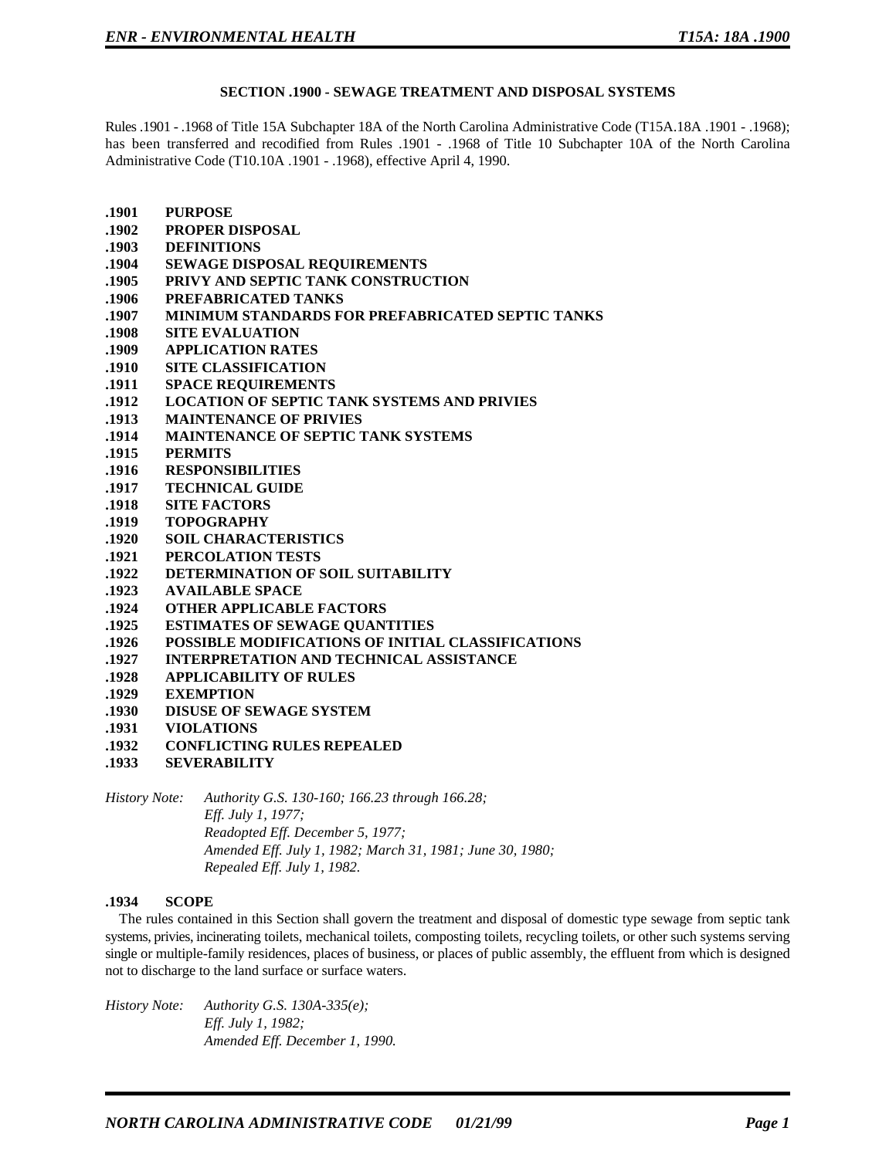#### **SECTION .1900 - SEWAGE TREATMENT AND DISPOSAL SYSTEMS**

Rules .1901 - .1968 of Title 15A Subchapter 18A of the North Carolina Administrative Code (T15A.18A .1901 - .1968); has been transferred and recodified from Rules .1901 - .1968 of Title 10 Subchapter 10A of the North Carolina Administrative Code (T10.10A .1901 - .1968), effective April 4, 1990.

**.1901 PURPOSE .1902 PROPER DISPOSAL .1903 DEFINITIONS .1904 SEWAGE DISPOSAL REQUIREMENTS .1905 PRIVY AND SEPTIC TANK CONSTRUCTION .1906 PREFABRICATED TANKS .1907 MINIMUM STANDARDS FOR PREFABRICATED SEPTIC TANKS .1908 SITE EVALUATION .1909 APPLICATION RATES .1910 SITE CLASSIFICATION .1911 SPACE REQUIREMENTS .1912 LOCATION OF SEPTIC TANK SYSTEMS AND PRIVIES .1913 MAINTENANCE OF PRIVIES .1914 MAINTENANCE OF SEPTIC TANK SYSTEMS .1915 PERMITS .1916 RESPONSIBILITIES .1917 TECHNICAL GUIDE .1918 SITE FACTORS .1919 TOPOGRAPHY .1920 SOIL CHARACTERISTICS .1921 PERCOLATION TESTS .1922 DETERMINATION OF SOIL SUITABILITY .1923 AVAILABLE SPACE .1924 OTHER APPLICABLE FACTORS .1925 ESTIMATES OF SEWAGE QUANTITIES .1926 POSSIBLE MODIFICATIONS OF INITIAL CLASSIFICATIONS .1927 INTERPRETATION AND TECHNICAL ASSISTANCE .1928 APPLICABILITY OF RULES .1929 EXEMPTION .1930 DISUSE OF SEWAGE SYSTEM .1931 VIOLATIONS .1932 CONFLICTING RULES REPEALED .1933 SEVERABILITY** *History Note: Authority G.S. 130-160; 166.23 through 166.28;*

*Eff. July 1, 1977; Readopted Eff. December 5, 1977; Amended Eff. July 1, 1982; March 31, 1981; June 30, 1980; Repealed Eff. July 1, 1982.*

#### **.1934 SCOPE**

The rules contained in this Section shall govern the treatment and disposal of domestic type sewage from septic tank systems, privies, incinerating toilets, mechanical toilets, composting toilets, recycling toilets, or other such systems serving single or multiple-family residences, places of business, or places of public assembly, the effluent from which is designed not to discharge to the land surface or surface waters.

*History Note: Authority G.S. 130A-335(e); Eff. July 1, 1982; Amended Eff. December 1, 1990.*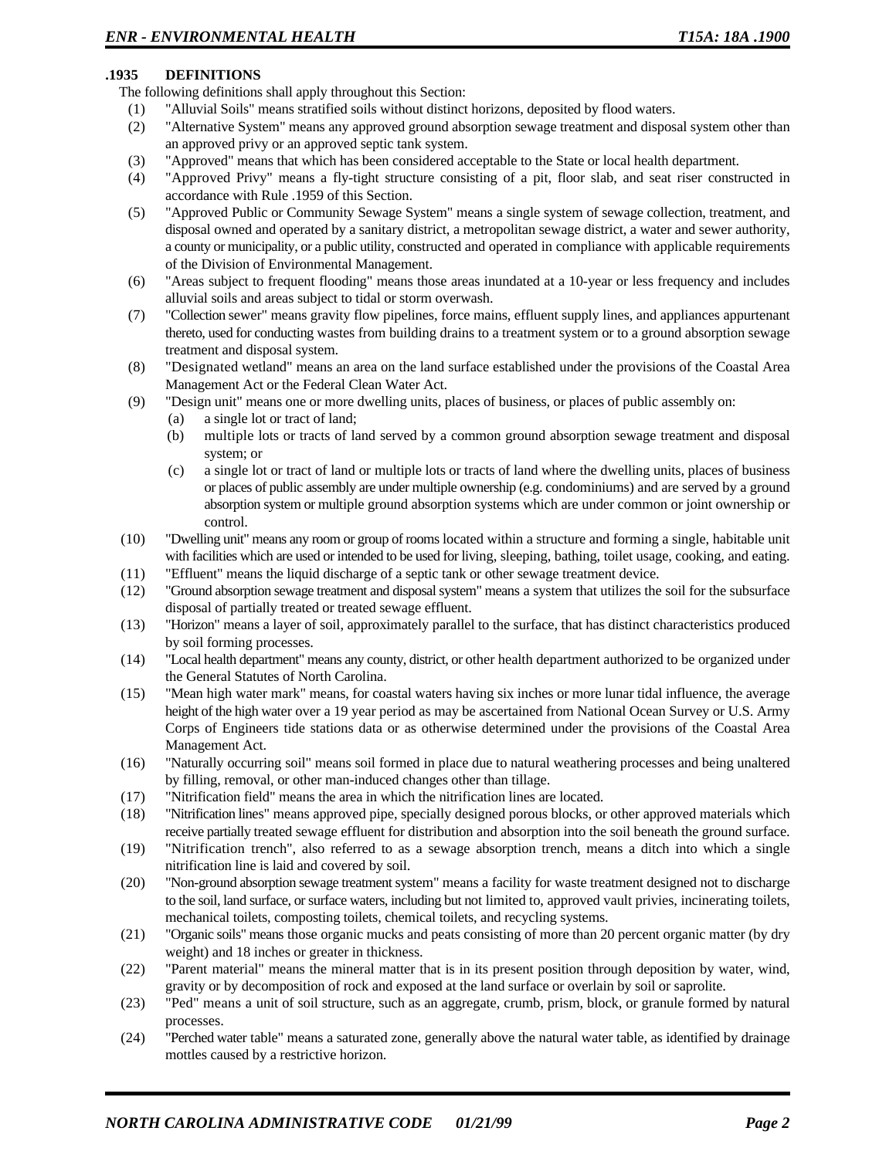## **.1935 DEFINITIONS**

The following definitions shall apply throughout this Section:

- (1) "Alluvial Soils" means stratified soils without distinct horizons, deposited by flood waters.
- (2) "Alternative System" means any approved ground absorption sewage treatment and disposal system other than an approved privy or an approved septic tank system.
- (3) "Approved" means that which has been considered acceptable to the State or local health department.
- (4) "Approved Privy" means a fly-tight structure consisting of a pit, floor slab, and seat riser constructed in accordance with Rule .1959 of this Section.
- (5) "Approved Public or Community Sewage System" means a single system of sewage collection, treatment, and disposal owned and operated by a sanitary district, a metropolitan sewage district, a water and sewer authority, a county or municipality, or a public utility, constructed and operated in compliance with applicable requirements of the Division of Environmental Management.
- (6) "Areas subject to frequent flooding" means those areas inundated at a 10-year or less frequency and includes alluvial soils and areas subject to tidal or storm overwash.
- (7) "Collection sewer" means gravity flow pipelines, force mains, effluent supply lines, and appliances appurtenant thereto, used for conducting wastes from building drains to a treatment system or to a ground absorption sewage treatment and disposal system.
- (8) "Designated wetland" means an area on the land surface established under the provisions of the Coastal Area Management Act or the Federal Clean Water Act.
- (9) "Design unit" means one or more dwelling units, places of business, or places of public assembly on:
	- (a) a single lot or tract of land;
	- (b) multiple lots or tracts of land served by a common ground absorption sewage treatment and disposal system; or
	- (c) a single lot or tract of land or multiple lots or tracts of land where the dwelling units, places of business or places of public assembly are under multiple ownership (e.g. condominiums) and are served by a ground absorption system or multiple ground absorption systems which are under common or joint ownership or control.
- (10) "Dwelling unit" means any room or group of rooms located within a structure and forming a single, habitable unit with facilities which are used or intended to be used for living, sleeping, bathing, toilet usage, cooking, and eating.
- (11) "Effluent" means the liquid discharge of a septic tank or other sewage treatment device.
- (12) "Ground absorption sewage treatment and disposal system" means a system that utilizes the soil for the subsurface disposal of partially treated or treated sewage effluent.
- (13) "Horizon" means a layer of soil, approximately parallel to the surface, that has distinct characteristics produced by soil forming processes.
- (14) "Local health department" means any county, district, or other health department authorized to be organized under the General Statutes of North Carolina.
- (15) "Mean high water mark" means, for coastal waters having six inches or more lunar tidal influence, the average height of the high water over a 19 year period as may be ascertained from National Ocean Survey or U.S. Army Corps of Engineers tide stations data or as otherwise determined under the provisions of the Coastal Area Management Act.
- (16) "Naturally occurring soil" means soil formed in place due to natural weathering processes and being unaltered by filling, removal, or other man-induced changes other than tillage.
- (17) "Nitrification field" means the area in which the nitrification lines are located.
- (18) "Nitrification lines" means approved pipe, specially designed porous blocks, or other approved materials which receive partially treated sewage effluent for distribution and absorption into the soil beneath the ground surface.
- (19) "Nitrification trench", also referred to as a sewage absorption trench, means a ditch into which a single nitrification line is laid and covered by soil.
- (20) "Non-ground absorption sewage treatment system" means a facility for waste treatment designed not to discharge to the soil, land surface, or surface waters, including but not limited to, approved vault privies, incinerating toilets, mechanical toilets, composting toilets, chemical toilets, and recycling systems.
- (21) "Organic soils" means those organic mucks and peats consisting of more than 20 percent organic matter (by dry weight) and 18 inches or greater in thickness.
- (22) "Parent material" means the mineral matter that is in its present position through deposition by water, wind, gravity or by decomposition of rock and exposed at the land surface or overlain by soil or saprolite.
- (23) "Ped" means a unit of soil structure, such as an aggregate, crumb, prism, block, or granule formed by natural processes.
- (24) "Perched water table" means a saturated zone, generally above the natural water table, as identified by drainage mottles caused by a restrictive horizon.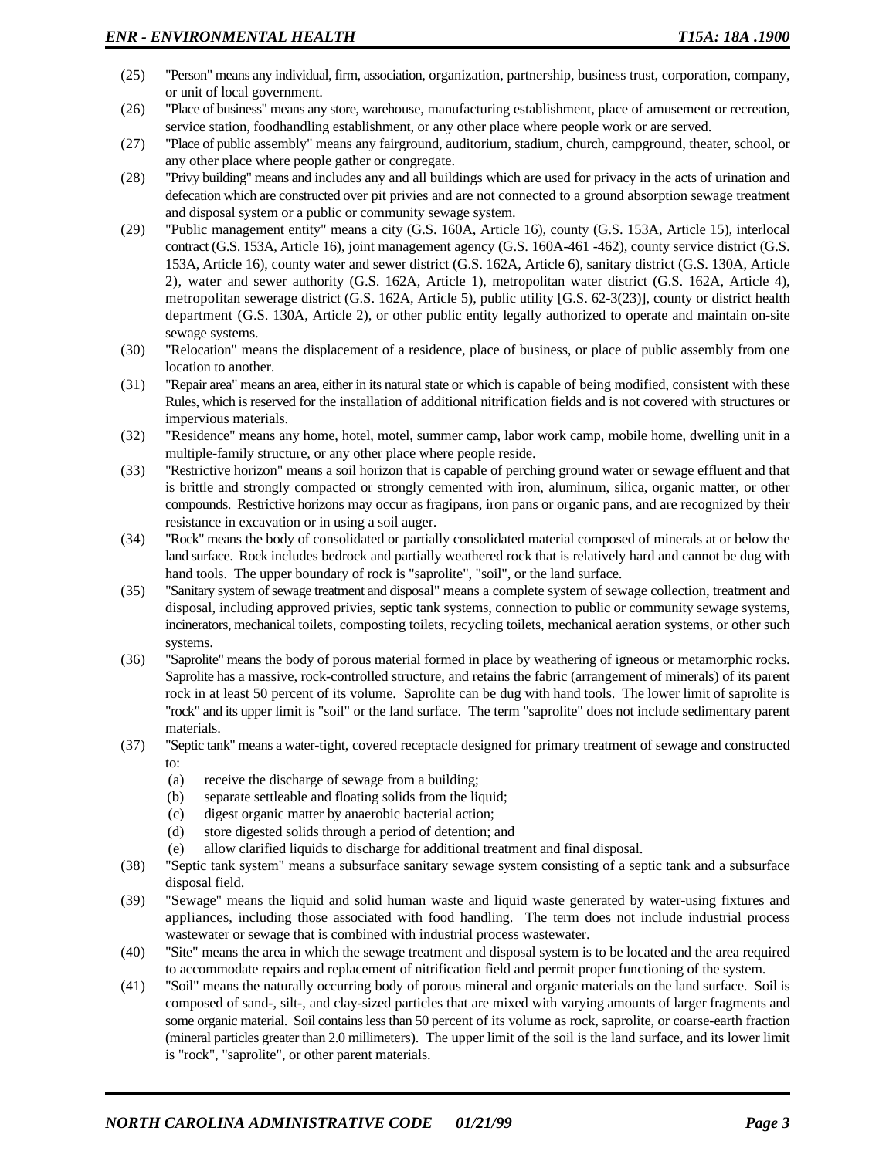- (25) "Person" means any individual, firm, association, organization, partnership, business trust, corporation, company, or unit of local government.
- (26) "Place of business" means any store, warehouse, manufacturing establishment, place of amusement or recreation, service station, foodhandling establishment, or any other place where people work or are served.
- (27) "Place of public assembly" means any fairground, auditorium, stadium, church, campground, theater, school, or any other place where people gather or congregate.
- (28) "Privy building" means and includes any and all buildings which are used for privacy in the acts of urination and defecation which are constructed over pit privies and are not connected to a ground absorption sewage treatment and disposal system or a public or community sewage system.
- (29) "Public management entity" means a city (G.S. 160A, Article 16), county (G.S. 153A, Article 15), interlocal contract (G.S. 153A, Article 16), joint management agency (G.S. 160A-461 -462), county service district (G.S. 153A, Article 16), county water and sewer district (G.S. 162A, Article 6), sanitary district (G.S. 130A, Article 2), water and sewer authority (G.S. 162A, Article 1), metropolitan water district (G.S. 162A, Article 4), metropolitan sewerage district (G.S. 162A, Article 5), public utility [G.S. 62-3(23)], county or district health department (G.S. 130A, Article 2), or other public entity legally authorized to operate and maintain on-site sewage systems.
- (30) "Relocation" means the displacement of a residence, place of business, or place of public assembly from one location to another.
- (31) "Repair area" means an area, either in its natural state or which is capable of being modified, consistent with these Rules, which is reserved for the installation of additional nitrification fields and is not covered with structures or impervious materials.
- (32) "Residence" means any home, hotel, motel, summer camp, labor work camp, mobile home, dwelling unit in a multiple-family structure, or any other place where people reside.
- (33) "Restrictive horizon" means a soil horizon that is capable of perching ground water or sewage effluent and that is brittle and strongly compacted or strongly cemented with iron, aluminum, silica, organic matter, or other compounds. Restrictive horizons may occur as fragipans, iron pans or organic pans, and are recognized by their resistance in excavation or in using a soil auger.
- (34) "Rock" means the body of consolidated or partially consolidated material composed of minerals at or below the land surface. Rock includes bedrock and partially weathered rock that is relatively hard and cannot be dug with hand tools. The upper boundary of rock is "saprolite", "soil", or the land surface.
- (35) "Sanitary system of sewage treatment and disposal" means a complete system of sewage collection, treatment and disposal, including approved privies, septic tank systems, connection to public or community sewage systems, incinerators, mechanical toilets, composting toilets, recycling toilets, mechanical aeration systems, or other such systems.
- (36) "Saprolite" means the body of porous material formed in place by weathering of igneous or metamorphic rocks. Saprolite has a massive, rock-controlled structure, and retains the fabric (arrangement of minerals) of its parent rock in at least 50 percent of its volume. Saprolite can be dug with hand tools. The lower limit of saprolite is "rock" and its upper limit is "soil" or the land surface. The term "saprolite" does not include sedimentary parent materials.
- (37) "Septic tank" means a water-tight, covered receptacle designed for primary treatment of sewage and constructed to:
	- (a) receive the discharge of sewage from a building;
	- (b) separate settleable and floating solids from the liquid;
	- (c) digest organic matter by anaerobic bacterial action;
	- (d) store digested solids through a period of detention; and
	- (e) allow clarified liquids to discharge for additional treatment and final disposal.
- (38) "Septic tank system" means a subsurface sanitary sewage system consisting of a septic tank and a subsurface disposal field.
- (39) "Sewage" means the liquid and solid human waste and liquid waste generated by water-using fixtures and appliances, including those associated with food handling. The term does not include industrial process wastewater or sewage that is combined with industrial process wastewater.
- (40) "Site" means the area in which the sewage treatment and disposal system is to be located and the area required to accommodate repairs and replacement of nitrification field and permit proper functioning of the system.
- (41) "Soil" means the naturally occurring body of porous mineral and organic materials on the land surface. Soil is composed of sand-, silt-, and clay-sized particles that are mixed with varying amounts of larger fragments and some organic material. Soil contains less than 50 percent of its volume as rock, saprolite, or coarse-earth fraction (mineral particles greater than 2.0 millimeters). The upper limit of the soil is the land surface, and its lower limit is "rock", "saprolite", or other parent materials.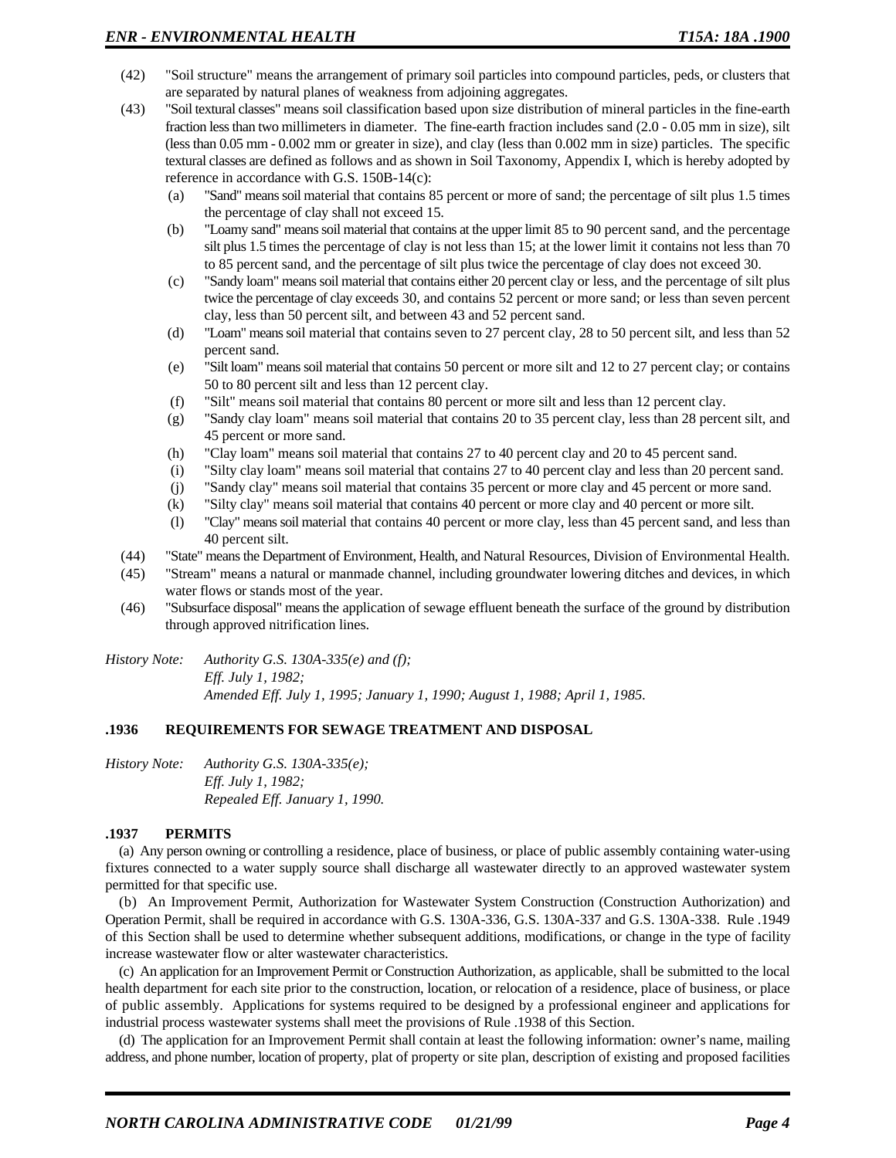- (42) "Soil structure" means the arrangement of primary soil particles into compound particles, peds, or clusters that are separated by natural planes of weakness from adjoining aggregates.
- (43) "Soil textural classes" means soil classification based upon size distribution of mineral particles in the fine-earth fraction less than two millimeters in diameter. The fine-earth fraction includes sand (2.0 - 0.05 mm in size), silt (less than 0.05 mm - 0.002 mm or greater in size), and clay (less than 0.002 mm in size) particles. The specific textural classes are defined as follows and as shown in Soil Taxonomy, Appendix I, which is hereby adopted by reference in accordance with G.S. 150B-14(c):
	- (a) "Sand" means soil material that contains 85 percent or more of sand; the percentage of silt plus 1.5 times the percentage of clay shall not exceed 15.
	- (b) "Loamy sand" means soil material that contains at the upper limit 85 to 90 percent sand, and the percentage silt plus 1.5 times the percentage of clay is not less than 15; at the lower limit it contains not less than 70 to 85 percent sand, and the percentage of silt plus twice the percentage of clay does not exceed 30.
	- (c) "Sandy loam" means soil material that contains either 20 percent clay or less, and the percentage of silt plus twice the percentage of clay exceeds 30, and contains 52 percent or more sand; or less than seven percent clay, less than 50 percent silt, and between 43 and 52 percent sand.
	- (d) "Loam" means soil material that contains seven to 27 percent clay, 28 to 50 percent silt, and less than 52 percent sand.
	- (e) "Silt loam" means soil material that contains 50 percent or more silt and 12 to 27 percent clay; or contains 50 to 80 percent silt and less than 12 percent clay.
	- (f) "Silt" means soil material that contains 80 percent or more silt and less than 12 percent clay.
	- (g) "Sandy clay loam" means soil material that contains 20 to 35 percent clay, less than 28 percent silt, and 45 percent or more sand.
	- (h) "Clay loam" means soil material that contains 27 to 40 percent clay and 20 to 45 percent sand.
	- (i) "Silty clay loam" means soil material that contains 27 to 40 percent clay and less than 20 percent sand.
	- (j) "Sandy clay" means soil material that contains 35 percent or more clay and 45 percent or more sand.
	- (k) "Silty clay" means soil material that contains 40 percent or more clay and 40 percent or more silt.
	- (l) "Clay" means soil material that contains 40 percent or more clay, less than 45 percent sand, and less than 40 percent silt.
- (44) "State" means the Department of Environment, Health, and Natural Resources, Division of Environmental Health.
- (45) "Stream" means a natural or manmade channel, including groundwater lowering ditches and devices, in which water flows or stands most of the year.
- (46) "Subsurface disposal" means the application of sewage effluent beneath the surface of the ground by distribution through approved nitrification lines.
- *History Note: Authority G.S. 130A-335(e) and (f); Eff. July 1, 1982; Amended Eff. July 1, 1995; January 1, 1990; August 1, 1988; April 1, 1985.*

### **.1936 REQUIREMENTS FOR SEWAGE TREATMENT AND DISPOSAL**

*History Note: Authority G.S. 130A-335(e); Eff. July 1, 1982; Repealed Eff. January 1, 1990.*

#### **.1937 PERMITS**

(a) Any person owning or controlling a residence, place of business, or place of public assembly containing water-using fixtures connected to a water supply source shall discharge all wastewater directly to an approved wastewater system permitted for that specific use.

(b) An Improvement Permit, Authorization for Wastewater System Construction (Construction Authorization) and Operation Permit, shall be required in accordance with G.S. 130A-336, G.S. 130A-337 and G.S. 130A-338. Rule .1949 of this Section shall be used to determine whether subsequent additions, modifications, or change in the type of facility increase wastewater flow or alter wastewater characteristics.

(c) An application for an Improvement Permit or Construction Authorization, as applicable, shall be submitted to the local health department for each site prior to the construction, location, or relocation of a residence, place of business, or place of public assembly. Applications for systems required to be designed by a professional engineer and applications for industrial process wastewater systems shall meet the provisions of Rule .1938 of this Section.

(d) The application for an Improvement Permit shall contain at least the following information: owner's name, mailing address, and phone number, location of property, plat of property or site plan, description of existing and proposed facilities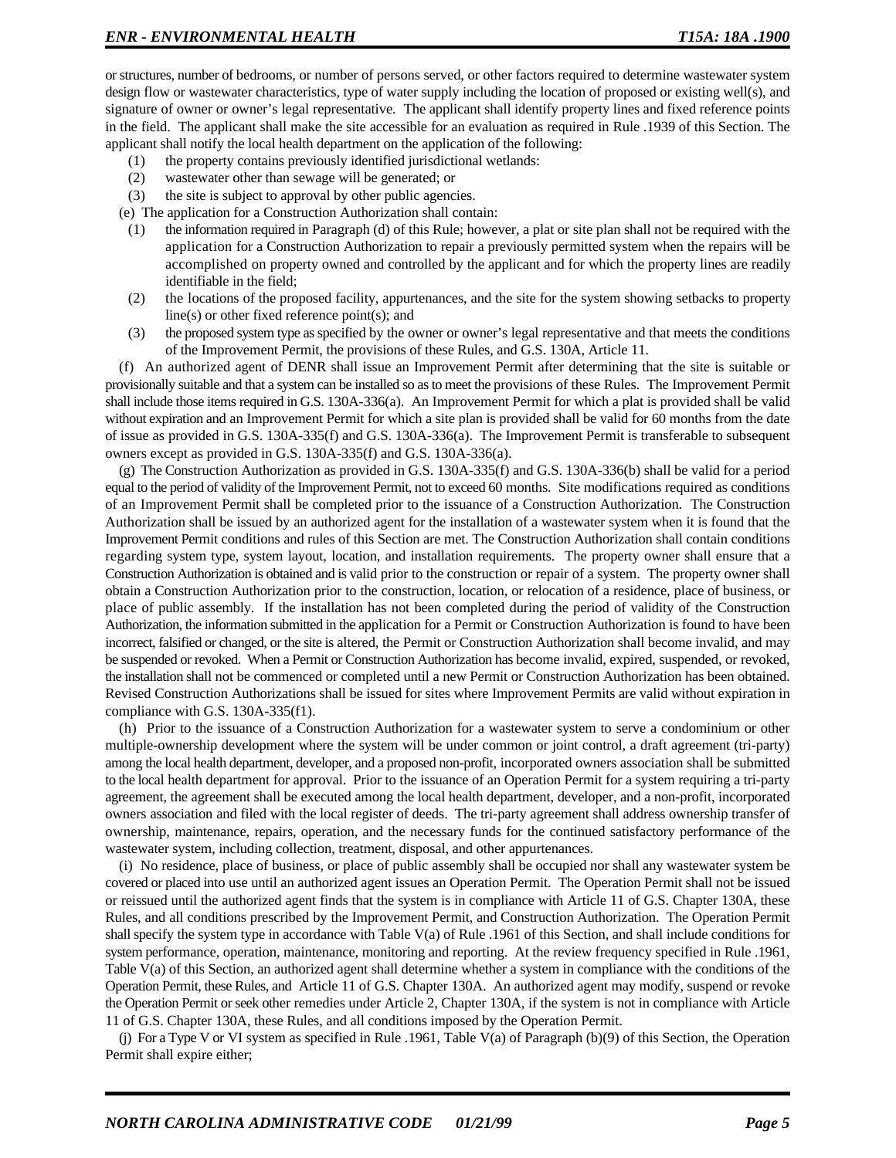or structures, number of bedrooms, or number of persons served, or other factors required to determine wastewater system design flow or wastewater characteristics, type of water supply including the location of proposed or existing well(s), and signature of owner or owner's legal representative. The applicant shall identify property lines and fixed reference points in the field. The applicant shall make the site accessible for an evaluation as required in Rule .1939 of this Section. The applicant shall notify the local health department on the application of the following:

- (1) the property contains previously identified jurisdictional wetlands:
- (2) wastewater other than sewage will be generated; or
- (3) the site is subject to approval by other public agencies.
- (e) The application for a Construction Authorization shall contain:
- (1) the information required in Paragraph (d) of this Rule; however, a plat or site plan shall not be required with the application for a Construction Authorization to repair a previously permitted system when the repairs will be accomplished on property owned and controlled by the applicant and for which the property lines are readily identifiable in the field;
- (2) the locations of the proposed facility, appurtenances, and the site for the system showing setbacks to property line(s) or other fixed reference point(s); and
- (3) the proposed system type as specified by the owner or owner's legal representative and that meets the conditions of the Improvement Permit, the provisions of these Rules, and G.S. 130A, Article 11.

(f) An authorized agent of DENR shall issue an Improvement Permit after determining that the site is suitable or provisionally suitable and that a system can be installed so as to meet the provisions of these Rules. The Improvement Permit shall include those items required in G.S. 130A-336(a). An Improvement Permit for which a plat is provided shall be valid without expiration and an Improvement Permit for which a site plan is provided shall be valid for 60 months from the date of issue as provided in G.S. 130A-335(f) and G.S. 130A-336(a). The Improvement Permit is transferable to subsequent owners except as provided in G.S. 130A-335(f) and G.S. 130A-336(a).

(g) The Construction Authorization as provided in G.S. 130A-335(f) and G.S. 130A-336(b) shall be valid for a period equal to the period of validity of the Improvement Permit, not to exceed 60 months. Site modifications required as conditions of an Improvement Permit shall be completed prior to the issuance of a Construction Authorization. The Construction Authorization shall be issued by an authorized agent for the installation of a wastewater system when it is found that the Improvement Permit conditions and rules of this Section are met. The Construction Authorization shall contain conditions regarding system type, system layout, location, and installation requirements. The property owner shall ensure that a Construction Authorization is obtained and is valid prior to the construction or repair of a system. The property owner shall obtain a Construction Authorization prior to the construction, location, or relocation of a residence, place of business, or place of public assembly. If the installation has not been completed during the period of validity of the Construction Authorization, the information submitted in the application for a Permit or Construction Authorization is found to have been incorrect, falsified or changed, or the site is altered, the Permit or Construction Authorization shall become invalid, and may be suspended or revoked. When a Permit or Construction Authorization has become invalid, expired, suspended, or revoked, the installation shall not be commenced or completed until a new Permit or Construction Authorization has been obtained. Revised Construction Authorizations shall be issued for sites where Improvement Permits are valid without expiration in compliance with G.S. 130A-335(f1).

(h) Prior to the issuance of a Construction Authorization for a wastewater system to serve a condominium or other multiple-ownership development where the system will be under common or joint control, a draft agreement (tri-party) among the local health department, developer, and a proposed non-profit, incorporated owners association shall be submitted to the local health department for approval. Prior to the issuance of an Operation Permit for a system requiring a tri-party agreement, the agreement shall be executed among the local health department, developer, and a non-profit, incorporated owners association and filed with the local register of deeds. The tri-party agreement shall address ownership transfer of ownership, maintenance, repairs, operation, and the necessary funds for the continued satisfactory performance of the wastewater system, including collection, treatment, disposal, and other appurtenances.

(i) No residence, place of business, or place of public assembly shall be occupied nor shall any wastewater system be covered or placed into use until an authorized agent issues an Operation Permit. The Operation Permit shall not be issued or reissued until the authorized agent finds that the system is in compliance with Article 11 of G.S. Chapter 130A, these Rules, and all conditions prescribed by the Improvement Permit, and Construction Authorization. The Operation Permit shall specify the system type in accordance with Table V(a) of Rule .1961 of this Section, and shall include conditions for system performance, operation, maintenance, monitoring and reporting. At the review frequency specified in Rule .1961, Table V(a) of this Section, an authorized agent shall determine whether a system in compliance with the conditions of the Operation Permit, these Rules, and Article 11 of G.S. Chapter 130A. An authorized agent may modify, suspend or revoke the Operation Permit or seek other remedies under Article 2, Chapter 130A, if the system is not in compliance with Article 11 of G.S. Chapter 130A, these Rules, and all conditions imposed by the Operation Permit.

(j) For a Type V or VI system as specified in Rule .1961, Table V(a) of Paragraph (b)(9) of this Section, the Operation Permit shall expire either;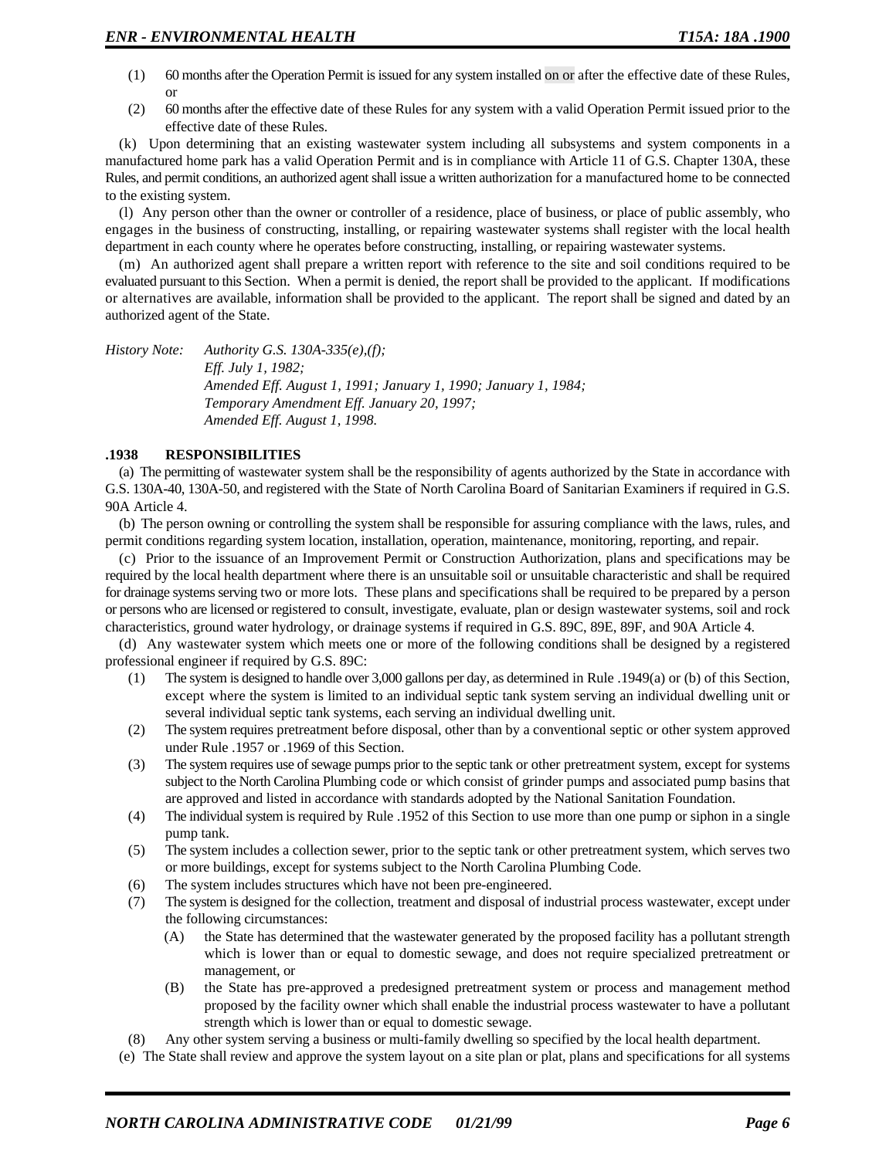- (1) 60 months after the Operation Permit is issued for any system installed on or after the effective date of these Rules, or
- (2) 60 months after the effective date of these Rules for any system with a valid Operation Permit issued prior to the effective date of these Rules.

(k) Upon determining that an existing wastewater system including all subsystems and system components in a manufactured home park has a valid Operation Permit and is in compliance with Article 11 of G.S. Chapter 130A, these Rules, and permit conditions, an authorized agent shall issue a written authorization for a manufactured home to be connected to the existing system.

(l) Any person other than the owner or controller of a residence, place of business, or place of public assembly, who engages in the business of constructing, installing, or repairing wastewater systems shall register with the local health department in each county where he operates before constructing, installing, or repairing wastewater systems.

(m) An authorized agent shall prepare a written report with reference to the site and soil conditions required to be evaluated pursuant to this Section. When a permit is denied, the report shall be provided to the applicant. If modifications or alternatives are available, information shall be provided to the applicant. The report shall be signed and dated by an authorized agent of the State.

*History Note: Authority G.S. 130A-335(e),(f); Eff. July 1, 1982; Amended Eff. August 1, 1991; January 1, 1990; January 1, 1984; Temporary Amendment Eff. January 20, 1997; Amended Eff. August 1, 1998.*

#### **.1938 RESPONSIBILITIES**

(a) The permitting of wastewater system shall be the responsibility of agents authorized by the State in accordance with G.S. 130A-40, 130A-50, and registered with the State of North Carolina Board of Sanitarian Examiners if required in G.S. 90A Article 4.

(b) The person owning or controlling the system shall be responsible for assuring compliance with the laws, rules, and permit conditions regarding system location, installation, operation, maintenance, monitoring, reporting, and repair.

(c) Prior to the issuance of an Improvement Permit or Construction Authorization, plans and specifications may be required by the local health department where there is an unsuitable soil or unsuitable characteristic and shall be required for drainage systems serving two or more lots. These plans and specifications shall be required to be prepared by a person or persons who are licensed or registered to consult, investigate, evaluate, plan or design wastewater systems, soil and rock characteristics, ground water hydrology, or drainage systems if required in G.S. 89C, 89E, 89F, and 90A Article 4.

(d) Any wastewater system which meets one or more of the following conditions shall be designed by a registered professional engineer if required by G.S. 89C:

- (1) The system is designed to handle over 3,000 gallons per day, as determined in Rule .1949(a) or (b) of this Section, except where the system is limited to an individual septic tank system serving an individual dwelling unit or several individual septic tank systems, each serving an individual dwelling unit.
- (2) The system requires pretreatment before disposal, other than by a conventional septic or other system approved under Rule .1957 or .1969 of this Section.
- (3) The system requires use of sewage pumps prior to the septic tank or other pretreatment system, except for systems subject to the North Carolina Plumbing code or which consist of grinder pumps and associated pump basins that are approved and listed in accordance with standards adopted by the National Sanitation Foundation.
- (4) The individual system is required by Rule .1952 of this Section to use more than one pump or siphon in a single pump tank.
- (5) The system includes a collection sewer, prior to the septic tank or other pretreatment system, which serves two or more buildings, except for systems subject to the North Carolina Plumbing Code.
- (6) The system includes structures which have not been pre-engineered.
- (7) The system is designed for the collection, treatment and disposal of industrial process wastewater, except under the following circumstances:
	- (A) the State has determined that the wastewater generated by the proposed facility has a pollutant strength which is lower than or equal to domestic sewage, and does not require specialized pretreatment or management, or
	- (B) the State has pre-approved a predesigned pretreatment system or process and management method proposed by the facility owner which shall enable the industrial process wastewater to have a pollutant strength which is lower than or equal to domestic sewage.
- (8) Any other system serving a business or multi-family dwelling so specified by the local health department.
- (e) The State shall review and approve the system layout on a site plan or plat, plans and specifications for all systems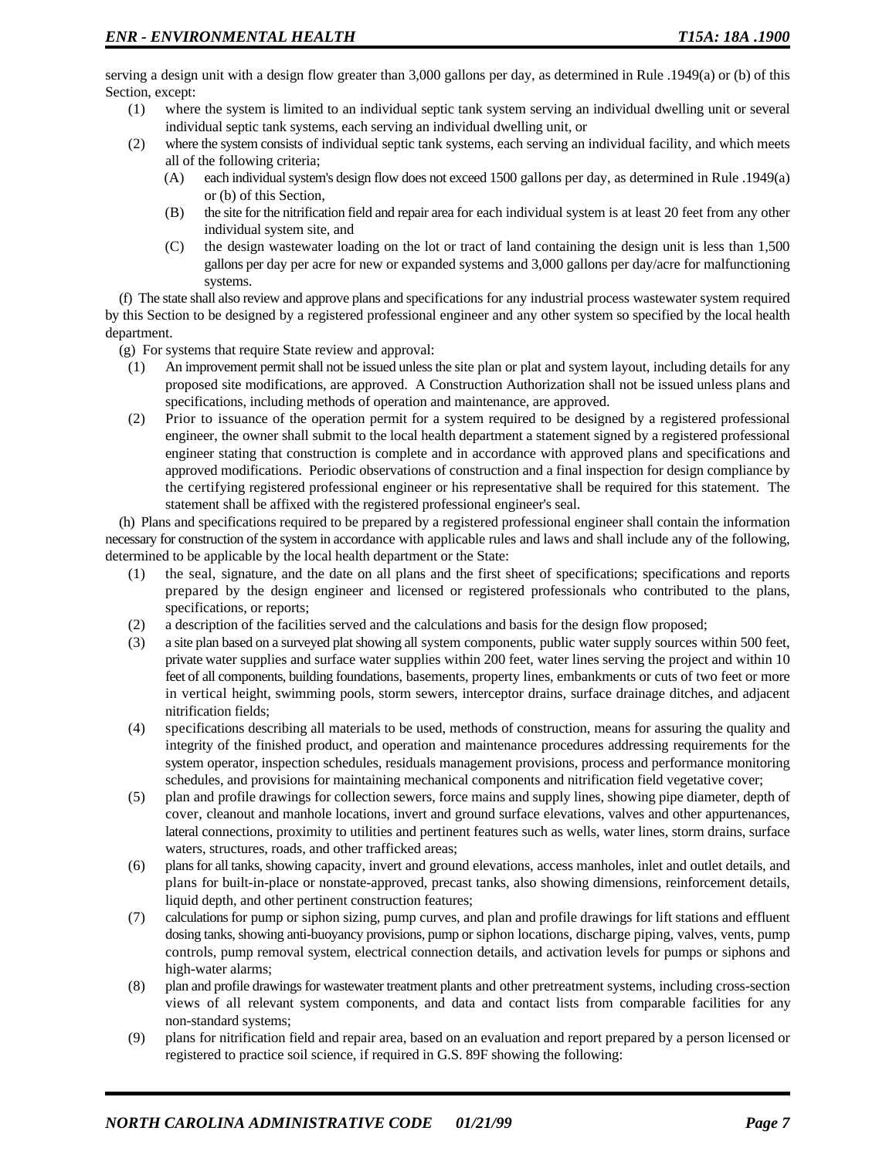serving a design unit with a design flow greater than 3,000 gallons per day, as determined in Rule .1949(a) or (b) of this Section, except:

- (1) where the system is limited to an individual septic tank system serving an individual dwelling unit or several individual septic tank systems, each serving an individual dwelling unit, or
- (2) where the system consists of individual septic tank systems, each serving an individual facility, and which meets all of the following criteria;
	- (A) each individual system's design flow does not exceed 1500 gallons per day, as determined in Rule .1949(a) or (b) of this Section,
	- (B) the site for the nitrification field and repair area for each individual system is at least 20 feet from any other individual system site, and
	- (C) the design wastewater loading on the lot or tract of land containing the design unit is less than 1,500 gallons per day per acre for new or expanded systems and 3,000 gallons per day/acre for malfunctioning systems.

(f) The state shall also review and approve plans and specifications for any industrial process wastewater system required by this Section to be designed by a registered professional engineer and any other system so specified by the local health department.

- (g) For systems that require State review and approval:
- (1) An improvement permit shall not be issued unless the site plan or plat and system layout, including details for any proposed site modifications, are approved. A Construction Authorization shall not be issued unless plans and specifications, including methods of operation and maintenance, are approved.
- (2) Prior to issuance of the operation permit for a system required to be designed by a registered professional engineer, the owner shall submit to the local health department a statement signed by a registered professional engineer stating that construction is complete and in accordance with approved plans and specifications and approved modifications. Periodic observations of construction and a final inspection for design compliance by the certifying registered professional engineer or his representative shall be required for this statement. The statement shall be affixed with the registered professional engineer's seal.

(h) Plans and specifications required to be prepared by a registered professional engineer shall contain the information necessary for construction of the system in accordance with applicable rules and laws and shall include any of the following, determined to be applicable by the local health department or the State:

- (1) the seal, signature, and the date on all plans and the first sheet of specifications; specifications and reports prepared by the design engineer and licensed or registered professionals who contributed to the plans, specifications, or reports;
- (2) a description of the facilities served and the calculations and basis for the design flow proposed;
- (3) a site plan based on a surveyed plat showing all system components, public water supply sources within 500 feet, private water supplies and surface water supplies within 200 feet, water lines serving the project and within 10 feet of all components, building foundations, basements, property lines, embankments or cuts of two feet or more in vertical height, swimming pools, storm sewers, interceptor drains, surface drainage ditches, and adjacent nitrification fields;
- (4) specifications describing all materials to be used, methods of construction, means for assuring the quality and integrity of the finished product, and operation and maintenance procedures addressing requirements for the system operator, inspection schedules, residuals management provisions, process and performance monitoring schedules, and provisions for maintaining mechanical components and nitrification field vegetative cover;
- (5) plan and profile drawings for collection sewers, force mains and supply lines, showing pipe diameter, depth of cover, cleanout and manhole locations, invert and ground surface elevations, valves and other appurtenances, lateral connections, proximity to utilities and pertinent features such as wells, water lines, storm drains, surface waters, structures, roads, and other trafficked areas;
- (6) plans for all tanks, showing capacity, invert and ground elevations, access manholes, inlet and outlet details, and plans for built-in-place or nonstate-approved, precast tanks, also showing dimensions, reinforcement details, liquid depth, and other pertinent construction features;
- (7) calculations for pump or siphon sizing, pump curves, and plan and profile drawings for lift stations and effluent dosing tanks, showing anti-buoyancy provisions, pump or siphon locations, discharge piping, valves, vents, pump controls, pump removal system, electrical connection details, and activation levels for pumps or siphons and high-water alarms;
- (8) plan and profile drawings for wastewater treatment plants and other pretreatment systems, including cross-section views of all relevant system components, and data and contact lists from comparable facilities for any non-standard systems;
- (9) plans for nitrification field and repair area, based on an evaluation and report prepared by a person licensed or registered to practice soil science, if required in G.S. 89F showing the following: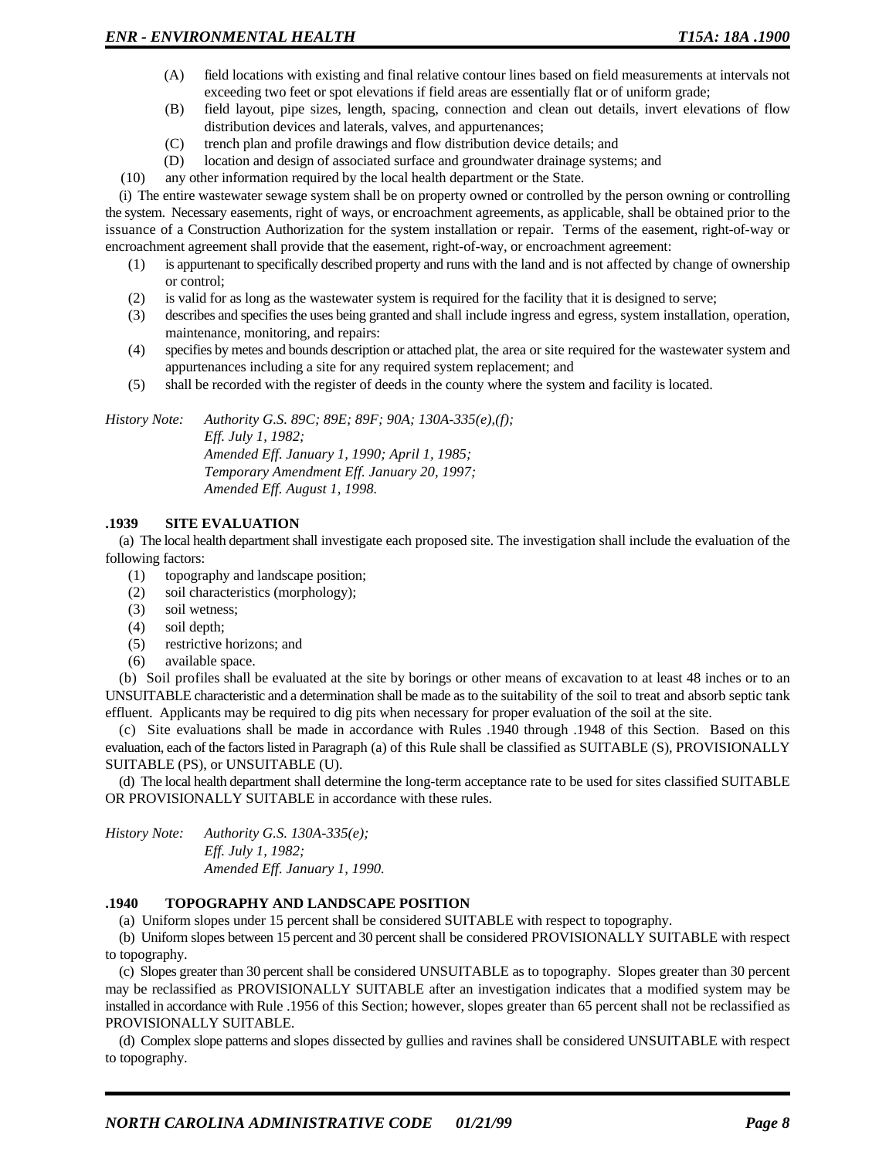- (A) field locations with existing and final relative contour lines based on field measurements at intervals not exceeding two feet or spot elevations if field areas are essentially flat or of uniform grade;
- (B) field layout, pipe sizes, length, spacing, connection and clean out details, invert elevations of flow distribution devices and laterals, valves, and appurtenances;
- (C) trench plan and profile drawings and flow distribution device details; and
- (D) location and design of associated surface and groundwater drainage systems; and
- (10) any other information required by the local health department or the State.

(i) The entire wastewater sewage system shall be on property owned or controlled by the person owning or controlling the system. Necessary easements, right of ways, or encroachment agreements, as applicable, shall be obtained prior to the issuance of a Construction Authorization for the system installation or repair. Terms of the easement, right-of-way or encroachment agreement shall provide that the easement, right-of-way, or encroachment agreement:

- (1) is appurtenant to specifically described property and runs with the land and is not affected by change of ownership or control;
- (2) is valid for as long as the wastewater system is required for the facility that it is designed to serve;
- (3) describes and specifies the uses being granted and shall include ingress and egress, system installation, operation, maintenance, monitoring, and repairs:
- (4) specifies by metes and bounds description or attached plat, the area or site required for the wastewater system and appurtenances including a site for any required system replacement; and
- (5) shall be recorded with the register of deeds in the county where the system and facility is located.

*History Note: Authority G.S. 89C; 89E; 89F; 90A; 130A-335(e),(f); Eff. July 1, 1982;*

*Amended Eff. January 1, 1990; April 1, 1985; Temporary Amendment Eff. January 20, 1997; Amended Eff. August 1, 1998.*

### **.1939 SITE EVALUATION**

(a) The local health department shall investigate each proposed site. The investigation shall include the evaluation of the following factors:

- (1) topography and landscape position;
- (2) soil characteristics (morphology);
- (3) soil wetness;
- (4) soil depth;
- (5) restrictive horizons; and
- (6) available space.

(b) Soil profiles shall be evaluated at the site by borings or other means of excavation to at least 48 inches or to an UNSUITABLE characteristic and a determination shall be made as to the suitability of the soil to treat and absorb septic tank effluent. Applicants may be required to dig pits when necessary for proper evaluation of the soil at the site.

(c) Site evaluations shall be made in accordance with Rules .1940 through .1948 of this Section. Based on this evaluation, each of the factors listed in Paragraph (a) of this Rule shall be classified as SUITABLE (S), PROVISIONALLY SUITABLE (PS), or UNSUITABLE (U).

(d) The local health department shall determine the long-term acceptance rate to be used for sites classified SUITABLE OR PROVISIONALLY SUITABLE in accordance with these rules.

*History Note: Authority G.S. 130A-335(e); Eff. July 1, 1982; Amended Eff. January 1, 1990.*

### **.1940 TOPOGRAPHY AND LANDSCAPE POSITION**

(a) Uniform slopes under 15 percent shall be considered SUITABLE with respect to topography.

(b) Uniform slopes between 15 percent and 30 percent shall be considered PROVISIONALLY SUITABLE with respect to topography.

(c) Slopes greater than 30 percent shall be considered UNSUITABLE as to topography. Slopes greater than 30 percent may be reclassified as PROVISIONALLY SUITABLE after an investigation indicates that a modified system may be installed in accordance with Rule .1956 of this Section; however, slopes greater than 65 percent shall not be reclassified as PROVISIONALLY SUITABLE.

(d) Complex slope patterns and slopes dissected by gullies and ravines shall be considered UNSUITABLE with respect to topography.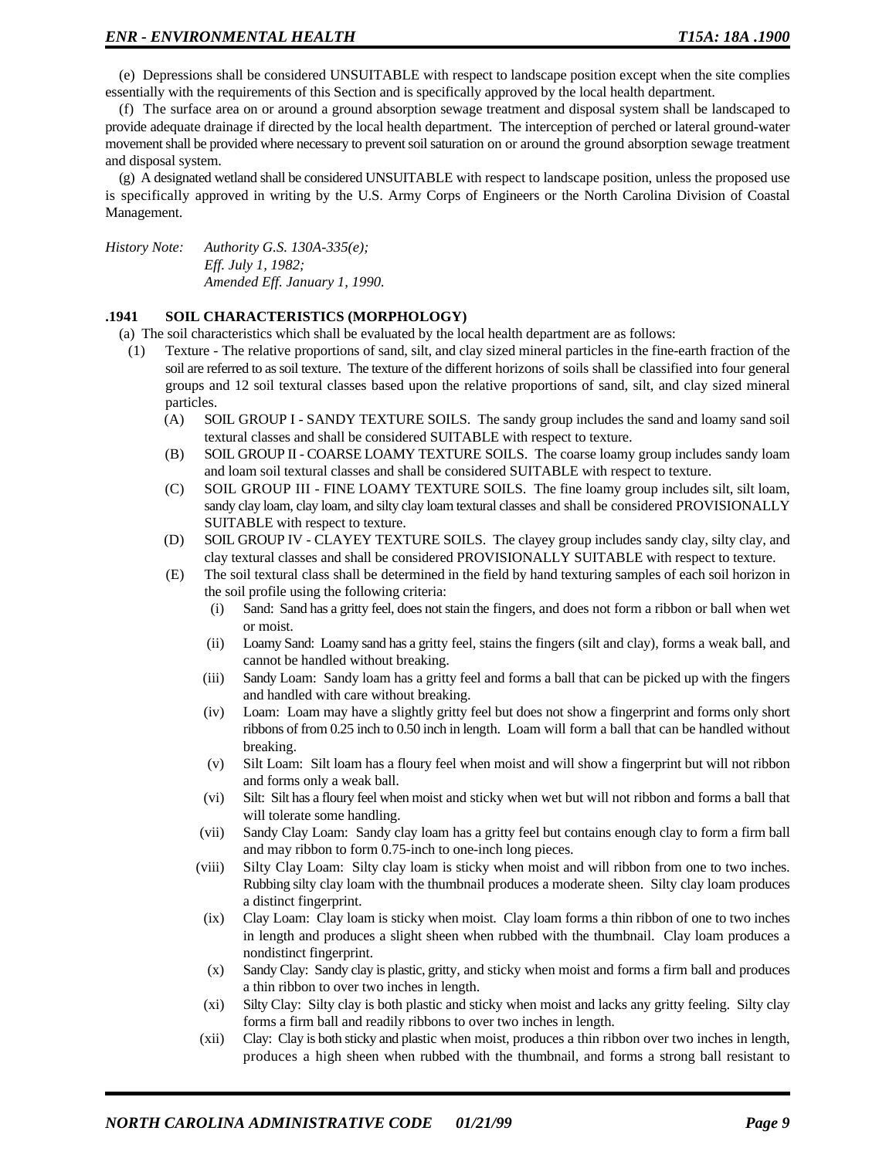(e) Depressions shall be considered UNSUITABLE with respect to landscape position except when the site complies essentially with the requirements of this Section and is specifically approved by the local health department.

(f) The surface area on or around a ground absorption sewage treatment and disposal system shall be landscaped to provide adequate drainage if directed by the local health department. The interception of perched or lateral ground-water movement shall be provided where necessary to prevent soil saturation on or around the ground absorption sewage treatment and disposal system.

(g) A designated wetland shall be considered UNSUITABLE with respect to landscape position, unless the proposed use is specifically approved in writing by the U.S. Army Corps of Engineers or the North Carolina Division of Coastal Management.

*History Note: Authority G.S. 130A-335(e); Eff. July 1, 1982; Amended Eff. January 1, 1990.*

### **.1941 SOIL CHARACTERISTICS (MORPHOLOGY)**

(a) The soil characteristics which shall be evaluated by the local health department are as follows:

- (1) Texture The relative proportions of sand, silt, and clay sized mineral particles in the fine-earth fraction of the soil are referred to as soil texture. The texture of the different horizons of soils shall be classified into four general groups and 12 soil textural classes based upon the relative proportions of sand, silt, and clay sized mineral particles.
	- (A) SOIL GROUP I SANDY TEXTURE SOILS. The sandy group includes the sand and loamy sand soil textural classes and shall be considered SUITABLE with respect to texture.
	- (B) SOIL GROUP II COARSE LOAMY TEXTURE SOILS. The coarse loamy group includes sandy loam and loam soil textural classes and shall be considered SUITABLE with respect to texture.
	- (C) SOIL GROUP III FINE LOAMY TEXTURE SOILS. The fine loamy group includes silt, silt loam, sandy clay loam, clay loam, and silty clay loam textural classes and shall be considered PROVISIONALLY SUITABLE with respect to texture.
	- (D) SOIL GROUP IV CLAYEY TEXTURE SOILS. The clayey group includes sandy clay, silty clay, and clay textural classes and shall be considered PROVISIONALLY SUITABLE with respect to texture.
	- (E) The soil textural class shall be determined in the field by hand texturing samples of each soil horizon in the soil profile using the following criteria:
		- (i) Sand: Sand has a gritty feel, does not stain the fingers, and does not form a ribbon or ball when wet or moist.
		- (ii) Loamy Sand: Loamy sand has a gritty feel, stains the fingers (silt and clay), forms a weak ball, and cannot be handled without breaking.
		- (iii) Sandy Loam: Sandy loam has a gritty feel and forms a ball that can be picked up with the fingers and handled with care without breaking.
		- (iv) Loam: Loam may have a slightly gritty feel but does not show a fingerprint and forms only short ribbons of from 0.25 inch to 0.50 inch in length. Loam will form a ball that can be handled without breaking.
		- (v) Silt Loam: Silt loam has a floury feel when moist and will show a fingerprint but will not ribbon and forms only a weak ball.
		- (vi) Silt: Silt has a floury feel when moist and sticky when wet but will not ribbon and forms a ball that will tolerate some handling.
		- (vii) Sandy Clay Loam: Sandy clay loam has a gritty feel but contains enough clay to form a firm ball and may ribbon to form 0.75-inch to one-inch long pieces.
		- (viii) Silty Clay Loam: Silty clay loam is sticky when moist and will ribbon from one to two inches. Rubbing silty clay loam with the thumbnail produces a moderate sheen. Silty clay loam produces a distinct fingerprint.
		- (ix) Clay Loam: Clay loam is sticky when moist. Clay loam forms a thin ribbon of one to two inches in length and produces a slight sheen when rubbed with the thumbnail. Clay loam produces a nondistinct fingerprint.
		- (x) Sandy Clay: Sandy clay is plastic, gritty, and sticky when moist and forms a firm ball and produces a thin ribbon to over two inches in length.
		- (xi) Silty Clay: Silty clay is both plastic and sticky when moist and lacks any gritty feeling. Silty clay forms a firm ball and readily ribbons to over two inches in length.
		- (xii) Clay: Clay is both sticky and plastic when moist, produces a thin ribbon over two inches in length, produces a high sheen when rubbed with the thumbnail, and forms a strong ball resistant to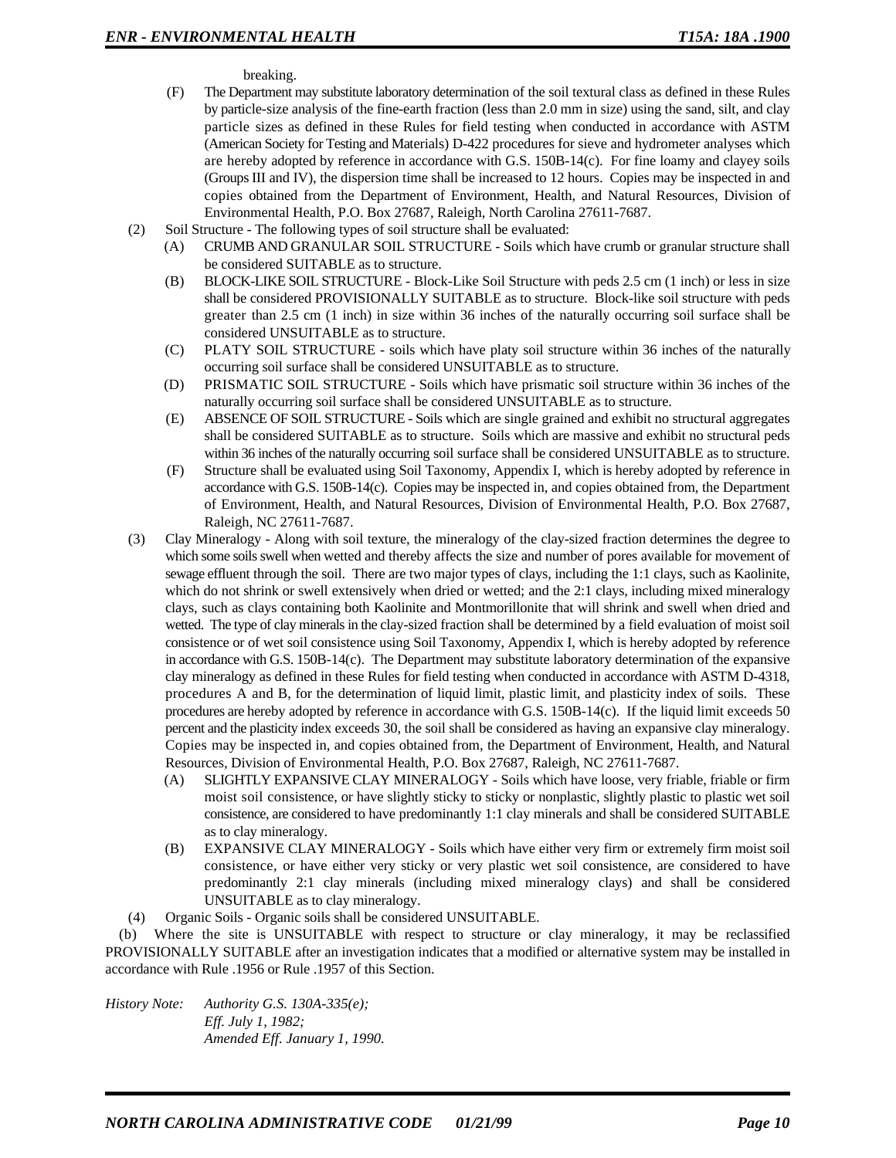breaking.

- (F) The Department may substitute laboratory determination of the soil textural class as defined in these Rules by particle-size analysis of the fine-earth fraction (less than 2.0 mm in size) using the sand, silt, and clay particle sizes as defined in these Rules for field testing when conducted in accordance with ASTM (American Society for Testing and Materials) D-422 procedures for sieve and hydrometer analyses which are hereby adopted by reference in accordance with G.S. 150B-14(c). For fine loamy and clayey soils (Groups III and IV), the dispersion time shall be increased to 12 hours. Copies may be inspected in and copies obtained from the Department of Environment, Health, and Natural Resources, Division of Environmental Health, P.O. Box 27687, Raleigh, North Carolina 27611-7687.
- (2) Soil Structure The following types of soil structure shall be evaluated:
	- (A) CRUMB AND GRANULAR SOIL STRUCTURE Soils which have crumb or granular structure shall be considered SUITABLE as to structure.
	- (B) BLOCK-LIKE SOIL STRUCTURE Block-Like Soil Structure with peds 2.5 cm (1 inch) or less in size shall be considered PROVISIONALLY SUITABLE as to structure. Block-like soil structure with peds greater than 2.5 cm (1 inch) in size within 36 inches of the naturally occurring soil surface shall be considered UNSUITABLE as to structure.
	- (C) PLATY SOIL STRUCTURE soils which have platy soil structure within 36 inches of the naturally occurring soil surface shall be considered UNSUITABLE as to structure.
	- (D) PRISMATIC SOIL STRUCTURE Soils which have prismatic soil structure within 36 inches of the naturally occurring soil surface shall be considered UNSUITABLE as to structure.
	- (E) ABSENCE OF SOIL STRUCTURE Soils which are single grained and exhibit no structural aggregates shall be considered SUITABLE as to structure. Soils which are massive and exhibit no structural peds within 36 inches of the naturally occurring soil surface shall be considered UNSUITABLE as to structure.
	- (F) Structure shall be evaluated using Soil Taxonomy, Appendix I, which is hereby adopted by reference in accordance with G.S. 150B-14(c). Copies may be inspected in, and copies obtained from, the Department of Environment, Health, and Natural Resources, Division of Environmental Health, P.O. Box 27687, Raleigh, NC 27611-7687.
- (3) Clay Mineralogy Along with soil texture, the mineralogy of the clay-sized fraction determines the degree to which some soils swell when wetted and thereby affects the size and number of pores available for movement of sewage effluent through the soil. There are two major types of clays, including the 1:1 clays, such as Kaolinite, which do not shrink or swell extensively when dried or wetted; and the 2:1 clays, including mixed mineralogy clays, such as clays containing both Kaolinite and Montmorillonite that will shrink and swell when dried and wetted. The type of clay minerals in the clay-sized fraction shall be determined by a field evaluation of moist soil consistence or of wet soil consistence using Soil Taxonomy, Appendix I, which is hereby adopted by reference in accordance with G.S. 150B-14(c). The Department may substitute laboratory determination of the expansive clay mineralogy as defined in these Rules for field testing when conducted in accordance with ASTM D-4318, procedures A and B, for the determination of liquid limit, plastic limit, and plasticity index of soils. These procedures are hereby adopted by reference in accordance with G.S. 150B-14(c). If the liquid limit exceeds 50 percent and the plasticity index exceeds 30, the soil shall be considered as having an expansive clay mineralogy. Copies may be inspected in, and copies obtained from, the Department of Environment, Health, and Natural Resources, Division of Environmental Health, P.O. Box 27687, Raleigh, NC 27611-7687.
	- (A) SLIGHTLY EXPANSIVE CLAY MINERALOGY Soils which have loose, very friable, friable or firm moist soil consistence, or have slightly sticky to sticky or nonplastic, slightly plastic to plastic wet soil consistence, are considered to have predominantly 1:1 clay minerals and shall be considered SUITABLE as to clay mineralogy.
	- (B) EXPANSIVE CLAY MINERALOGY Soils which have either very firm or extremely firm moist soil consistence, or have either very sticky or very plastic wet soil consistence, are considered to have predominantly 2:1 clay minerals (including mixed mineralogy clays) and shall be considered UNSUITABLE as to clay mineralogy.
- (4) Organic Soils Organic soils shall be considered UNSUITABLE.

(b) Where the site is UNSUITABLE with respect to structure or clay mineralogy, it may be reclassified PROVISIONALLY SUITABLE after an investigation indicates that a modified or alternative system may be installed in accordance with Rule .1956 or Rule .1957 of this Section.

*History Note: Authority G.S. 130A-335(e); Eff. July 1, 1982; Amended Eff. January 1, 1990.*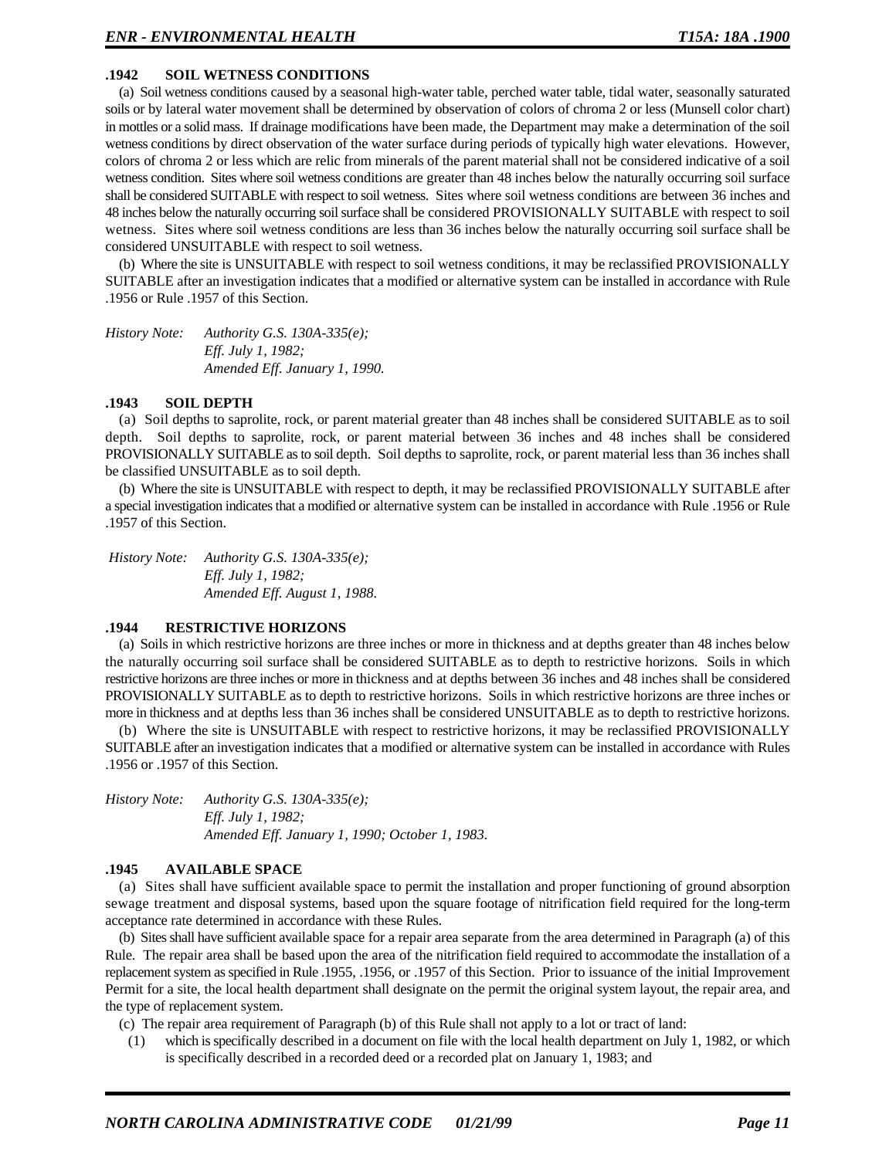# **.1942 SOIL WETNESS CONDITIONS**

(a) Soil wetness conditions caused by a seasonal high-water table, perched water table, tidal water, seasonally saturated soils or by lateral water movement shall be determined by observation of colors of chroma 2 or less (Munsell color chart) in mottles or a solid mass. If drainage modifications have been made, the Department may make a determination of the soil wetness conditions by direct observation of the water surface during periods of typically high water elevations. However, colors of chroma 2 or less which are relic from minerals of the parent material shall not be considered indicative of a soil wetness condition. Sites where soil wetness conditions are greater than 48 inches below the naturally occurring soil surface shall be considered SUITABLE with respect to soil wetness. Sites where soil wetness conditions are between 36 inches and 48 inches below the naturally occurring soil surface shall be considered PROVISIONALLY SUITABLE with respect to soil wetness. Sites where soil wetness conditions are less than 36 inches below the naturally occurring soil surface shall be considered UNSUITABLE with respect to soil wetness.

(b) Where the site is UNSUITABLE with respect to soil wetness conditions, it may be reclassified PROVISIONALLY SUITABLE after an investigation indicates that a modified or alternative system can be installed in accordance with Rule .1956 or Rule .1957 of this Section.

*History Note: Authority G.S. 130A-335(e); Eff. July 1, 1982; Amended Eff. January 1, 1990.*

#### **.1943 SOIL DEPTH**

(a) Soil depths to saprolite, rock, or parent material greater than 48 inches shall be considered SUITABLE as to soil depth. Soil depths to saprolite, rock, or parent material between 36 inches and 48 inches shall be considered PROVISIONALLY SUITABLE as to soil depth. Soil depths to saprolite, rock, or parent material less than 36 inches shall be classified UNSUITABLE as to soil depth.

(b) Where the site is UNSUITABLE with respect to depth, it may be reclassified PROVISIONALLY SUITABLE after a special investigation indicates that a modified or alternative system can be installed in accordance with Rule .1956 or Rule .1957 of this Section.

 *History Note: Authority G.S. 130A-335(e); Eff. July 1, 1982; Amended Eff. August 1, 1988.*

## **.1944 RESTRICTIVE HORIZONS**

(a) Soils in which restrictive horizons are three inches or more in thickness and at depths greater than 48 inches below the naturally occurring soil surface shall be considered SUITABLE as to depth to restrictive horizons. Soils in which restrictive horizons are three inches or more in thickness and at depths between 36 inches and 48 inches shall be considered PROVISIONALLY SUITABLE as to depth to restrictive horizons. Soils in which restrictive horizons are three inches or more in thickness and at depths less than 36 inches shall be considered UNSUITABLE as to depth to restrictive horizons.

(b) Where the site is UNSUITABLE with respect to restrictive horizons, it may be reclassified PROVISIONALLY SUITABLE after an investigation indicates that a modified or alternative system can be installed in accordance with Rules .1956 or .1957 of this Section.

*History Note: Authority G.S. 130A-335(e); Eff. July 1, 1982; Amended Eff. January 1, 1990; October 1, 1983.*

# **.1945 AVAILABLE SPACE**

(a) Sites shall have sufficient available space to permit the installation and proper functioning of ground absorption sewage treatment and disposal systems, based upon the square footage of nitrification field required for the long-term acceptance rate determined in accordance with these Rules.

(b) Sites shall have sufficient available space for a repair area separate from the area determined in Paragraph (a) of this Rule. The repair area shall be based upon the area of the nitrification field required to accommodate the installation of a replacement system as specified in Rule .1955, .1956, or .1957 of this Section. Prior to issuance of the initial Improvement Permit for a site, the local health department shall designate on the permit the original system layout, the repair area, and the type of replacement system.

(c) The repair area requirement of Paragraph (b) of this Rule shall not apply to a lot or tract of land:

(1) which is specifically described in a document on file with the local health department on July 1, 1982, or which is specifically described in a recorded deed or a recorded plat on January 1, 1983; and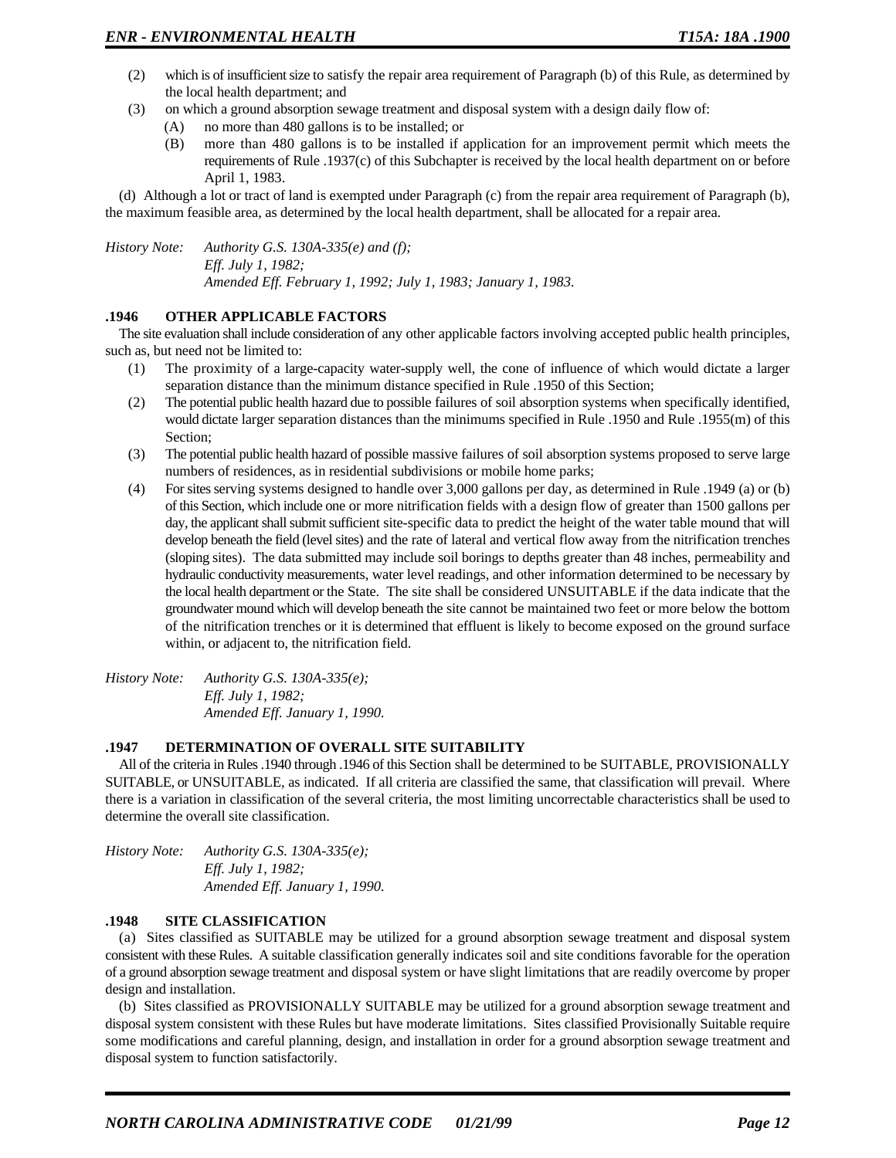- (2) which is of insufficient size to satisfy the repair area requirement of Paragraph (b) of this Rule, as determined by the local health department; and
- (3) on which a ground absorption sewage treatment and disposal system with a design daily flow of:
	- (A) no more than 480 gallons is to be installed; or
	- (B) more than 480 gallons is to be installed if application for an improvement permit which meets the requirements of Rule .1937(c) of this Subchapter is received by the local health department on or before April 1, 1983.

(d) Although a lot or tract of land is exempted under Paragraph (c) from the repair area requirement of Paragraph (b), the maximum feasible area, as determined by the local health department, shall be allocated for a repair area.

*History Note: Authority G.S. 130A-335(e) and (f); Eff. July 1, 1982; Amended Eff. February 1, 1992; July 1, 1983; January 1, 1983.*

# **.1946 OTHER APPLICABLE FACTORS**

The site evaluation shall include consideration of any other applicable factors involving accepted public health principles, such as, but need not be limited to:

- (1) The proximity of a large-capacity water-supply well, the cone of influence of which would dictate a larger separation distance than the minimum distance specified in Rule .1950 of this Section;
- (2) The potential public health hazard due to possible failures of soil absorption systems when specifically identified, would dictate larger separation distances than the minimums specified in Rule .1950 and Rule .1955(m) of this Section;
- (3) The potential public health hazard of possible massive failures of soil absorption systems proposed to serve large numbers of residences, as in residential subdivisions or mobile home parks;
- (4) For sites serving systems designed to handle over 3,000 gallons per day, as determined in Rule .1949 (a) or (b) of this Section, which include one or more nitrification fields with a design flow of greater than 1500 gallons per day, the applicant shall submit sufficient site-specific data to predict the height of the water table mound that will develop beneath the field (level sites) and the rate of lateral and vertical flow away from the nitrification trenches (sloping sites). The data submitted may include soil borings to depths greater than 48 inches, permeability and hydraulic conductivity measurements, water level readings, and other information determined to be necessary by the local health department or the State. The site shall be considered UNSUITABLE if the data indicate that the groundwater mound which will develop beneath the site cannot be maintained two feet or more below the bottom of the nitrification trenches or it is determined that effluent is likely to become exposed on the ground surface within, or adjacent to, the nitrification field.

*History Note: Authority G.S. 130A-335(e); Eff. July 1, 1982; Amended Eff. January 1, 1990.*

### **.1947 DETERMINATION OF OVERALL SITE SUITABILITY**

All of the criteria in Rules .1940 through .1946 of this Section shall be determined to be SUITABLE, PROVISIONALLY SUITABLE, or UNSUITABLE, as indicated. If all criteria are classified the same, that classification will prevail. Where there is a variation in classification of the several criteria, the most limiting uncorrectable characteristics shall be used to determine the overall site classification.

*History Note: Authority G.S. 130A-335(e); Eff. July 1, 1982; Amended Eff. January 1, 1990.*

### **.1948 SITE CLASSIFICATION**

(a) Sites classified as SUITABLE may be utilized for a ground absorption sewage treatment and disposal system consistent with these Rules. A suitable classification generally indicates soil and site conditions favorable for the operation of a ground absorption sewage treatment and disposal system or have slight limitations that are readily overcome by proper design and installation.

(b) Sites classified as PROVISIONALLY SUITABLE may be utilized for a ground absorption sewage treatment and disposal system consistent with these Rules but have moderate limitations. Sites classified Provisionally Suitable require some modifications and careful planning, design, and installation in order for a ground absorption sewage treatment and disposal system to function satisfactorily.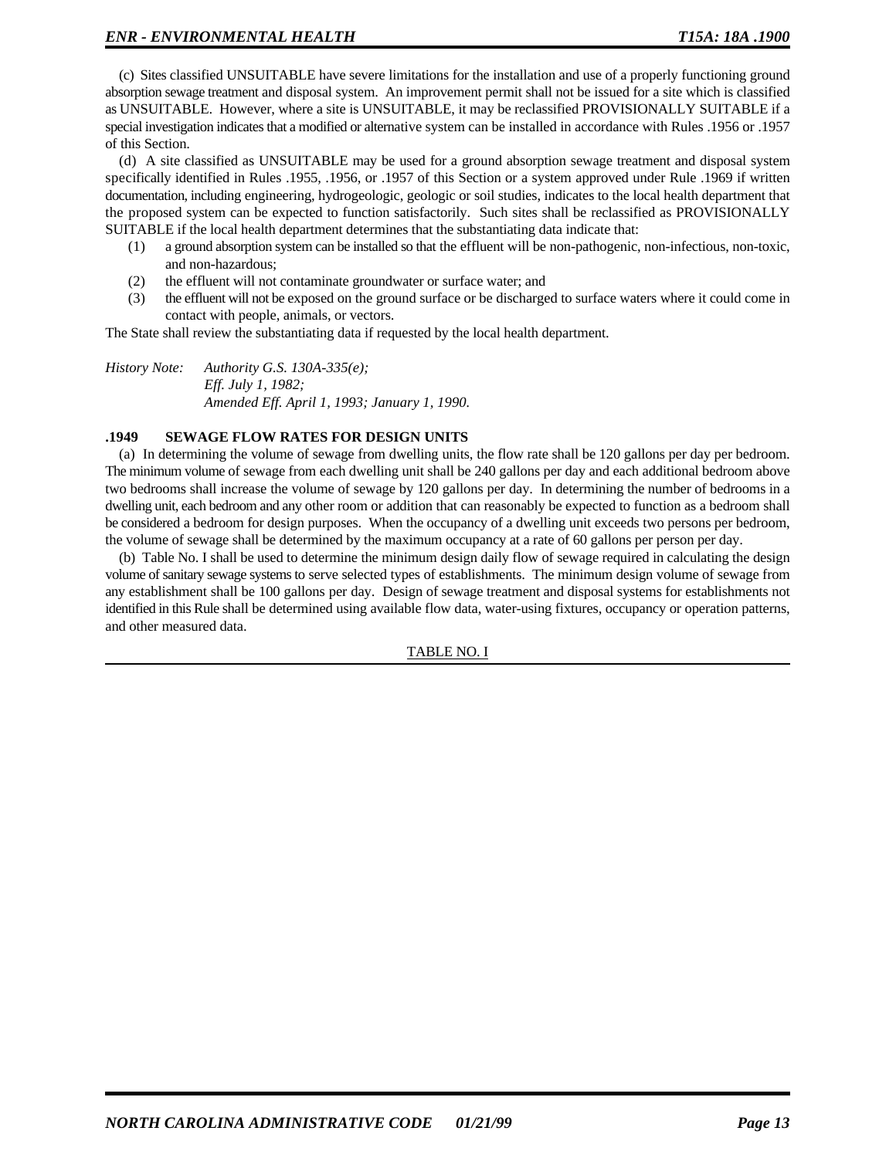(c) Sites classified UNSUITABLE have severe limitations for the installation and use of a properly functioning ground absorption sewage treatment and disposal system. An improvement permit shall not be issued for a site which is classified as UNSUITABLE. However, where a site is UNSUITABLE, it may be reclassified PROVISIONALLY SUITABLE if a special investigation indicates that a modified or alternative system can be installed in accordance with Rules .1956 or .1957 of this Section.

(d) A site classified as UNSUITABLE may be used for a ground absorption sewage treatment and disposal system specifically identified in Rules .1955, .1956, or .1957 of this Section or a system approved under Rule .1969 if written documentation, including engineering, hydrogeologic, geologic or soil studies, indicates to the local health department that the proposed system can be expected to function satisfactorily. Such sites shall be reclassified as PROVISIONALLY SUITABLE if the local health department determines that the substantiating data indicate that:

- (1) a ground absorption system can be installed so that the effluent will be non-pathogenic, non-infectious, non-toxic, and non-hazardous;
- (2) the effluent will not contaminate groundwater or surface water; and
- (3) the effluent will not be exposed on the ground surface or be discharged to surface waters where it could come in contact with people, animals, or vectors.

The State shall review the substantiating data if requested by the local health department.

*History Note: Authority G.S. 130A-335(e); Eff. July 1, 1982; Amended Eff. April 1, 1993; January 1, 1990.*

### **.1949 SEWAGE FLOW RATES FOR DESIGN UNITS**

(a) In determining the volume of sewage from dwelling units, the flow rate shall be 120 gallons per day per bedroom. The minimum volume of sewage from each dwelling unit shall be 240 gallons per day and each additional bedroom above two bedrooms shall increase the volume of sewage by 120 gallons per day. In determining the number of bedrooms in a dwelling unit, each bedroom and any other room or addition that can reasonably be expected to function as a bedroom shall be considered a bedroom for design purposes. When the occupancy of a dwelling unit exceeds two persons per bedroom, the volume of sewage shall be determined by the maximum occupancy at a rate of 60 gallons per person per day.

(b) Table No. I shall be used to determine the minimum design daily flow of sewage required in calculating the design volume of sanitary sewage systems to serve selected types of establishments. The minimum design volume of sewage from any establishment shall be 100 gallons per day. Design of sewage treatment and disposal systems for establishments not identified in this Rule shall be determined using available flow data, water-using fixtures, occupancy or operation patterns, and other measured data.

# TABLE NO. I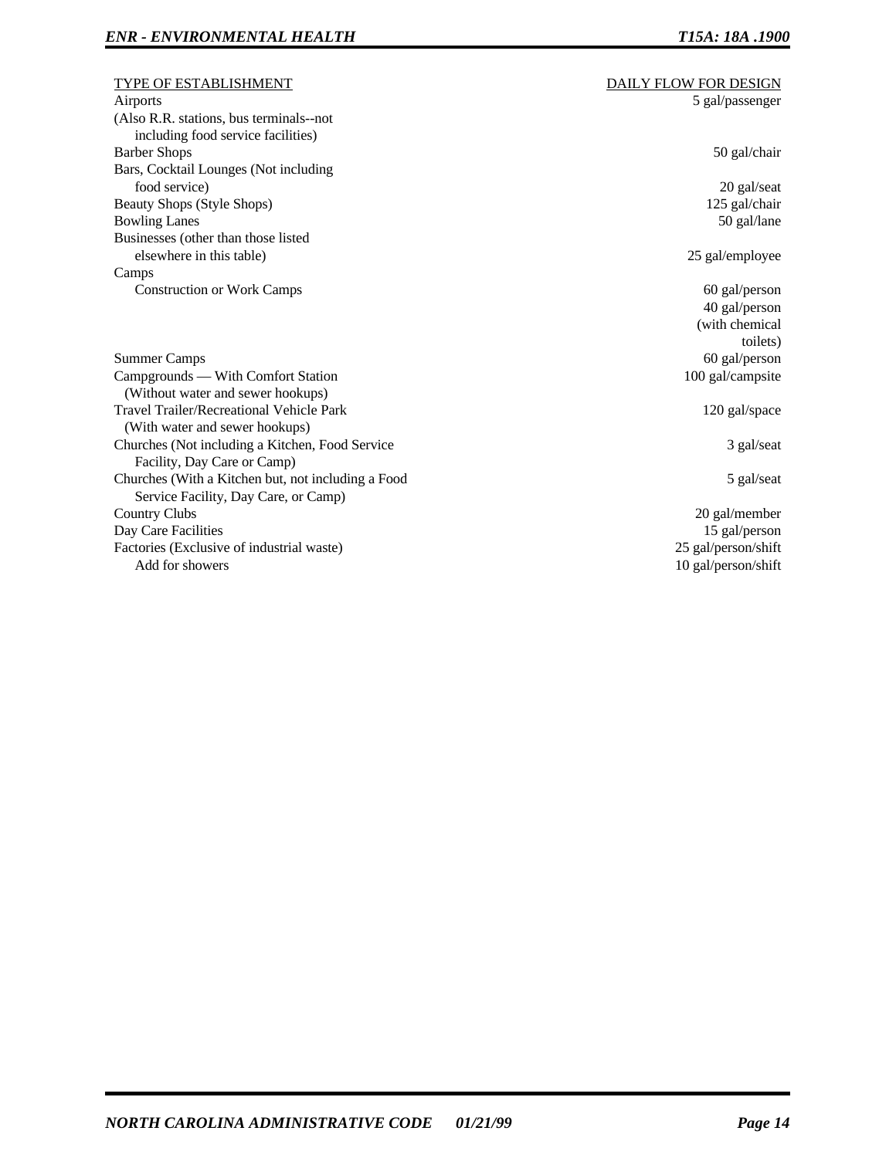| <b>TYPE OF ESTABLISHMENT</b>                       | DAILY FLOW FOR DESIGN |
|----------------------------------------------------|-----------------------|
| Airports                                           | 5 gal/passenger       |
| (Also R.R. stations, bus terminals--not            |                       |
| including food service facilities)                 |                       |
| <b>Barber Shops</b>                                | 50 gal/chair          |
| Bars, Cocktail Lounges (Not including              |                       |
| food service)                                      | 20 gal/seat           |
| <b>Beauty Shops (Style Shops)</b>                  | 125 gal/chair         |
| <b>Bowling Lanes</b>                               | 50 gal/lane           |
| Businesses (other than those listed                |                       |
| elsewhere in this table)                           | 25 gal/employee       |
| Camps                                              |                       |
| <b>Construction or Work Camps</b>                  | $60$ gal/person       |
|                                                    | 40 gal/person         |
|                                                    | (with chemical        |
|                                                    | toilets)              |
| <b>Summer Camps</b>                                | 60 gal/person         |
| Campgrounds — With Comfort Station                 | 100 gal/campsite      |
| (Without water and sewer hookups)                  |                       |
| Travel Trailer/Recreational Vehicle Park           | 120 gal/space         |
| (With water and sewer hookups)                     |                       |
| Churches (Not including a Kitchen, Food Service    | 3 gal/seat            |
| Facility, Day Care or Camp)                        |                       |
| Churches (With a Kitchen but, not including a Food | 5 gal/seat            |
| Service Facility, Day Care, or Camp)               |                       |
| <b>Country Clubs</b>                               | 20 gal/member         |
| Day Care Facilities                                | 15 gal/person         |
| Factories (Exclusive of industrial waste)          | 25 gal/person/shift   |
| Add for showers                                    | 10 gal/person/shift   |
|                                                    |                       |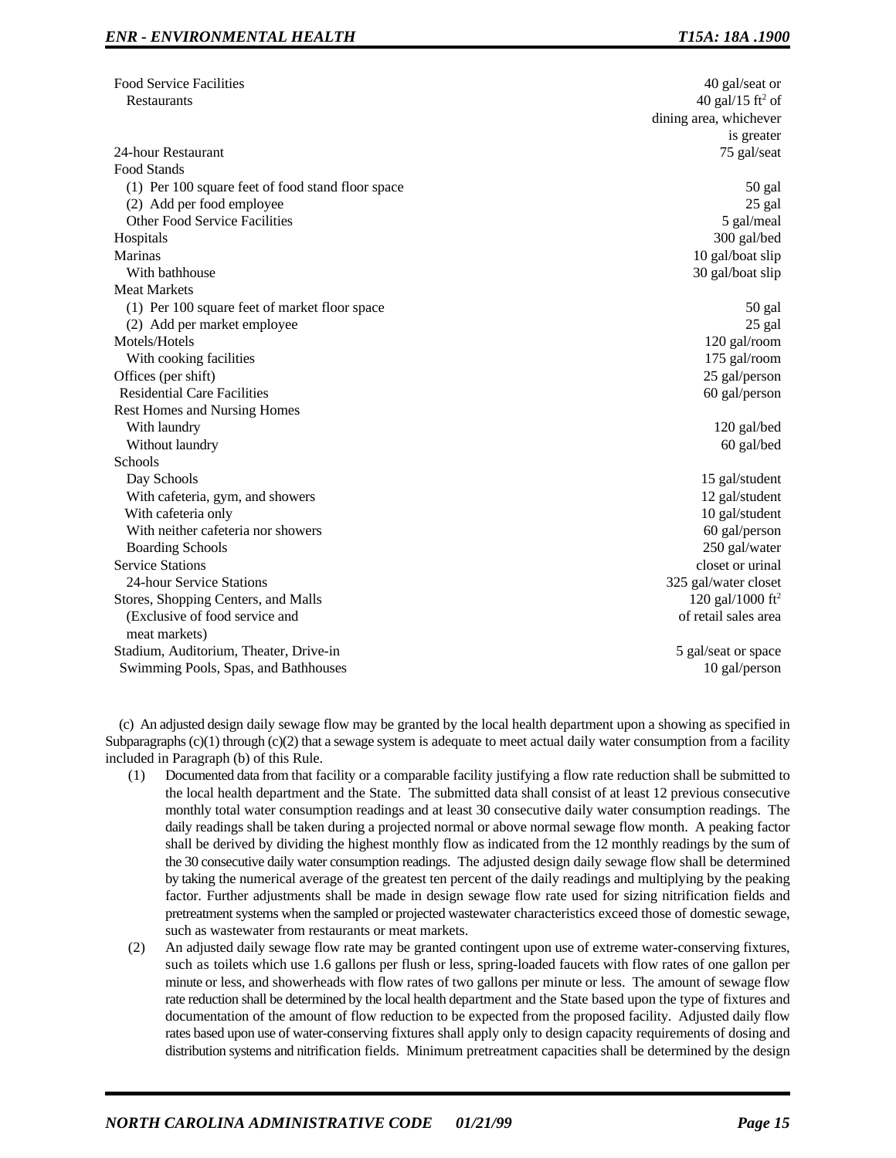| <b>Food Service Facilities</b>                    | 40 gal/seat or               |
|---------------------------------------------------|------------------------------|
| Restaurants                                       | 40 gal/15 ft <sup>2</sup> of |
|                                                   | dining area, whichever       |
|                                                   | is greater                   |
| 24-hour Restaurant                                | 75 gal/seat                  |
| Food Stands                                       |                              |
| (1) Per 100 square feet of food stand floor space | 50 gal                       |
| (2) Add per food employee                         | 25 gal                       |
| Other Food Service Facilities                     | 5 gal/meal                   |
| Hospitals                                         | 300 gal/bed                  |
| <b>Marinas</b>                                    | 10 gal/boat slip             |
| With bathhouse                                    | 30 gal/boat slip             |
| <b>Meat Markets</b>                               |                              |
| (1) Per 100 square feet of market floor space     | 50 gal                       |
| (2) Add per market employee                       | 25 gal                       |
| Motels/Hotels                                     | 120 gal/room                 |
| With cooking facilities                           | 175 gal/room                 |
| Offices (per shift)                               | 25 gal/person                |
| <b>Residential Care Facilities</b>                | 60 gal/person                |
| Rest Homes and Nursing Homes                      |                              |
| With laundry                                      | 120 gal/bed                  |
| Without laundry                                   | 60 gal/bed                   |
| Schools                                           |                              |
| Day Schools                                       | 15 gal/student               |
| With cafeteria, gym, and showers                  | 12 gal/student               |
| With cafeteria only                               | 10 gal/student               |
| With neither cafeteria nor showers                | 60 gal/person                |
| <b>Boarding Schools</b>                           | 250 gal/water                |
| <b>Service Stations</b>                           | closet or urinal             |
| 24-hour Service Stations                          | 325 gal/water closet         |
| Stores, Shopping Centers, and Malls               | 120 gal/1000 ft <sup>2</sup> |
| (Exclusive of food service and                    | of retail sales area         |
| meat markets)                                     |                              |
| Stadium, Auditorium, Theater, Drive-in            | 5 gal/seat or space          |
| Swimming Pools, Spas, and Bathhouses              | 10 gal/person                |
|                                                   |                              |

(c) An adjusted design daily sewage flow may be granted by the local health department upon a showing as specified in Subparagraphs  $(c)(1)$  through  $(c)(2)$  that a sewage system is adequate to meet actual daily water consumption from a facility included in Paragraph (b) of this Rule.

- (1) Documented data from that facility or a comparable facility justifying a flow rate reduction shall be submitted to the local health department and the State. The submitted data shall consist of at least 12 previous consecutive monthly total water consumption readings and at least 30 consecutive daily water consumption readings. The daily readings shall be taken during a projected normal or above normal sewage flow month. A peaking factor shall be derived by dividing the highest monthly flow as indicated from the 12 monthly readings by the sum of the 30 consecutive daily water consumption readings. The adjusted design daily sewage flow shall be determined by taking the numerical average of the greatest ten percent of the daily readings and multiplying by the peaking factor. Further adjustments shall be made in design sewage flow rate used for sizing nitrification fields and pretreatment systems when the sampled or projected wastewater characteristics exceed those of domestic sewage, such as wastewater from restaurants or meat markets.
- (2) An adjusted daily sewage flow rate may be granted contingent upon use of extreme water-conserving fixtures, such as toilets which use 1.6 gallons per flush or less, spring-loaded faucets with flow rates of one gallon per minute or less, and showerheads with flow rates of two gallons per minute or less. The amount of sewage flow rate reduction shall be determined by the local health department and the State based upon the type of fixtures and documentation of the amount of flow reduction to be expected from the proposed facility. Adjusted daily flow rates based upon use of water-conserving fixtures shall apply only to design capacity requirements of dosing and distribution systems and nitrification fields. Minimum pretreatment capacities shall be determined by the design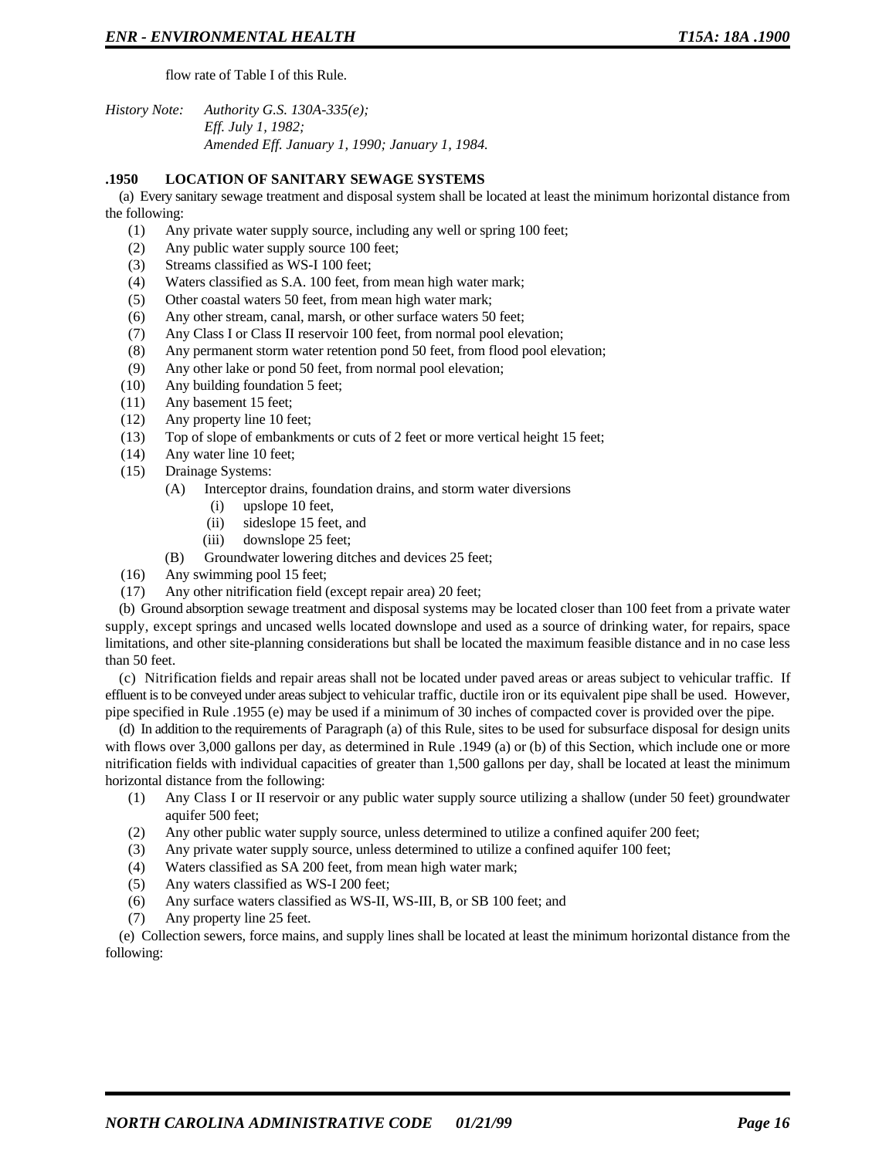flow rate of Table I of this Rule.

*History Note: Authority G.S. 130A-335(e); Eff. July 1, 1982; Amended Eff. January 1, 1990; January 1, 1984.*

#### **.1950 LOCATION OF SANITARY SEWAGE SYSTEMS**

(a) Every sanitary sewage treatment and disposal system shall be located at least the minimum horizontal distance from the following:

- (1) Any private water supply source, including any well or spring 100 feet;
- (2) Any public water supply source 100 feet;
- (3) Streams classified as WS-I 100 feet;
- (4) Waters classified as S.A. 100 feet, from mean high water mark;
- (5) Other coastal waters 50 feet, from mean high water mark;
- (6) Any other stream, canal, marsh, or other surface waters 50 feet;
- (7) Any Class I or Class II reservoir 100 feet, from normal pool elevation;
- (8) Any permanent storm water retention pond 50 feet, from flood pool elevation;
- (9) Any other lake or pond 50 feet, from normal pool elevation;
- (10) Any building foundation 5 feet;
- (11) Any basement 15 feet;
- (12) Any property line 10 feet;
- (13) Top of slope of embankments or cuts of 2 feet or more vertical height 15 feet;
- (14) Any water line 10 feet;
- (15) Drainage Systems:
	- (A) Interceptor drains, foundation drains, and storm water diversions
		- (i) upslope 10 feet,
		- (ii) sideslope 15 feet, and
		- (iii) downslope 25 feet;
	- (B) Groundwater lowering ditches and devices 25 feet;
- (16) Any swimming pool 15 feet;
- (17) Any other nitrification field (except repair area) 20 feet;

(b) Ground absorption sewage treatment and disposal systems may be located closer than 100 feet from a private water supply, except springs and uncased wells located downslope and used as a source of drinking water, for repairs, space limitations, and other site-planning considerations but shall be located the maximum feasible distance and in no case less than 50 feet.

(c) Nitrification fields and repair areas shall not be located under paved areas or areas subject to vehicular traffic. If effluent is to be conveyed under areas subject to vehicular traffic, ductile iron or its equivalent pipe shall be used. However, pipe specified in Rule .1955 (e) may be used if a minimum of 30 inches of compacted cover is provided over the pipe.

(d) In addition to the requirements of Paragraph (a) of this Rule, sites to be used for subsurface disposal for design units with flows over 3,000 gallons per day, as determined in Rule .1949 (a) or (b) of this Section, which include one or more nitrification fields with individual capacities of greater than 1,500 gallons per day, shall be located at least the minimum horizontal distance from the following:

- (1) Any Class I or II reservoir or any public water supply source utilizing a shallow (under 50 feet) groundwater aquifer 500 feet;
- (2) Any other public water supply source, unless determined to utilize a confined aquifer 200 feet;
- (3) Any private water supply source, unless determined to utilize a confined aquifer 100 feet;
- (4) Waters classified as SA 200 feet, from mean high water mark;
- (5) Any waters classified as WS-I 200 feet;
- (6) Any surface waters classified as WS-II, WS-III, B, or SB 100 feet; and
- (7) Any property line 25 feet.

(e) Collection sewers, force mains, and supply lines shall be located at least the minimum horizontal distance from the following: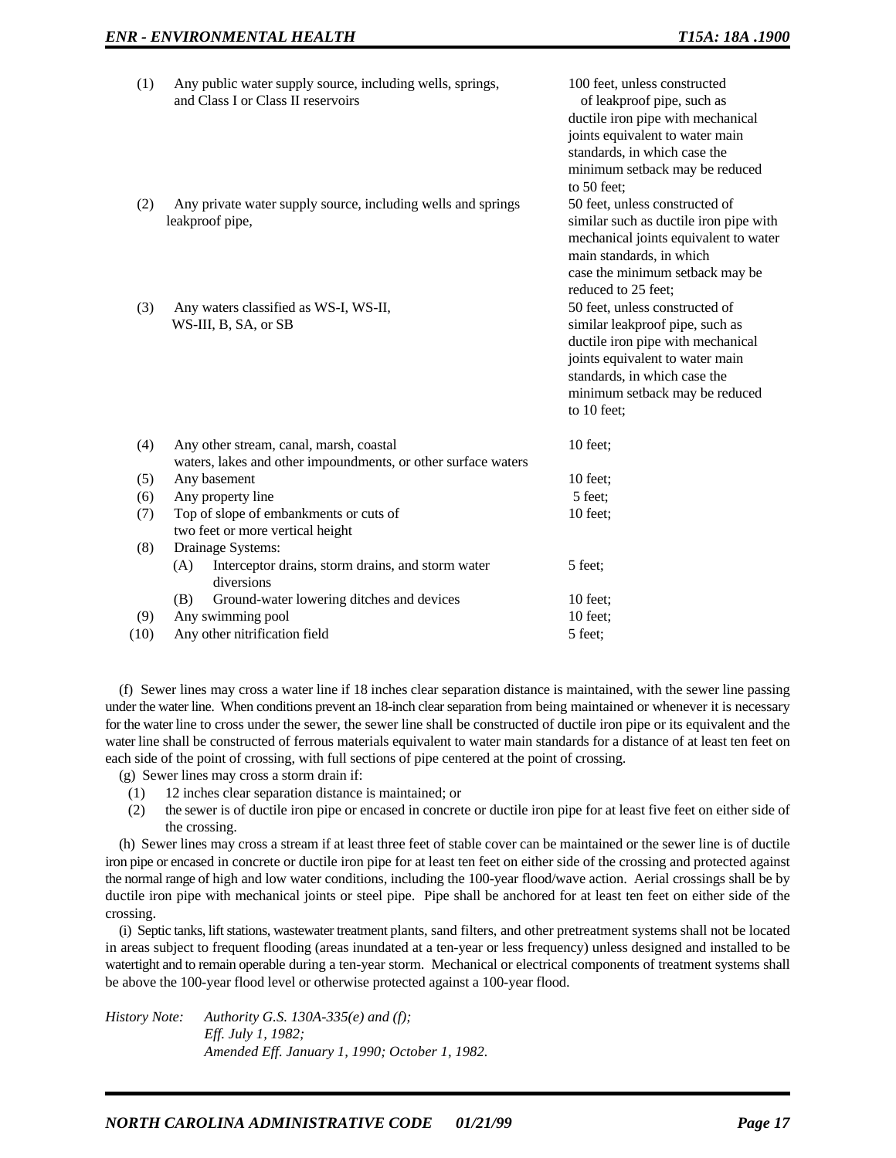| (1)  | Any public water supply source, including wells, springs,<br>and Class I or Class II reservoirs          | 100 feet, unless constructed<br>of leakproof pipe, such as<br>ductile iron pipe with mechanical<br>joints equivalent to water main<br>standards, in which case the<br>minimum setback may be reduced<br>to 50 feet:        |
|------|----------------------------------------------------------------------------------------------------------|----------------------------------------------------------------------------------------------------------------------------------------------------------------------------------------------------------------------------|
| (2)  | Any private water supply source, including wells and springs<br>leakproof pipe,                          | 50 feet, unless constructed of<br>similar such as ductile iron pipe with<br>mechanical joints equivalent to water<br>main standards, in which<br>case the minimum setback may be<br>reduced to 25 feet;                    |
| (3)  | Any waters classified as WS-I, WS-II,<br>WS-III, B, SA, or SB                                            | 50 feet, unless constructed of<br>similar leakproof pipe, such as<br>ductile iron pipe with mechanical<br>joints equivalent to water main<br>standards, in which case the<br>minimum setback may be reduced<br>to 10 feet; |
| (4)  | Any other stream, canal, marsh, coastal<br>waters, lakes and other impoundments, or other surface waters | $10$ feet;                                                                                                                                                                                                                 |
| (5)  | Any basement                                                                                             | 10 feet:                                                                                                                                                                                                                   |
| (6)  | Any property line                                                                                        | 5 feet;                                                                                                                                                                                                                    |
| (7)  | Top of slope of embankments or cuts of<br>two feet or more vertical height                               | 10 feet;                                                                                                                                                                                                                   |
| (8)  | Drainage Systems:<br>Interceptor drains, storm drains, and storm water<br>(A)<br>diversions              | 5 feet;                                                                                                                                                                                                                    |
|      | Ground-water lowering ditches and devices<br>(B)                                                         | $10$ feet;                                                                                                                                                                                                                 |
| (9)  | Any swimming pool                                                                                        | $10$ feet;                                                                                                                                                                                                                 |
| (10) | Any other nitrification field                                                                            | 5 feet;                                                                                                                                                                                                                    |

(f) Sewer lines may cross a water line if 18 inches clear separation distance is maintained, with the sewer line passing under the water line. When conditions prevent an 18-inch clear separation from being maintained or whenever it is necessary for the water line to cross under the sewer, the sewer line shall be constructed of ductile iron pipe or its equivalent and the water line shall be constructed of ferrous materials equivalent to water main standards for a distance of at least ten feet on each side of the point of crossing, with full sections of pipe centered at the point of crossing.

(g) Sewer lines may cross a storm drain if:

- (1) 12 inches clear separation distance is maintained; or
- (2) the sewer is of ductile iron pipe or encased in concrete or ductile iron pipe for at least five feet on either side of the crossing.

(h) Sewer lines may cross a stream if at least three feet of stable cover can be maintained or the sewer line is of ductile iron pipe or encased in concrete or ductile iron pipe for at least ten feet on either side of the crossing and protected against the normal range of high and low water conditions, including the 100-year flood/wave action. Aerial crossings shall be by ductile iron pipe with mechanical joints or steel pipe. Pipe shall be anchored for at least ten feet on either side of the crossing.

(i) Septic tanks, lift stations, wastewater treatment plants, sand filters, and other pretreatment systems shall not be located in areas subject to frequent flooding (areas inundated at a ten-year or less frequency) unless designed and installed to be watertight and to remain operable during a ten-year storm. Mechanical or electrical components of treatment systems shall be above the 100-year flood level or otherwise protected against a 100-year flood.

*History Note: Authority G.S. 130A-335(e) and (f); Eff. July 1, 1982; Amended Eff. January 1, 1990; October 1, 1982.*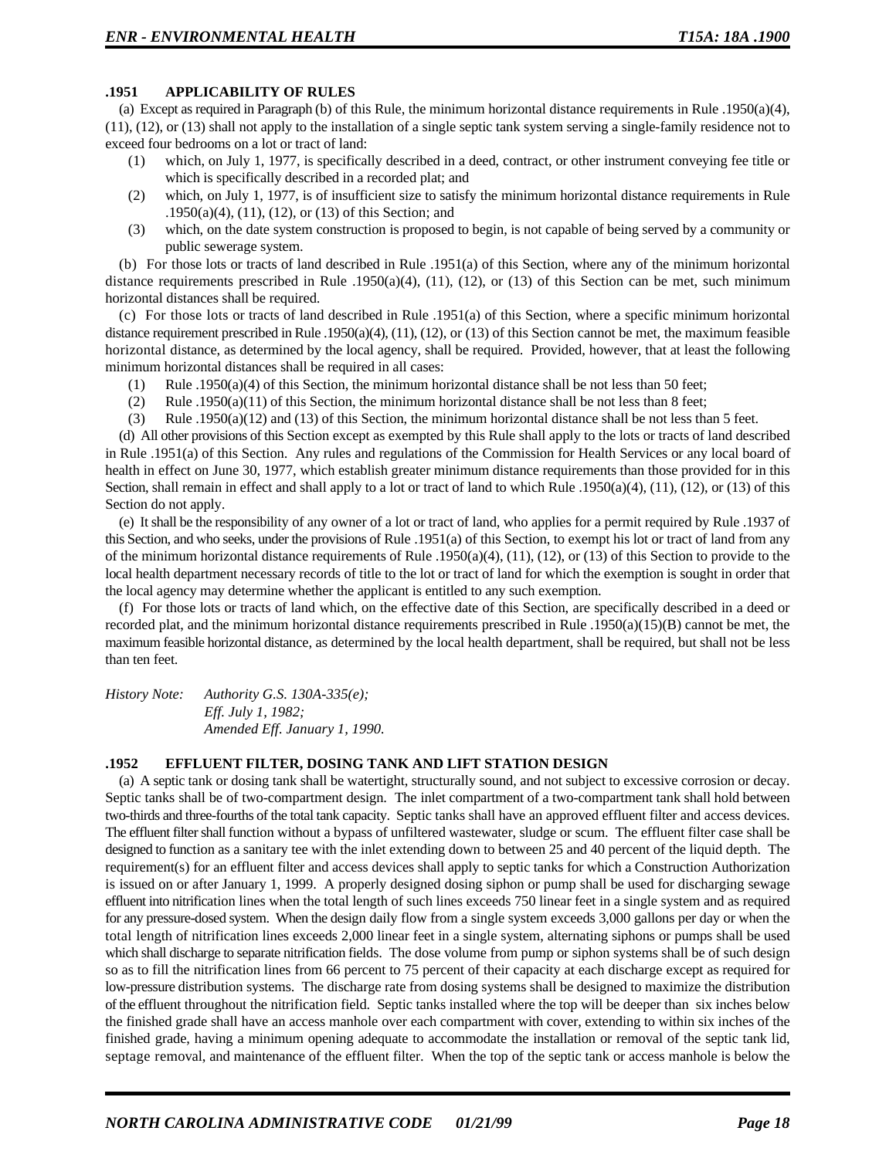### **.1951 APPLICABILITY OF RULES**

(a) Except as required in Paragraph (b) of this Rule, the minimum horizontal distance requirements in Rule .1950(a)(4), (11), (12), or (13) shall not apply to the installation of a single septic tank system serving a single-family residence not to exceed four bedrooms on a lot or tract of land:

- (1) which, on July 1, 1977, is specifically described in a deed, contract, or other instrument conveying fee title or which is specifically described in a recorded plat; and
- (2) which, on July 1, 1977, is of insufficient size to satisfy the minimum horizontal distance requirements in Rule .1950(a)(4), (11), (12), or (13) of this Section; and
- (3) which, on the date system construction is proposed to begin, is not capable of being served by a community or public sewerage system.

(b) For those lots or tracts of land described in Rule .1951(a) of this Section, where any of the minimum horizontal distance requirements prescribed in Rule .1950(a)(4), (11), (12), or (13) of this Section can be met, such minimum horizontal distances shall be required.

(c) For those lots or tracts of land described in Rule .1951(a) of this Section, where a specific minimum horizontal distance requirement prescribed in Rule .1950(a)(4), (11), (12), or (13) of this Section cannot be met, the maximum feasible horizontal distance, as determined by the local agency, shall be required. Provided, however, that at least the following minimum horizontal distances shall be required in all cases:

- (1) Rule .1950(a)(4) of this Section, the minimum horizontal distance shall be not less than 50 feet;
- (2) Rule .1950(a)(11) of this Section, the minimum horizontal distance shall be not less than 8 feet;
- (3) Rule .1950(a)(12) and (13) of this Section, the minimum horizontal distance shall be not less than 5 feet.

(d) All other provisions of this Section except as exempted by this Rule shall apply to the lots or tracts of land described in Rule .1951(a) of this Section. Any rules and regulations of the Commission for Health Services or any local board of health in effect on June 30, 1977, which establish greater minimum distance requirements than those provided for in this Section, shall remain in effect and shall apply to a lot or tract of land to which Rule .1950(a)(4), (11), (12), or (13) of this Section do not apply.

(e) It shall be the responsibility of any owner of a lot or tract of land, who applies for a permit required by Rule .1937 of this Section, and who seeks, under the provisions of Rule .1951(a) of this Section, to exempt his lot or tract of land from any of the minimum horizontal distance requirements of Rule .1950(a)(4), (11), (12), or (13) of this Section to provide to the local health department necessary records of title to the lot or tract of land for which the exemption is sought in order that the local agency may determine whether the applicant is entitled to any such exemption.

(f) For those lots or tracts of land which, on the effective date of this Section, are specifically described in a deed or recorded plat, and the minimum horizontal distance requirements prescribed in Rule .1950(a)(15)(B) cannot be met, the maximum feasible horizontal distance, as determined by the local health department, shall be required, but shall not be less than ten feet.

*History Note: Authority G.S. 130A-335(e); Eff. July 1, 1982; Amended Eff. January 1, 1990.*

### **.1952 EFFLUENT FILTER, DOSING TANK AND LIFT STATION DESIGN**

(a) A septic tank or dosing tank shall be watertight, structurally sound, and not subject to excessive corrosion or decay. Septic tanks shall be of two-compartment design. The inlet compartment of a two-compartment tank shall hold between two-thirds and three-fourths of the total tank capacity. Septic tanks shall have an approved effluent filter and access devices. The effluent filter shall function without a bypass of unfiltered wastewater, sludge or scum. The effluent filter case shall be designed to function as a sanitary tee with the inlet extending down to between 25 and 40 percent of the liquid depth. The requirement(s) for an effluent filter and access devices shall apply to septic tanks for which a Construction Authorization is issued on or after January 1, 1999. A properly designed dosing siphon or pump shall be used for discharging sewage effluent into nitrification lines when the total length of such lines exceeds 750 linear feet in a single system and as required for any pressure-dosed system. When the design daily flow from a single system exceeds 3,000 gallons per day or when the total length of nitrification lines exceeds 2,000 linear feet in a single system, alternating siphons or pumps shall be used which shall discharge to separate nitrification fields. The dose volume from pump or siphon systems shall be of such design so as to fill the nitrification lines from 66 percent to 75 percent of their capacity at each discharge except as required for low-pressure distribution systems. The discharge rate from dosing systems shall be designed to maximize the distribution of the effluent throughout the nitrification field. Septic tanks installed where the top will be deeper than six inches below the finished grade shall have an access manhole over each compartment with cover, extending to within six inches of the finished grade, having a minimum opening adequate to accommodate the installation or removal of the septic tank lid, septage removal, and maintenance of the effluent filter. When the top of the septic tank or access manhole is below the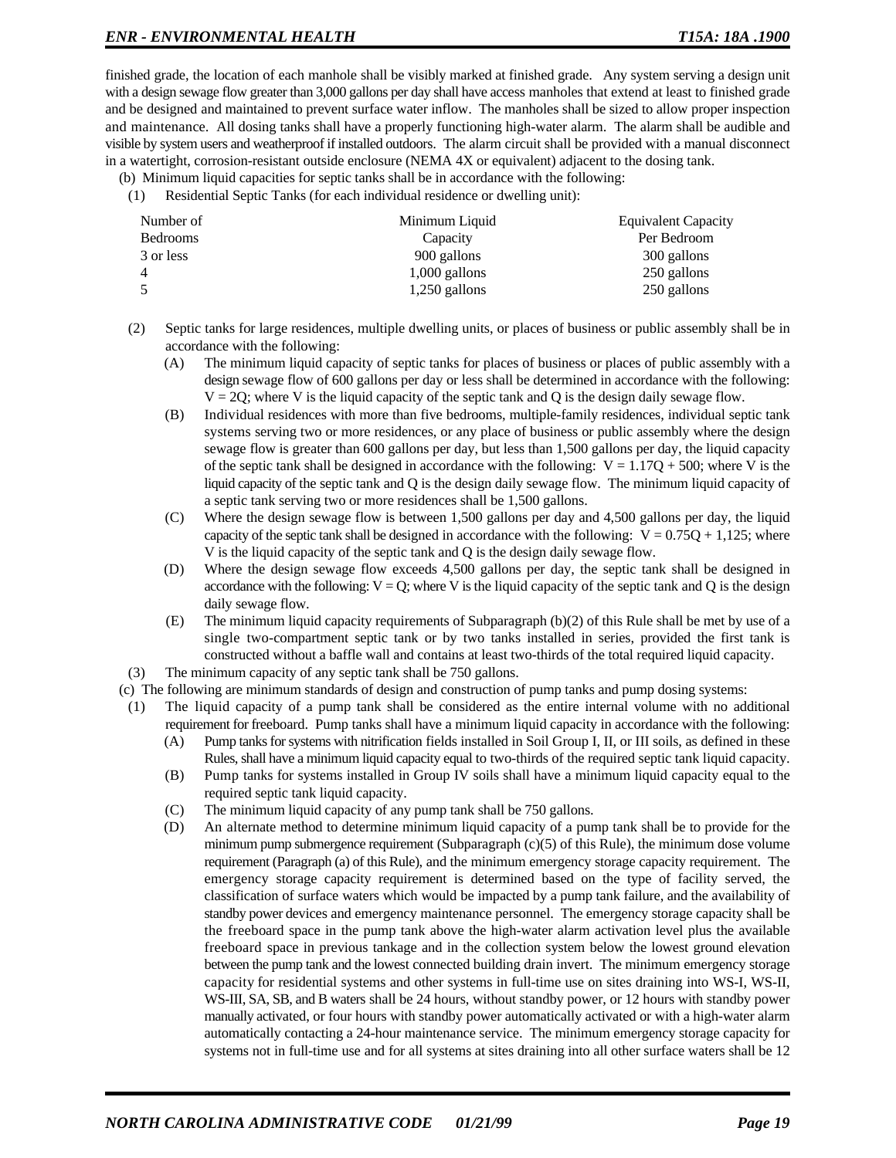finished grade, the location of each manhole shall be visibly marked at finished grade. Any system serving a design unit with a design sewage flow greater than 3,000 gallons per day shall have access manholes that extend at least to finished grade and be designed and maintained to prevent surface water inflow. The manholes shall be sized to allow proper inspection and maintenance. All dosing tanks shall have a properly functioning high-water alarm. The alarm shall be audible and visible by system users and weatherproof if installed outdoors. The alarm circuit shall be provided with a manual disconnect in a watertight, corrosion-resistant outside enclosure (NEMA 4X or equivalent) adjacent to the dosing tank.

- (b) Minimum liquid capacities for septic tanks shall be in accordance with the following:
- (1) Residential Septic Tanks (for each individual residence or dwelling unit):

| Number of | Minimum Liquid  | Equivalent Capacity |
|-----------|-----------------|---------------------|
| Bedrooms  | Capacity        | Per Bedroom         |
| 3 or less | 900 gallons     | 300 gallons         |
|           | $1,000$ gallons | 250 gallons         |
|           | $1,250$ gallons | 250 gallons         |

- (2) Septic tanks for large residences, multiple dwelling units, or places of business or public assembly shall be in accordance with the following:
	- (A) The minimum liquid capacity of septic tanks for places of business or places of public assembly with a design sewage flow of 600 gallons per day or less shall be determined in accordance with the following:  $V = 2Q$ ; where V is the liquid capacity of the septic tank and Q is the design daily sewage flow.
	- (B) Individual residences with more than five bedrooms, multiple-family residences, individual septic tank systems serving two or more residences, or any place of business or public assembly where the design sewage flow is greater than 600 gallons per day, but less than 1,500 gallons per day, the liquid capacity of the septic tank shall be designed in accordance with the following:  $V = 1.17Q + 500$ ; where V is the liquid capacity of the septic tank and Q is the design daily sewage flow. The minimum liquid capacity of a septic tank serving two or more residences shall be 1,500 gallons.
	- (C) Where the design sewage flow is between 1,500 gallons per day and 4,500 gallons per day, the liquid capacity of the septic tank shall be designed in accordance with the following:  $V = 0.75Q + 1.125$ ; where V is the liquid capacity of the septic tank and Q is the design daily sewage flow.
	- (D) Where the design sewage flow exceeds 4,500 gallons per day, the septic tank shall be designed in accordance with the following:  $V = Q$ ; where V is the liquid capacity of the septic tank and Q is the design daily sewage flow.
	- (E) The minimum liquid capacity requirements of Subparagraph (b)(2) of this Rule shall be met by use of a single two-compartment septic tank or by two tanks installed in series, provided the first tank is constructed without a baffle wall and contains at least two-thirds of the total required liquid capacity.
- (3) The minimum capacity of any septic tank shall be 750 gallons.
- (c) The following are minimum standards of design and construction of pump tanks and pump dosing systems:
- (1) The liquid capacity of a pump tank shall be considered as the entire internal volume with no additional requirement for freeboard. Pump tanks shall have a minimum liquid capacity in accordance with the following:
	- (A) Pump tanks for systems with nitrification fields installed in Soil Group I, II, or III soils, as defined in these Rules, shall have a minimum liquid capacity equal to two-thirds of the required septic tank liquid capacity.
	- (B) Pump tanks for systems installed in Group IV soils shall have a minimum liquid capacity equal to the required septic tank liquid capacity.
	- (C) The minimum liquid capacity of any pump tank shall be 750 gallons.
	- (D) An alternate method to determine minimum liquid capacity of a pump tank shall be to provide for the minimum pump submergence requirement (Subparagraph (c)(5) of this Rule), the minimum dose volume requirement (Paragraph (a) of this Rule), and the minimum emergency storage capacity requirement. The emergency storage capacity requirement is determined based on the type of facility served, the classification of surface waters which would be impacted by a pump tank failure, and the availability of standby power devices and emergency maintenance personnel. The emergency storage capacity shall be the freeboard space in the pump tank above the high-water alarm activation level plus the available freeboard space in previous tankage and in the collection system below the lowest ground elevation between the pump tank and the lowest connected building drain invert. The minimum emergency storage capacity for residential systems and other systems in full-time use on sites draining into WS-I, WS-II, WS-III, SA, SB, and B waters shall be 24 hours, without standby power, or 12 hours with standby power manually activated, or four hours with standby power automatically activated or with a high-water alarm automatically contacting a 24-hour maintenance service. The minimum emergency storage capacity for systems not in full-time use and for all systems at sites draining into all other surface waters shall be 12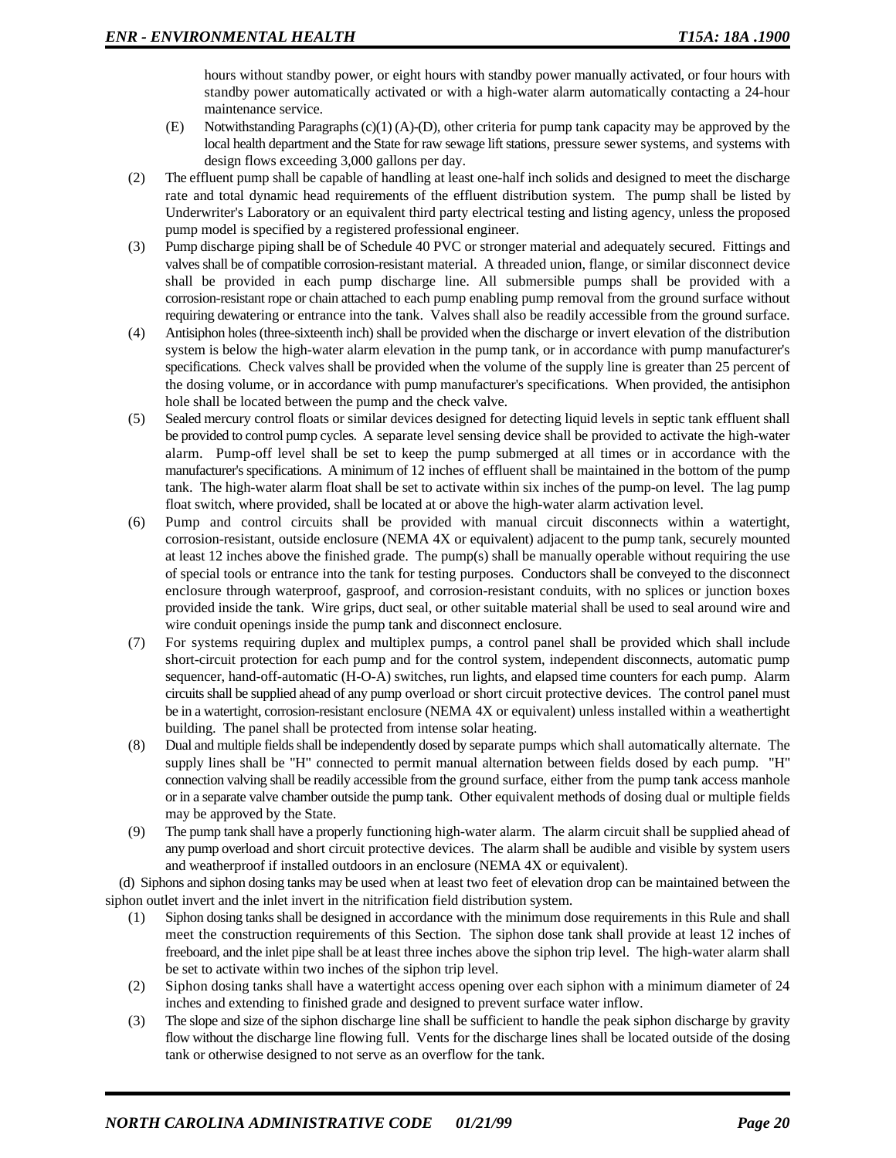hours without standby power, or eight hours with standby power manually activated, or four hours with standby power automatically activated or with a high-water alarm automatically contacting a 24-hour maintenance service.

- (E) Notwithstanding Paragraphs (c)(1) (A)-(D), other criteria for pump tank capacity may be approved by the local health department and the State for raw sewage lift stations, pressure sewer systems, and systems with design flows exceeding 3,000 gallons per day.
- (2) The effluent pump shall be capable of handling at least one-half inch solids and designed to meet the discharge rate and total dynamic head requirements of the effluent distribution system. The pump shall be listed by Underwriter's Laboratory or an equivalent third party electrical testing and listing agency, unless the proposed pump model is specified by a registered professional engineer.
- (3) Pump discharge piping shall be of Schedule 40 PVC or stronger material and adequately secured. Fittings and valves shall be of compatible corrosion-resistant material. A threaded union, flange, or similar disconnect device shall be provided in each pump discharge line. All submersible pumps shall be provided with a corrosion-resistant rope or chain attached to each pump enabling pump removal from the ground surface without requiring dewatering or entrance into the tank. Valves shall also be readily accessible from the ground surface.
- (4) Antisiphon holes (three-sixteenth inch) shall be provided when the discharge or invert elevation of the distribution system is below the high-water alarm elevation in the pump tank, or in accordance with pump manufacturer's specifications. Check valves shall be provided when the volume of the supply line is greater than 25 percent of the dosing volume, or in accordance with pump manufacturer's specifications. When provided, the antisiphon hole shall be located between the pump and the check valve.
- (5) Sealed mercury control floats or similar devices designed for detecting liquid levels in septic tank effluent shall be provided to control pump cycles. A separate level sensing device shall be provided to activate the high-water alarm. Pump-off level shall be set to keep the pump submerged at all times or in accordance with the manufacturer's specifications. A minimum of 12 inches of effluent shall be maintained in the bottom of the pump tank. The high-water alarm float shall be set to activate within six inches of the pump-on level. The lag pump float switch, where provided, shall be located at or above the high-water alarm activation level.
- (6) Pump and control circuits shall be provided with manual circuit disconnects within a watertight, corrosion-resistant, outside enclosure (NEMA 4X or equivalent) adjacent to the pump tank, securely mounted at least 12 inches above the finished grade. The pump(s) shall be manually operable without requiring the use of special tools or entrance into the tank for testing purposes. Conductors shall be conveyed to the disconnect enclosure through waterproof, gasproof, and corrosion-resistant conduits, with no splices or junction boxes provided inside the tank. Wire grips, duct seal, or other suitable material shall be used to seal around wire and wire conduit openings inside the pump tank and disconnect enclosure.
- (7) For systems requiring duplex and multiplex pumps, a control panel shall be provided which shall include short-circuit protection for each pump and for the control system, independent disconnects, automatic pump sequencer, hand-off-automatic (H-O-A) switches, run lights, and elapsed time counters for each pump. Alarm circuits shall be supplied ahead of any pump overload or short circuit protective devices. The control panel must be in a watertight, corrosion-resistant enclosure (NEMA 4X or equivalent) unless installed within a weathertight building. The panel shall be protected from intense solar heating.
- (8) Dual and multiple fields shall be independently dosed by separate pumps which shall automatically alternate. The supply lines shall be "H" connected to permit manual alternation between fields dosed by each pump. "H" connection valving shall be readily accessible from the ground surface, either from the pump tank access manhole or in a separate valve chamber outside the pump tank. Other equivalent methods of dosing dual or multiple fields may be approved by the State.
- (9) The pump tank shall have a properly functioning high-water alarm. The alarm circuit shall be supplied ahead of any pump overload and short circuit protective devices. The alarm shall be audible and visible by system users and weatherproof if installed outdoors in an enclosure (NEMA 4X or equivalent).

(d) Siphons and siphon dosing tanks may be used when at least two feet of elevation drop can be maintained between the siphon outlet invert and the inlet invert in the nitrification field distribution system.

- (1) Siphon dosing tanks shall be designed in accordance with the minimum dose requirements in this Rule and shall meet the construction requirements of this Section. The siphon dose tank shall provide at least 12 inches of freeboard, and the inlet pipe shall be at least three inches above the siphon trip level. The high-water alarm shall be set to activate within two inches of the siphon trip level.
- (2) Siphon dosing tanks shall have a watertight access opening over each siphon with a minimum diameter of 24 inches and extending to finished grade and designed to prevent surface water inflow.
- (3) The slope and size of the siphon discharge line shall be sufficient to handle the peak siphon discharge by gravity flow without the discharge line flowing full. Vents for the discharge lines shall be located outside of the dosing tank or otherwise designed to not serve as an overflow for the tank.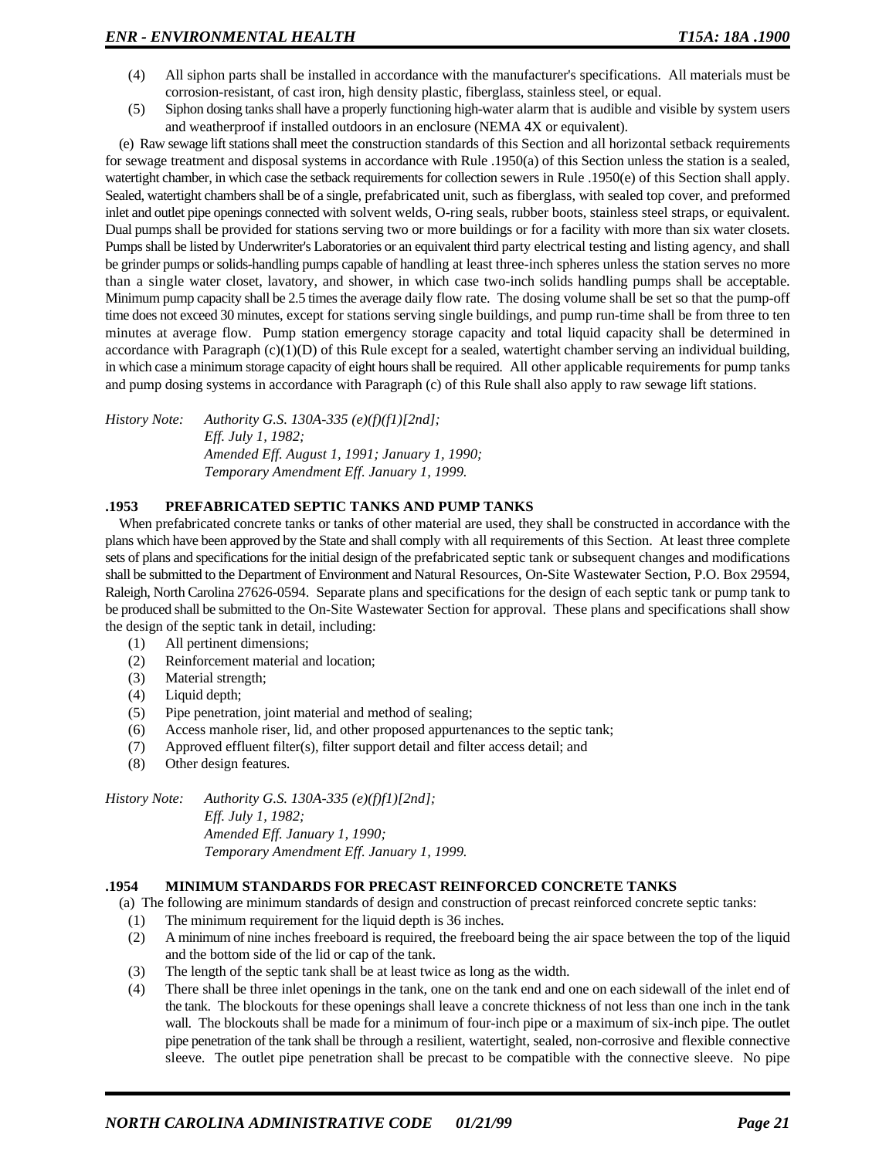- (4) All siphon parts shall be installed in accordance with the manufacturer's specifications. All materials must be corrosion-resistant, of cast iron, high density plastic, fiberglass, stainless steel, or equal.
- (5) Siphon dosing tanks shall have a properly functioning high-water alarm that is audible and visible by system users and weatherproof if installed outdoors in an enclosure (NEMA 4X or equivalent).

(e) Raw sewage lift stations shall meet the construction standards of this Section and all horizontal setback requirements for sewage treatment and disposal systems in accordance with Rule .1950(a) of this Section unless the station is a sealed, watertight chamber, in which case the setback requirements for collection sewers in Rule .1950(e) of this Section shall apply. Sealed, watertight chambers shall be of a single, prefabricated unit, such as fiberglass, with sealed top cover, and preformed inlet and outlet pipe openings connected with solvent welds, O-ring seals, rubber boots, stainless steel straps, or equivalent. Dual pumps shall be provided for stations serving two or more buildings or for a facility with more than six water closets. Pumps shall be listed by Underwriter's Laboratories or an equivalent third party electrical testing and listing agency, and shall be grinder pumps or solids-handling pumps capable of handling at least three-inch spheres unless the station serves no more than a single water closet, lavatory, and shower, in which case two-inch solids handling pumps shall be acceptable. Minimum pump capacity shall be 2.5 times the average daily flow rate. The dosing volume shall be set so that the pump-off time does not exceed 30 minutes, except for stations serving single buildings, and pump run-time shall be from three to ten minutes at average flow. Pump station emergency storage capacity and total liquid capacity shall be determined in accordance with Paragraph  $(c)(1)(D)$  of this Rule except for a sealed, watertight chamber serving an individual building, in which case a minimum storage capacity of eight hours shall be required. All other applicable requirements for pump tanks and pump dosing systems in accordance with Paragraph (c) of this Rule shall also apply to raw sewage lift stations.

*History Note: Authority G.S. 130A-335 (e)(f)(f1)[2nd]; Eff. July 1, 1982; Amended Eff. August 1, 1991; January 1, 1990; Temporary Amendment Eff. January 1, 1999.*

# **.1953 PREFABRICATED SEPTIC TANKS AND PUMP TANKS**

When prefabricated concrete tanks or tanks of other material are used, they shall be constructed in accordance with the plans which have been approved by the State and shall comply with all requirements of this Section. At least three complete sets of plans and specifications for the initial design of the prefabricated septic tank or subsequent changes and modifications shall be submitted to the Department of Environment and Natural Resources, On-Site Wastewater Section, P.O. Box 29594, Raleigh, North Carolina 27626-0594. Separate plans and specifications for the design of each septic tank or pump tank to be produced shall be submitted to the On-Site Wastewater Section for approval. These plans and specifications shall show the design of the septic tank in detail, including:

- (1) All pertinent dimensions;
- (2) Reinforcement material and location;
- (3) Material strength;
- (4) Liquid depth;
- (5) Pipe penetration, joint material and method of sealing;
- (6) Access manhole riser, lid, and other proposed appurtenances to the septic tank;
- (7) Approved effluent filter(s), filter support detail and filter access detail; and
- (8) Other design features.

*History Note: Authority G.S. 130A-335 (e)(f)f1)[2nd]; Eff. July 1, 1982; Amended Eff. January 1, 1990; Temporary Amendment Eff. January 1, 1999.*

#### **.1954 MINIMUM STANDARDS FOR PRECAST REINFORCED CONCRETE TANKS**

(a) The following are minimum standards of design and construction of precast reinforced concrete septic tanks:

- (1) The minimum requirement for the liquid depth is 36 inches.
- (2) A minimum of nine inches freeboard is required, the freeboard being the air space between the top of the liquid and the bottom side of the lid or cap of the tank.
- (3) The length of the septic tank shall be at least twice as long as the width.
- (4) There shall be three inlet openings in the tank, one on the tank end and one on each sidewall of the inlet end of the tank. The blockouts for these openings shall leave a concrete thickness of not less than one inch in the tank wall. The blockouts shall be made for a minimum of four-inch pipe or a maximum of six-inch pipe. The outlet pipe penetration of the tank shall be through a resilient, watertight, sealed, non-corrosive and flexible connective sleeve. The outlet pipe penetration shall be precast to be compatible with the connective sleeve. No pipe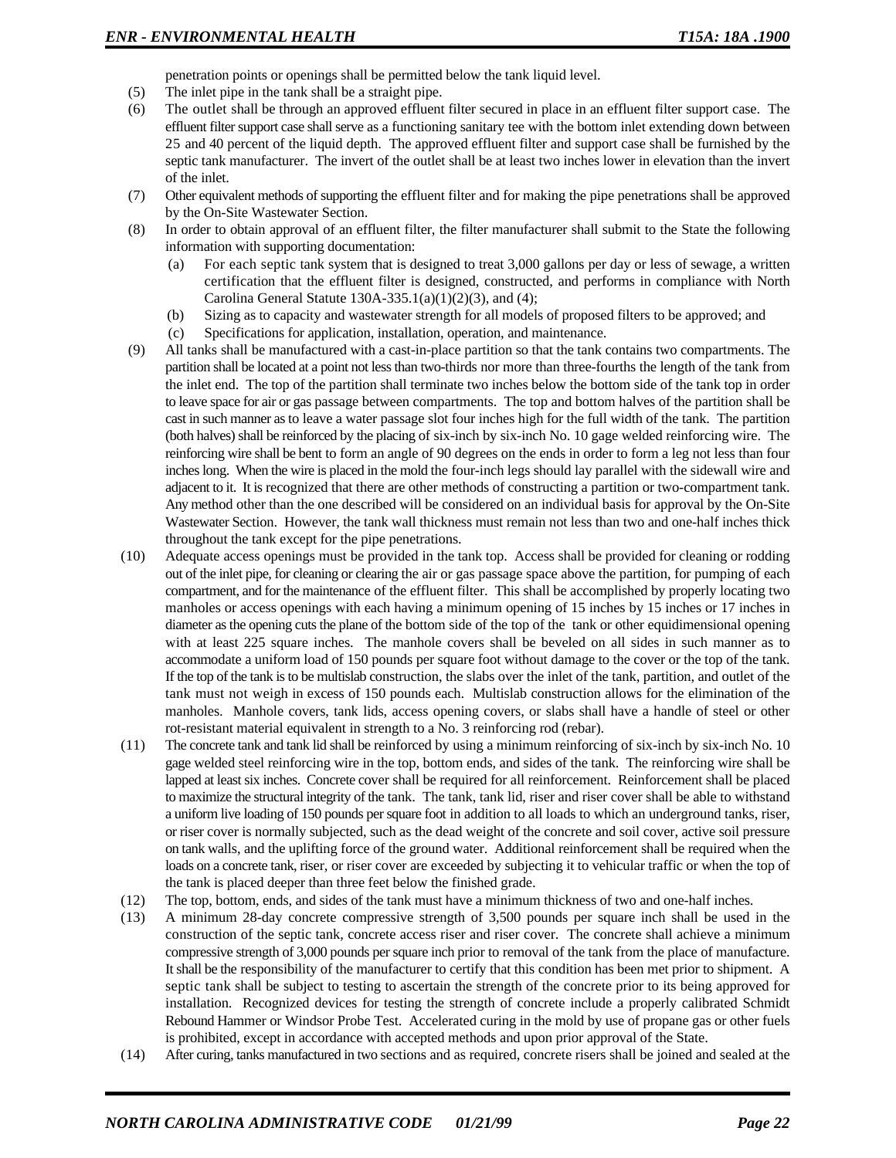penetration points or openings shall be permitted below the tank liquid level.

- (5) The inlet pipe in the tank shall be a straight pipe.
- (6) The outlet shall be through an approved effluent filter secured in place in an effluent filter support case. The effluent filter support case shall serve as a functioning sanitary tee with the bottom inlet extending down between 25 and 40 percent of the liquid depth. The approved effluent filter and support case shall be furnished by the septic tank manufacturer. The invert of the outlet shall be at least two inches lower in elevation than the invert of the inlet.
- (7) Other equivalent methods of supporting the effluent filter and for making the pipe penetrations shall be approved by the On-Site Wastewater Section.
- (8) In order to obtain approval of an effluent filter, the filter manufacturer shall submit to the State the following information with supporting documentation:
	- (a) For each septic tank system that is designed to treat 3,000 gallons per day or less of sewage, a written certification that the effluent filter is designed, constructed, and performs in compliance with North Carolina General Statute  $130A-335.1(a)(1)(2)(3)$ , and (4);
	- (b) Sizing as to capacity and wastewater strength for all models of proposed filters to be approved; and
	- (c) Specifications for application, installation, operation, and maintenance.
- (9) All tanks shall be manufactured with a cast-in-place partition so that the tank contains two compartments. The partition shall be located at a point not less than two-thirds nor more than three-fourths the length of the tank from the inlet end. The top of the partition shall terminate two inches below the bottom side of the tank top in order to leave space for air or gas passage between compartments. The top and bottom halves of the partition shall be cast in such manner as to leave a water passage slot four inches high for the full width of the tank. The partition (both halves) shall be reinforced by the placing of six-inch by six-inch No. 10 gage welded reinforcing wire. The reinforcing wire shall be bent to form an angle of 90 degrees on the ends in order to form a leg not less than four inches long. When the wire is placed in the mold the four-inch legs should lay parallel with the sidewall wire and adjacent to it. It is recognized that there are other methods of constructing a partition or two-compartment tank. Any method other than the one described will be considered on an individual basis for approval by the On-Site Wastewater Section. However, the tank wall thickness must remain not less than two and one-half inches thick throughout the tank except for the pipe penetrations.
- (10) Adequate access openings must be provided in the tank top. Access shall be provided for cleaning or rodding out of the inlet pipe, for cleaning or clearing the air or gas passage space above the partition, for pumping of each compartment, and for the maintenance of the effluent filter. This shall be accomplished by properly locating two manholes or access openings with each having a minimum opening of 15 inches by 15 inches or 17 inches in diameter as the opening cuts the plane of the bottom side of the top of the tank or other equidimensional opening with at least 225 square inches. The manhole covers shall be beveled on all sides in such manner as to accommodate a uniform load of 150 pounds per square foot without damage to the cover or the top of the tank. If the top of the tank is to be multislab construction, the slabs over the inlet of the tank, partition, and outlet of the tank must not weigh in excess of 150 pounds each. Multislab construction allows for the elimination of the manholes. Manhole covers, tank lids, access opening covers, or slabs shall have a handle of steel or other rot-resistant material equivalent in strength to a No. 3 reinforcing rod (rebar).
- (11) The concrete tank and tank lid shall be reinforced by using a minimum reinforcing of six-inch by six-inch No. 10 gage welded steel reinforcing wire in the top, bottom ends, and sides of the tank. The reinforcing wire shall be lapped at least six inches. Concrete cover shall be required for all reinforcement. Reinforcement shall be placed to maximize the structural integrity of the tank. The tank, tank lid, riser and riser cover shall be able to withstand a uniform live loading of 150 pounds per square foot in addition to all loads to which an underground tanks, riser, or riser cover is normally subjected, such as the dead weight of the concrete and soil cover, active soil pressure on tank walls, and the uplifting force of the ground water. Additional reinforcement shall be required when the loads on a concrete tank, riser, or riser cover are exceeded by subjecting it to vehicular traffic or when the top of the tank is placed deeper than three feet below the finished grade.
- (12) The top, bottom, ends, and sides of the tank must have a minimum thickness of two and one-half inches.
- (13) A minimum 28-day concrete compressive strength of 3,500 pounds per square inch shall be used in the construction of the septic tank, concrete access riser and riser cover. The concrete shall achieve a minimum compressive strength of 3,000 pounds per square inch prior to removal of the tank from the place of manufacture. It shall be the responsibility of the manufacturer to certify that this condition has been met prior to shipment. A septic tank shall be subject to testing to ascertain the strength of the concrete prior to its being approved for installation. Recognized devices for testing the strength of concrete include a properly calibrated Schmidt Rebound Hammer or Windsor Probe Test. Accelerated curing in the mold by use of propane gas or other fuels is prohibited, except in accordance with accepted methods and upon prior approval of the State.
- (14) After curing, tanks manufactured in two sections and as required, concrete risers shall be joined and sealed at the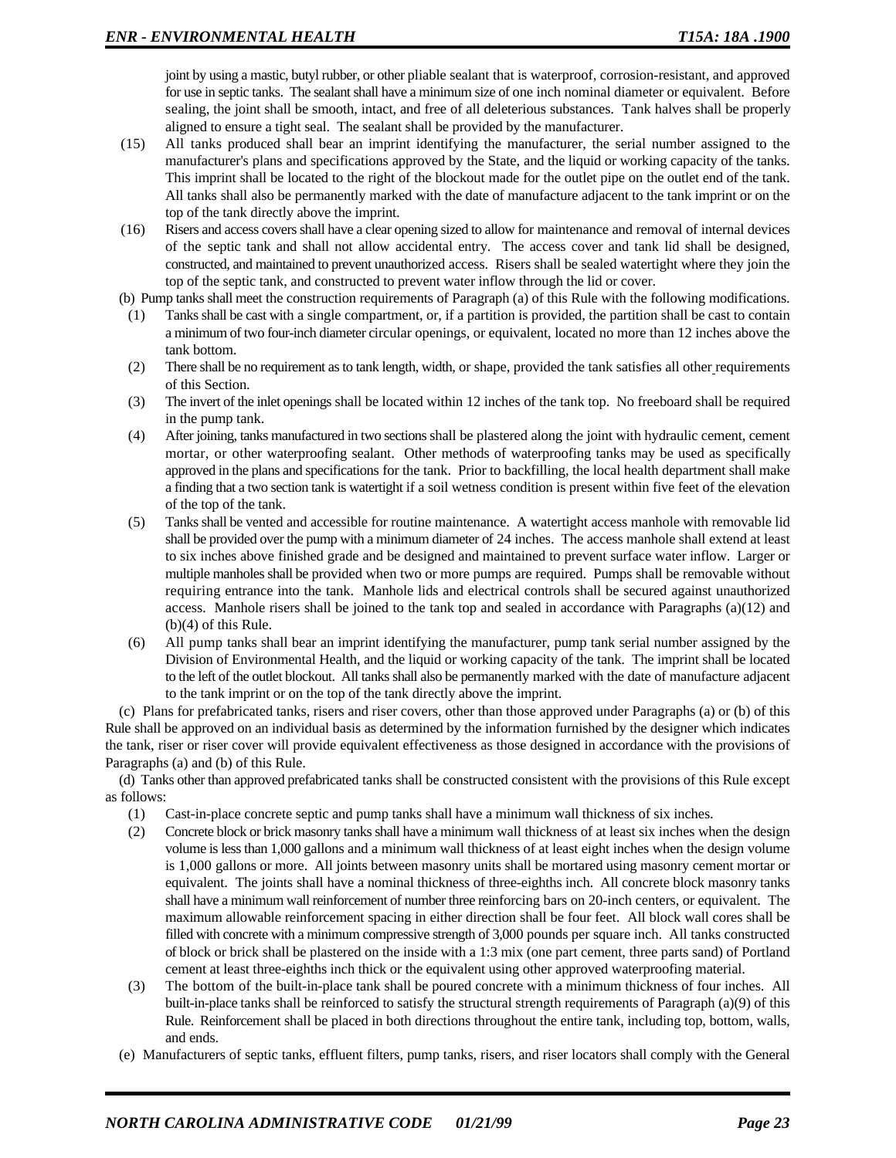joint by using a mastic, butyl rubber, or other pliable sealant that is waterproof, corrosion-resistant, and approved for use in septic tanks. The sealant shall have a minimum size of one inch nominal diameter or equivalent. Before sealing, the joint shall be smooth, intact, and free of all deleterious substances. Tank halves shall be properly aligned to ensure a tight seal. The sealant shall be provided by the manufacturer.

- (15) All tanks produced shall bear an imprint identifying the manufacturer, the serial number assigned to the manufacturer's plans and specifications approved by the State, and the liquid or working capacity of the tanks. This imprint shall be located to the right of the blockout made for the outlet pipe on the outlet end of the tank. All tanks shall also be permanently marked with the date of manufacture adjacent to the tank imprint or on the top of the tank directly above the imprint.
- (16) Risers and access covers shall have a clear opening sized to allow for maintenance and removal of internal devices of the septic tank and shall not allow accidental entry. The access cover and tank lid shall be designed, constructed, and maintained to prevent unauthorized access. Risers shall be sealed watertight where they join the top of the septic tank, and constructed to prevent water inflow through the lid or cover.
- (b) Pump tanks shall meet the construction requirements of Paragraph (a) of this Rule with the following modifications.
- (1) Tanks shall be cast with a single compartment, or, if a partition is provided, the partition shall be cast to contain a minimum of two four-inch diameter circular openings, or equivalent, located no more than 12 inches above the tank bottom.
- (2) There shall be no requirement as to tank length, width, or shape, provided the tank satisfies all other requirements of this Section.
- (3) The invert of the inlet openings shall be located within 12 inches of the tank top. No freeboard shall be required in the pump tank.
- (4) After joining, tanks manufactured in two sections shall be plastered along the joint with hydraulic cement, cement mortar, or other waterproofing sealant. Other methods of waterproofing tanks may be used as specifically approved in the plans and specifications for the tank. Prior to backfilling, the local health department shall make a finding that a two section tank is watertight if a soil wetness condition is present within five feet of the elevation of the top of the tank.
- (5) Tanks shall be vented and accessible for routine maintenance. A watertight access manhole with removable lid shall be provided over the pump with a minimum diameter of 24 inches. The access manhole shall extend at least to six inches above finished grade and be designed and maintained to prevent surface water inflow. Larger or multiple manholes shall be provided when two or more pumps are required. Pumps shall be removable without requiring entrance into the tank. Manhole lids and electrical controls shall be secured against unauthorized access. Manhole risers shall be joined to the tank top and sealed in accordance with Paragraphs (a)(12) and (b)(4) of this Rule.
- (6) All pump tanks shall bear an imprint identifying the manufacturer, pump tank serial number assigned by the Division of Environmental Health, and the liquid or working capacity of the tank. The imprint shall be located to the left of the outlet blockout. All tanks shall also be permanently marked with the date of manufacture adjacent to the tank imprint or on the top of the tank directly above the imprint.

(c) Plans for prefabricated tanks, risers and riser covers, other than those approved under Paragraphs (a) or (b) of this Rule shall be approved on an individual basis as determined by the information furnished by the designer which indicates the tank, riser or riser cover will provide equivalent effectiveness as those designed in accordance with the provisions of Paragraphs (a) and (b) of this Rule.

(d) Tanks other than approved prefabricated tanks shall be constructed consistent with the provisions of this Rule except as follows:

- (1) Cast-in-place concrete septic and pump tanks shall have a minimum wall thickness of six inches.
- (2) Concrete block or brick masonry tanks shall have a minimum wall thickness of at least six inches when the design volume is less than 1,000 gallons and a minimum wall thickness of at least eight inches when the design volume is 1,000 gallons or more. All joints between masonry units shall be mortared using masonry cement mortar or equivalent. The joints shall have a nominal thickness of three-eighths inch. All concrete block masonry tanks shall have a minimum wall reinforcement of number three reinforcing bars on 20-inch centers, or equivalent. The maximum allowable reinforcement spacing in either direction shall be four feet. All block wall cores shall be filled with concrete with a minimum compressive strength of 3,000 pounds per square inch. All tanks constructed of block or brick shall be plastered on the inside with a 1:3 mix (one part cement, three parts sand) of Portland cement at least three-eighths inch thick or the equivalent using other approved waterproofing material.
- (3) The bottom of the built-in-place tank shall be poured concrete with a minimum thickness of four inches. All built-in-place tanks shall be reinforced to satisfy the structural strength requirements of Paragraph (a)(9) of this Rule. Reinforcement shall be placed in both directions throughout the entire tank, including top, bottom, walls, and ends.
- (e) Manufacturers of septic tanks, effluent filters, pump tanks, risers, and riser locators shall comply with the General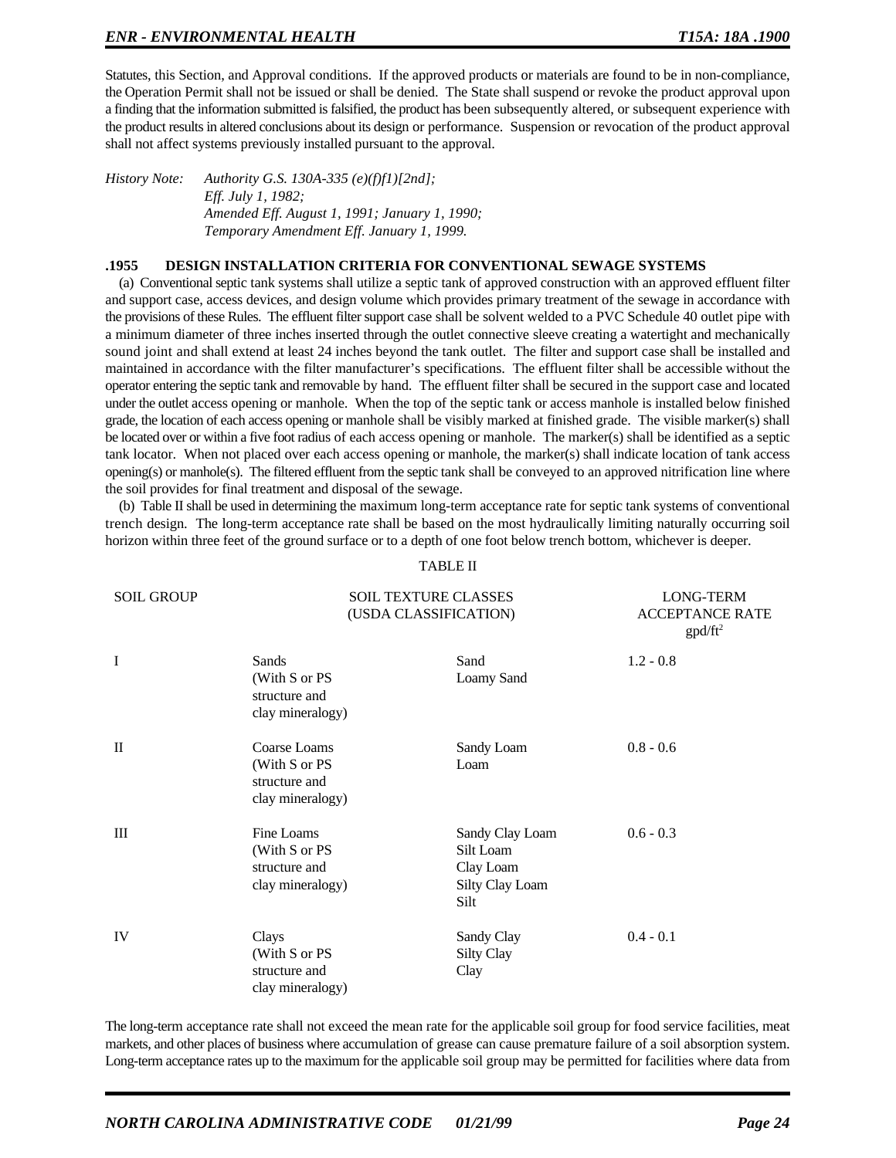Statutes, this Section, and Approval conditions. If the approved products or materials are found to be in non-compliance, the Operation Permit shall not be issued or shall be denied. The State shall suspend or revoke the product approval upon a finding that the information submitted is falsified, the product has been subsequently altered, or subsequent experience with the product results in altered conclusions about its design or performance. Suspension or revocation of the product approval shall not affect systems previously installed pursuant to the approval.

*History Note: Authority G.S. 130A-335 (e)(f)f1)[2nd]; Eff. July 1, 1982; Amended Eff. August 1, 1991; January 1, 1990; Temporary Amendment Eff. January 1, 1999.*

#### **.1955 DESIGN INSTALLATION CRITERIA FOR CONVENTIONAL SEWAGE SYSTEMS**

(a) Conventional septic tank systems shall utilize a septic tank of approved construction with an approved effluent filter and support case, access devices, and design volume which provides primary treatment of the sewage in accordance with the provisions of these Rules. The effluent filter support case shall be solvent welded to a PVC Schedule 40 outlet pipe with a minimum diameter of three inches inserted through the outlet connective sleeve creating a watertight and mechanically sound joint and shall extend at least 24 inches beyond the tank outlet. The filter and support case shall be installed and maintained in accordance with the filter manufacturer's specifications. The effluent filter shall be accessible without the operator entering the septic tank and removable by hand. The effluent filter shall be secured in the support case and located under the outlet access opening or manhole. When the top of the septic tank or access manhole is installed below finished grade, the location of each access opening or manhole shall be visibly marked at finished grade. The visible marker(s) shall be located over or within a five foot radius of each access opening or manhole. The marker(s) shall be identified as a septic tank locator. When not placed over each access opening or manhole, the marker(s) shall indicate location of tank access opening(s) or manhole(s). The filtered effluent from the septic tank shall be conveyed to an approved nitrification line where the soil provides for final treatment and disposal of the sewage.

(b) Table II shall be used in determining the maximum long-term acceptance rate for septic tank systems of conventional trench design. The long-term acceptance rate shall be based on the most hydraulically limiting naturally occurring soil horizon within three feet of the ground surface or to a depth of one foot below trench bottom, whichever is deeper.

TABLE II

| <b>SOIL GROUP</b> |                                                                     | <b>SOIL TEXTURE CLASSES</b><br>(USDA CLASSIFICATION)                 |             |
|-------------------|---------------------------------------------------------------------|----------------------------------------------------------------------|-------------|
| I                 | Sands<br>(With S or PS<br>structure and<br>clay mineralogy)         | Sand<br>Loamy Sand                                                   | $1.2 - 0.8$ |
| $\mathbf{I}$      | Coarse Loams<br>(With S or PS)<br>structure and<br>clay mineralogy) | Sandy Loam<br>Loam                                                   | $0.8 - 0.6$ |
| Ш                 | Fine Loams<br>(With S or PS<br>structure and<br>clay mineralogy)    | Sandy Clay Loam<br>Silt Loam<br>Clay Loam<br>Silty Clay Loam<br>Silt | $0.6 - 0.3$ |
| IV                | Clays<br>(With S or PS<br>structure and<br>clay mineralogy)         | Sandy Clay<br><b>Silty Clay</b><br>Clay                              | $0.4 - 0.1$ |

The long-term acceptance rate shall not exceed the mean rate for the applicable soil group for food service facilities, meat markets, and other places of business where accumulation of grease can cause premature failure of a soil absorption system. Long-term acceptance rates up to the maximum for the applicable soil group may be permitted for facilities where data from

# *NORTH CAROLINA ADMINISTRATIVE CODE 01/21/99 Page 24*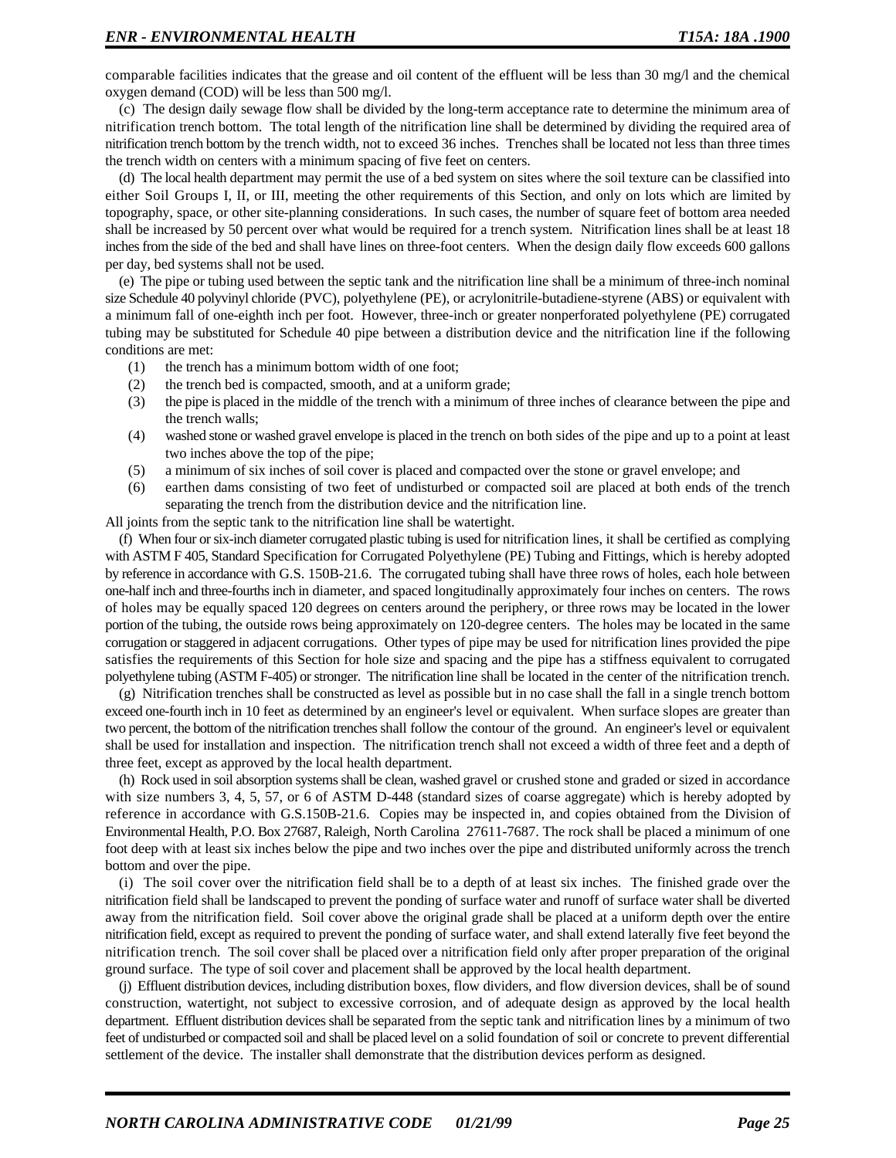comparable facilities indicates that the grease and oil content of the effluent will be less than 30 mg/l and the chemical oxygen demand (COD) will be less than 500 mg/l.

(c) The design daily sewage flow shall be divided by the long-term acceptance rate to determine the minimum area of nitrification trench bottom. The total length of the nitrification line shall be determined by dividing the required area of nitrification trench bottom by the trench width, not to exceed 36 inches. Trenches shall be located not less than three times the trench width on centers with a minimum spacing of five feet on centers.

(d) The local health department may permit the use of a bed system on sites where the soil texture can be classified into either Soil Groups I, II, or III, meeting the other requirements of this Section, and only on lots which are limited by topography, space, or other site-planning considerations. In such cases, the number of square feet of bottom area needed shall be increased by 50 percent over what would be required for a trench system. Nitrification lines shall be at least 18 inches from the side of the bed and shall have lines on three-foot centers. When the design daily flow exceeds 600 gallons per day, bed systems shall not be used.

(e) The pipe or tubing used between the septic tank and the nitrification line shall be a minimum of three-inch nominal size Schedule 40 polyvinyl chloride (PVC), polyethylene (PE), or acrylonitrile-butadiene-styrene (ABS) or equivalent with a minimum fall of one-eighth inch per foot. However, three-inch or greater nonperforated polyethylene (PE) corrugated tubing may be substituted for Schedule 40 pipe between a distribution device and the nitrification line if the following conditions are met:

- (1) the trench has a minimum bottom width of one foot;
- (2) the trench bed is compacted, smooth, and at a uniform grade;
- (3) the pipe is placed in the middle of the trench with a minimum of three inches of clearance between the pipe and the trench walls;
- (4) washed stone or washed gravel envelope is placed in the trench on both sides of the pipe and up to a point at least two inches above the top of the pipe;
- (5) a minimum of six inches of soil cover is placed and compacted over the stone or gravel envelope; and
- (6) earthen dams consisting of two feet of undisturbed or compacted soil are placed at both ends of the trench separating the trench from the distribution device and the nitrification line.

All joints from the septic tank to the nitrification line shall be watertight.

(f) When four or six-inch diameter corrugated plastic tubing is used for nitrification lines, it shall be certified as complying with ASTM F 405, Standard Specification for Corrugated Polyethylene (PE) Tubing and Fittings, which is hereby adopted by reference in accordance with G.S. 150B-21.6. The corrugated tubing shall have three rows of holes, each hole between one-half inch and three-fourths inch in diameter, and spaced longitudinally approximately four inches on centers. The rows of holes may be equally spaced 120 degrees on centers around the periphery, or three rows may be located in the lower portion of the tubing, the outside rows being approximately on 120-degree centers. The holes may be located in the same corrugation or staggered in adjacent corrugations. Other types of pipe may be used for nitrification lines provided the pipe satisfies the requirements of this Section for hole size and spacing and the pipe has a stiffness equivalent to corrugated polyethylene tubing (ASTM F-405) or stronger. The nitrification line shall be located in the center of the nitrification trench.

(g) Nitrification trenches shall be constructed as level as possible but in no case shall the fall in a single trench bottom exceed one-fourth inch in 10 feet as determined by an engineer's level or equivalent. When surface slopes are greater than two percent, the bottom of the nitrification trenches shall follow the contour of the ground. An engineer's level or equivalent shall be used for installation and inspection. The nitrification trench shall not exceed a width of three feet and a depth of three feet, except as approved by the local health department.

(h) Rock used in soil absorption systems shall be clean, washed gravel or crushed stone and graded or sized in accordance with size numbers 3, 4, 5, 57, or 6 of ASTM D-448 (standard sizes of coarse aggregate) which is hereby adopted by reference in accordance with G.S.150B-21.6. Copies may be inspected in, and copies obtained from the Division of Environmental Health, P.O. Box 27687, Raleigh, North Carolina 27611-7687. The rock shall be placed a minimum of one foot deep with at least six inches below the pipe and two inches over the pipe and distributed uniformly across the trench bottom and over the pipe.

(i) The soil cover over the nitrification field shall be to a depth of at least six inches. The finished grade over the nitrification field shall be landscaped to prevent the ponding of surface water and runoff of surface water shall be diverted away from the nitrification field. Soil cover above the original grade shall be placed at a uniform depth over the entire nitrification field, except as required to prevent the ponding of surface water, and shall extend laterally five feet beyond the nitrification trench. The soil cover shall be placed over a nitrification field only after proper preparation of the original ground surface. The type of soil cover and placement shall be approved by the local health department.

(j) Effluent distribution devices, including distribution boxes, flow dividers, and flow diversion devices, shall be of sound construction, watertight, not subject to excessive corrosion, and of adequate design as approved by the local health department. Effluent distribution devices shall be separated from the septic tank and nitrification lines by a minimum of two feet of undisturbed or compacted soil and shall be placed level on a solid foundation of soil or concrete to prevent differential settlement of the device. The installer shall demonstrate that the distribution devices perform as designed.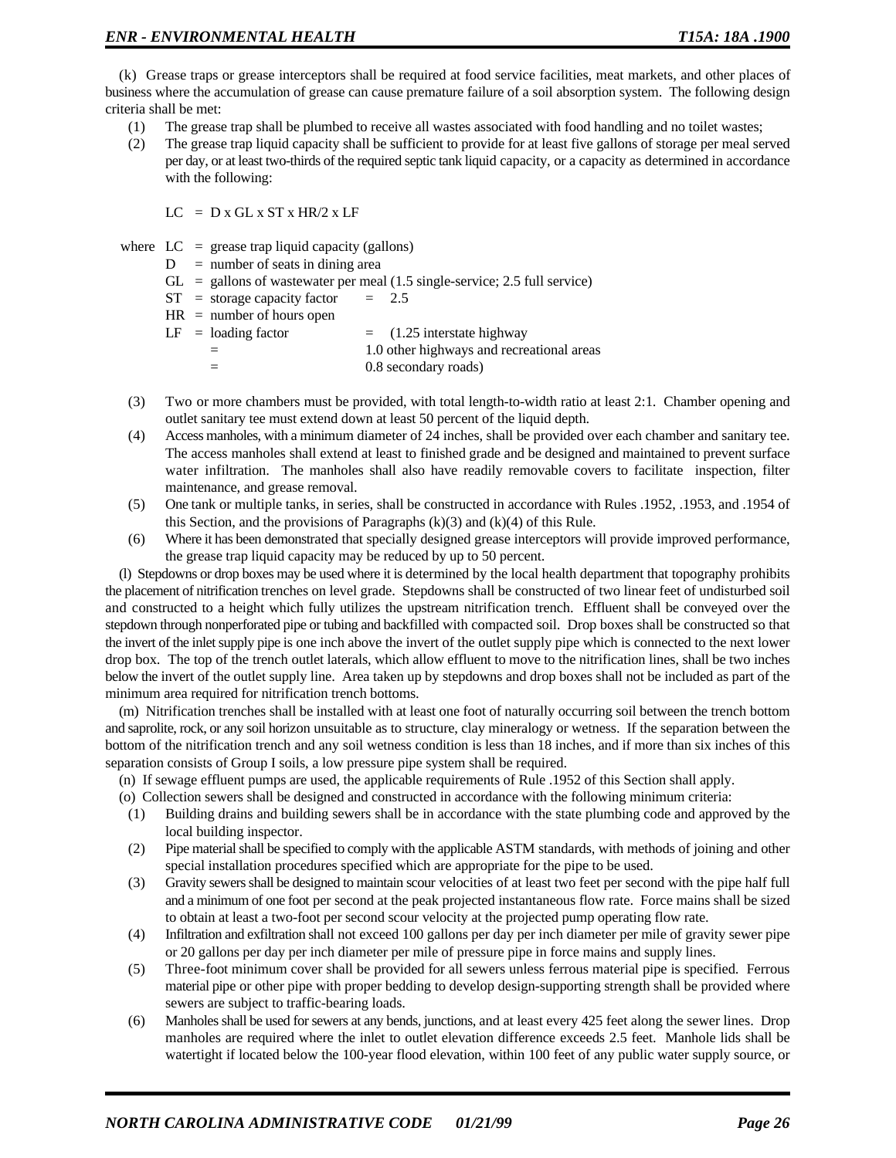(k) Grease traps or grease interceptors shall be required at food service facilities, meat markets, and other places of business where the accumulation of grease can cause premature failure of a soil absorption system. The following design criteria shall be met:

- (1) The grease trap shall be plumbed to receive all wastes associated with food handling and no toilet wastes;
- (2) The grease trap liquid capacity shall be sufficient to provide for at least five gallons of storage per meal served per day, or at least two-thirds of the required septic tank liquid capacity, or a capacity as determined in accordance with the following:

 $LC = D x GL x ST x HR/2 x LF$ 

where  $LC = \text{crease trap liquid capacity (gallons)}$ 

- $D =$  number of seats in dining area
- $GL =$  gallons of wastewater per meal (1.5 single-service; 2.5 full service)
- $ST = storage capacity factor = 2.5$
- $HR = number of hours open$

| $LF =$ loading factor | $=$ (1.25 interstate highway              |
|-----------------------|-------------------------------------------|
| $=$                   | 1.0 other highways and recreational areas |
|                       | 0.8 secondary roads)                      |

- (3) Two or more chambers must be provided, with total length-to-width ratio at least 2:1. Chamber opening and outlet sanitary tee must extend down at least 50 percent of the liquid depth.
- (4) Access manholes, with a minimum diameter of 24 inches, shall be provided over each chamber and sanitary tee. The access manholes shall extend at least to finished grade and be designed and maintained to prevent surface water infiltration. The manholes shall also have readily removable covers to facilitate inspection, filter maintenance, and grease removal.
- (5) One tank or multiple tanks, in series, shall be constructed in accordance with Rules .1952, .1953, and .1954 of this Section, and the provisions of Paragraphs  $(k)(3)$  and  $(k)(4)$  of this Rule.
- (6) Where it has been demonstrated that specially designed grease interceptors will provide improved performance, the grease trap liquid capacity may be reduced by up to 50 percent.

(l) Stepdowns or drop boxes may be used where it is determined by the local health department that topography prohibits the placement of nitrification trenches on level grade. Stepdowns shall be constructed of two linear feet of undisturbed soil and constructed to a height which fully utilizes the upstream nitrification trench. Effluent shall be conveyed over the stepdown through nonperforated pipe or tubing and backfilled with compacted soil. Drop boxes shall be constructed so that the invert of the inlet supply pipe is one inch above the invert of the outlet supply pipe which is connected to the next lower drop box. The top of the trench outlet laterals, which allow effluent to move to the nitrification lines, shall be two inches below the invert of the outlet supply line. Area taken up by stepdowns and drop boxes shall not be included as part of the minimum area required for nitrification trench bottoms.

(m) Nitrification trenches shall be installed with at least one foot of naturally occurring soil between the trench bottom and saprolite, rock, or any soil horizon unsuitable as to structure, clay mineralogy or wetness. If the separation between the bottom of the nitrification trench and any soil wetness condition is less than 18 inches, and if more than six inches of this separation consists of Group I soils, a low pressure pipe system shall be required.

(n) If sewage effluent pumps are used, the applicable requirements of Rule .1952 of this Section shall apply.

- (o) Collection sewers shall be designed and constructed in accordance with the following minimum criteria:
- (1) Building drains and building sewers shall be in accordance with the state plumbing code and approved by the local building inspector.
- (2) Pipe material shall be specified to comply with the applicable ASTM standards, with methods of joining and other special installation procedures specified which are appropriate for the pipe to be used.
- (3) Gravity sewers shall be designed to maintain scour velocities of at least two feet per second with the pipe half full and a minimum of one foot per second at the peak projected instantaneous flow rate. Force mains shall be sized to obtain at least a two-foot per second scour velocity at the projected pump operating flow rate.
- (4) Infiltration and exfiltration shall not exceed 100 gallons per day per inch diameter per mile of gravity sewer pipe or 20 gallons per day per inch diameter per mile of pressure pipe in force mains and supply lines.
- (5) Three-foot minimum cover shall be provided for all sewers unless ferrous material pipe is specified. Ferrous material pipe or other pipe with proper bedding to develop design-supporting strength shall be provided where sewers are subject to traffic-bearing loads.
- (6) Manholes shall be used for sewers at any bends, junctions, and at least every 425 feet along the sewer lines. Drop manholes are required where the inlet to outlet elevation difference exceeds 2.5 feet. Manhole lids shall be watertight if located below the 100-year flood elevation, within 100 feet of any public water supply source, or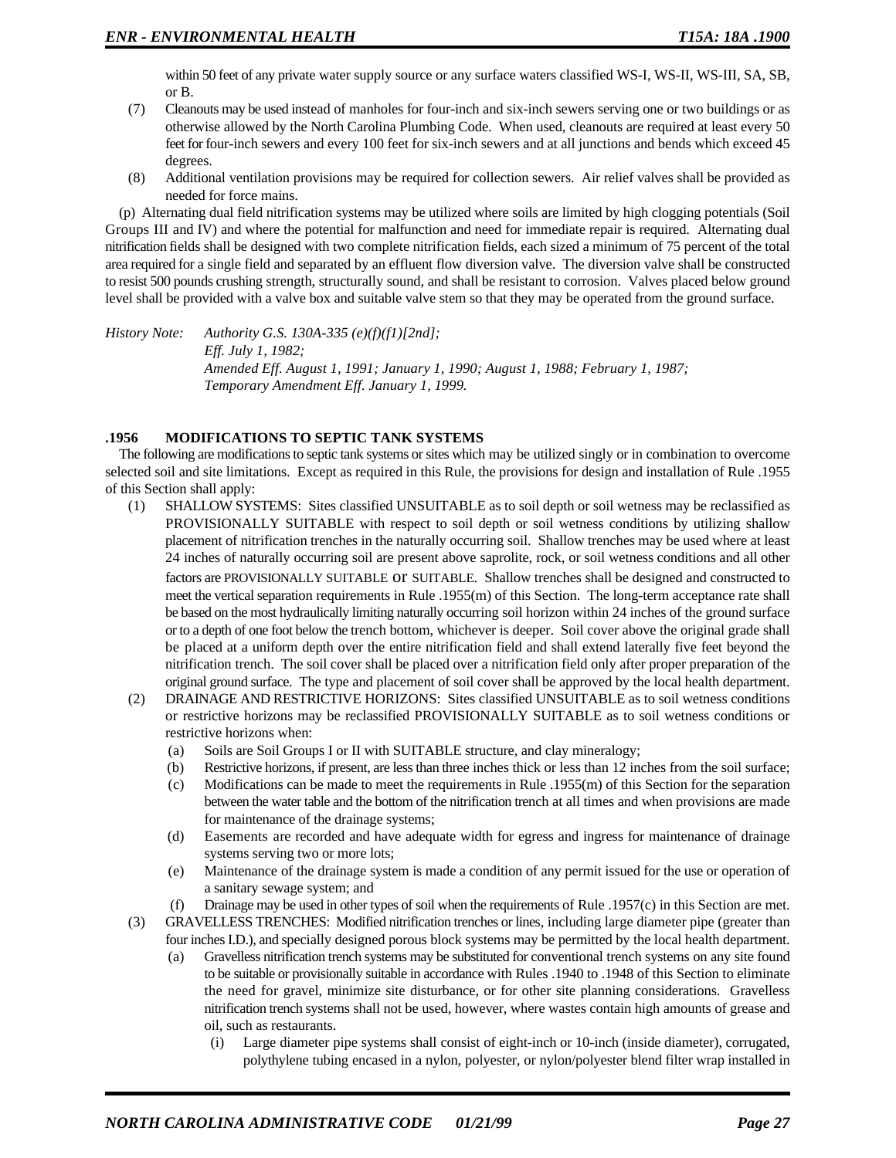within 50 feet of any private water supply source or any surface waters classified WS-I, WS-II, WS-III, SA, SB, or B.

- (7) Cleanouts may be used instead of manholes for four-inch and six-inch sewers serving one or two buildings or as otherwise allowed by the North Carolina Plumbing Code. When used, cleanouts are required at least every 50 feet for four-inch sewers and every 100 feet for six-inch sewers and at all junctions and bends which exceed 45 degrees.
- (8) Additional ventilation provisions may be required for collection sewers. Air relief valves shall be provided as needed for force mains.

(p) Alternating dual field nitrification systems may be utilized where soils are limited by high clogging potentials (Soil Groups III and IV) and where the potential for malfunction and need for immediate repair is required. Alternating dual nitrification fields shall be designed with two complete nitrification fields, each sized a minimum of 75 percent of the total area required for a single field and separated by an effluent flow diversion valve. The diversion valve shall be constructed to resist 500 pounds crushing strength, structurally sound, and shall be resistant to corrosion. Valves placed below ground level shall be provided with a valve box and suitable valve stem so that they may be operated from the ground surface.

*History Note: Authority G.S. 130A-335 (e)(f)(f1)[2nd]; Eff. July 1, 1982; Amended Eff. August 1, 1991; January 1, 1990; August 1, 1988; February 1, 1987; Temporary Amendment Eff. January 1, 1999.*

### **.1956 MODIFICATIONS TO SEPTIC TANK SYSTEMS**

The following are modifications to septic tank systems or sites which may be utilized singly or in combination to overcome selected soil and site limitations. Except as required in this Rule, the provisions for design and installation of Rule .1955 of this Section shall apply:

- (1) SHALLOW SYSTEMS: Sites classified UNSUITABLE as to soil depth or soil wetness may be reclassified as PROVISIONALLY SUITABLE with respect to soil depth or soil wetness conditions by utilizing shallow placement of nitrification trenches in the naturally occurring soil. Shallow trenches may be used where at least 24 inches of naturally occurring soil are present above saprolite, rock, or soil wetness conditions and all other factors are PROVISIONALLY SUITABLE or SUITABLE. Shallow trenches shall be designed and constructed to meet the vertical separation requirements in Rule .1955(m) of this Section. The long-term acceptance rate shall be based on the most hydraulically limiting naturally occurring soil horizon within 24 inches of the ground surface or to a depth of one foot below the trench bottom, whichever is deeper. Soil cover above the original grade shall be placed at a uniform depth over the entire nitrification field and shall extend laterally five feet beyond the nitrification trench. The soil cover shall be placed over a nitrification field only after proper preparation of the original ground surface. The type and placement of soil cover shall be approved by the local health department.
- (2) DRAINAGE AND RESTRICTIVE HORIZONS: Sites classified UNSUITABLE as to soil wetness conditions or restrictive horizons may be reclassified PROVISIONALLY SUITABLE as to soil wetness conditions or restrictive horizons when:
	- (a) Soils are Soil Groups I or II with SUITABLE structure, and clay mineralogy;
	- (b) Restrictive horizons, if present, are less than three inches thick or less than 12 inches from the soil surface;
	- (c) Modifications can be made to meet the requirements in Rule .1955(m) of this Section for the separation between the water table and the bottom of the nitrification trench at all times and when provisions are made for maintenance of the drainage systems;
	- (d) Easements are recorded and have adequate width for egress and ingress for maintenance of drainage systems serving two or more lots;
	- (e) Maintenance of the drainage system is made a condition of any permit issued for the use or operation of a sanitary sewage system; and
- (f) Drainage may be used in other types of soil when the requirements of Rule .1957(c) in this Section are met. (3) GRAVELLESS TRENCHES: Modified nitrification trenches or lines, including large diameter pipe (greater than
- four inches I.D.), and specially designed porous block systems may be permitted by the local health department.
	- (a) Gravelless nitrification trench systems may be substituted for conventional trench systems on any site found to be suitable or provisionally suitable in accordance with Rules .1940 to .1948 of this Section to eliminate the need for gravel, minimize site disturbance, or for other site planning considerations. Gravelless nitrification trench systems shall not be used, however, where wastes contain high amounts of grease and oil, such as restaurants.
		- (i) Large diameter pipe systems shall consist of eight-inch or 10-inch (inside diameter), corrugated, polythylene tubing encased in a nylon, polyester, or nylon/polyester blend filter wrap installed in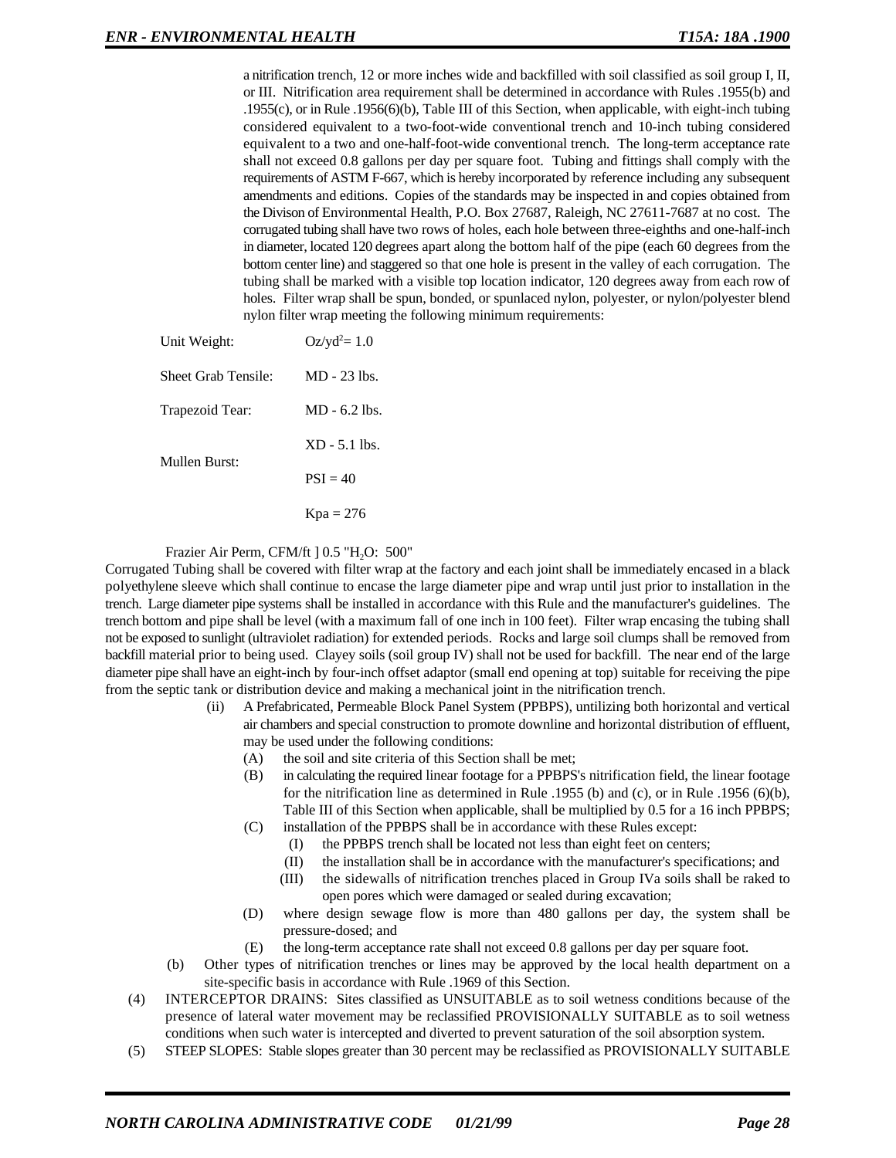a nitrification trench, 12 or more inches wide and backfilled with soil classified as soil group I, II, or III. Nitrification area requirement shall be determined in accordance with Rules .1955(b) and .1955(c), or in Rule .1956(6)(b), Table III of this Section, when applicable, with eight-inch tubing considered equivalent to a two-foot-wide conventional trench and 10-inch tubing considered equivalent to a two and one-half-foot-wide conventional trench. The long-term acceptance rate shall not exceed 0.8 gallons per day per square foot. Tubing and fittings shall comply with the requirements of ASTM F-667, which is hereby incorporated by reference including any subsequent amendments and editions. Copies of the standards may be inspected in and copies obtained from the Divison of Environmental Health, P.O. Box 27687, Raleigh, NC 27611-7687 at no cost. The corrugated tubing shall have two rows of holes, each hole between three-eighths and one-half-inch in diameter, located 120 degrees apart along the bottom half of the pipe (each 60 degrees from the bottom center line) and staggered so that one hole is present in the valley of each corrugation. The tubing shall be marked with a visible top location indicator, 120 degrees away from each row of holes. Filter wrap shall be spun, bonded, or spunlaced nylon, polyester, or nylon/polyester blend nylon filter wrap meeting the following minimum requirements:

| Unit Weight:        | $Oz/yd^2 = 1.0$ |
|---------------------|-----------------|
| Sheet Grab Tensile: | $MD - 23$ lbs.  |
| Trapezoid Tear:     | $MD - 6.2$ lbs. |
| Mullen Burst:       | $XD - 5.1$ lbs. |
|                     | $PSI = 40$      |
|                     | $Kpa = 276$     |

Frazier Air Perm, CFM/ft  $] 0.5$  "H<sub>2</sub>O: 500"

Corrugated Tubing shall be covered with filter wrap at the factory and each joint shall be immediately encased in a black polyethylene sleeve which shall continue to encase the large diameter pipe and wrap until just prior to installation in the trench. Large diameter pipe systems shall be installed in accordance with this Rule and the manufacturer's guidelines. The trench bottom and pipe shall be level (with a maximum fall of one inch in 100 feet). Filter wrap encasing the tubing shall not be exposed to sunlight (ultraviolet radiation) for extended periods. Rocks and large soil clumps shall be removed from backfill material prior to being used. Clayey soils (soil group IV) shall not be used for backfill. The near end of the large diameter pipe shall have an eight-inch by four-inch offset adaptor (small end opening at top) suitable for receiving the pipe from the septic tank or distribution device and making a mechanical joint in the nitrification trench.

- (ii) A Prefabricated, Permeable Block Panel System (PPBPS), untilizing both horizontal and vertical air chambers and special construction to promote downline and horizontal distribution of effluent, may be used under the following conditions:
	- (A) the soil and site criteria of this Section shall be met;
	- (B) in calculating the required linear footage for a PPBPS's nitrification field, the linear footage for the nitrification line as determined in Rule .1955 (b) and (c), or in Rule .1956 (6)(b), Table III of this Section when applicable, shall be multiplied by 0.5 for a 16 inch PPBPS;
	- (C) installation of the PPBPS shall be in accordance with these Rules except:
		- (I) the PPBPS trench shall be located not less than eight feet on centers;
		- (II) the installation shall be in accordance with the manufacturer's specifications; and
		- (III) the sidewalls of nitrification trenches placed in Group IVa soils shall be raked to open pores which were damaged or sealed during excavation;
	- (D) where design sewage flow is more than 480 gallons per day, the system shall be pressure-dosed; and
	- (E) the long-term acceptance rate shall not exceed 0.8 gallons per day per square foot.
- (b) Other types of nitrification trenches or lines may be approved by the local health department on a site-specific basis in accordance with Rule .1969 of this Section.
- (4) INTERCEPTOR DRAINS: Sites classified as UNSUITABLE as to soil wetness conditions because of the presence of lateral water movement may be reclassified PROVISIONALLY SUITABLE as to soil wetness conditions when such water is intercepted and diverted to prevent saturation of the soil absorption system.
- (5) STEEP SLOPES: Stable slopes greater than 30 percent may be reclassified as PROVISIONALLY SUITABLE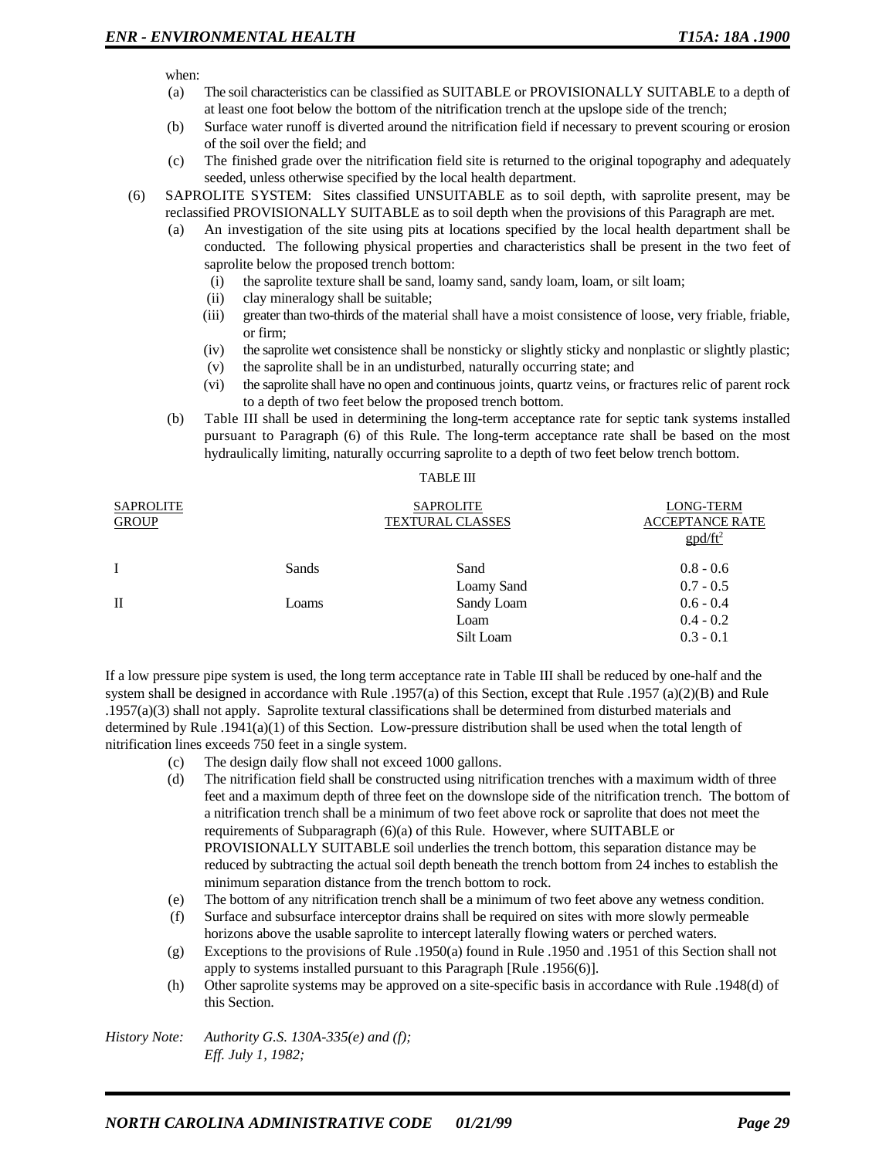when:

- (a) The soil characteristics can be classified as SUITABLE or PROVISIONALLY SUITABLE to a depth of at least one foot below the bottom of the nitrification trench at the upslope side of the trench;
- (b) Surface water runoff is diverted around the nitrification field if necessary to prevent scouring or erosion of the soil over the field; and
- (c) The finished grade over the nitrification field site is returned to the original topography and adequately seeded, unless otherwise specified by the local health department.
- (6) SAPROLITE SYSTEM: Sites classified UNSUITABLE as to soil depth, with saprolite present, may be reclassified PROVISIONALLY SUITABLE as to soil depth when the provisions of this Paragraph are met.
	- (a) An investigation of the site using pits at locations specified by the local health department shall be conducted. The following physical properties and characteristics shall be present in the two feet of saprolite below the proposed trench bottom:
		- (i) the saprolite texture shall be sand, loamy sand, sandy loam, loam, or silt loam;
		- (ii) clay mineralogy shall be suitable;
		- (iii) greater than two-thirds of the material shall have a moist consistence of loose, very friable, friable, or firm;
		- (iv) the saprolite wet consistence shall be nonsticky or slightly sticky and nonplastic or slightly plastic;
		- (v) the saprolite shall be in an undisturbed, naturally occurring state; and
		- (vi) the saprolite shall have no open and continuous joints, quartz veins, or fractures relic of parent rock to a depth of two feet below the proposed trench bottom.
	- (b) Table III shall be used in determining the long-term acceptance rate for septic tank systems installed pursuant to Paragraph (6) of this Rule. The long-term acceptance rate shall be based on the most hydraulically limiting, naturally occurring saprolite to a depth of two feet below trench bottom.

| <b>SAPROLITE</b><br><b>GROUP</b> |       | <b>SAPROLITE</b><br><b>TEXTURAL CLASSES</b> | <b>LONG-TERM</b><br><b>ACCEPTANCE RATE</b><br>$\text{gpd/ft}^2$ |
|----------------------------------|-------|---------------------------------------------|-----------------------------------------------------------------|
| $\mathbf{I}$                     | Sands | Sand                                        | $0.8 - 0.6$                                                     |
|                                  |       | Loamy Sand                                  | $0.7 - 0.5$                                                     |
| $\Pi$                            | Loams | Sandy Loam                                  | $0.6 - 0.4$                                                     |
|                                  |       | Loam                                        | $0.4 - 0.2$                                                     |
|                                  |       | Silt Loam                                   | $0.3 - 0.1$                                                     |

If a low pressure pipe system is used, the long term acceptance rate in Table III shall be reduced by one-half and the system shall be designed in accordance with Rule .1957(a) of this Section, except that Rule .1957 (a)(2)(B) and Rule .1957(a)(3) shall not apply. Saprolite textural classifications shall be determined from disturbed materials and determined by Rule .1941(a)(1) of this Section. Low-pressure distribution shall be used when the total length of nitrification lines exceeds 750 feet in a single system.

- (c) The design daily flow shall not exceed 1000 gallons.
- (d) The nitrification field shall be constructed using nitrification trenches with a maximum width of three feet and a maximum depth of three feet on the downslope side of the nitrification trench. The bottom of a nitrification trench shall be a minimum of two feet above rock or saprolite that does not meet the requirements of Subparagraph (6)(a) of this Rule. However, where SUITABLE or PROVISIONALLY SUITABLE soil underlies the trench bottom, this separation distance may be reduced by subtracting the actual soil depth beneath the trench bottom from 24 inches to establish the minimum separation distance from the trench bottom to rock.
- (e) The bottom of any nitrification trench shall be a minimum of two feet above any wetness condition.
- (f) Surface and subsurface interceptor drains shall be required on sites with more slowly permeable horizons above the usable saprolite to intercept laterally flowing waters or perched waters.
- (g) Exceptions to the provisions of Rule .1950(a) found in Rule .1950 and .1951 of this Section shall not apply to systems installed pursuant to this Paragraph [Rule .1956(6)].
- (h) Other saprolite systems may be approved on a site-specific basis in accordance with Rule .1948(d) of this Section.

*History Note: Authority G.S. 130A-335(e) and (f); Eff. July 1, 1982;*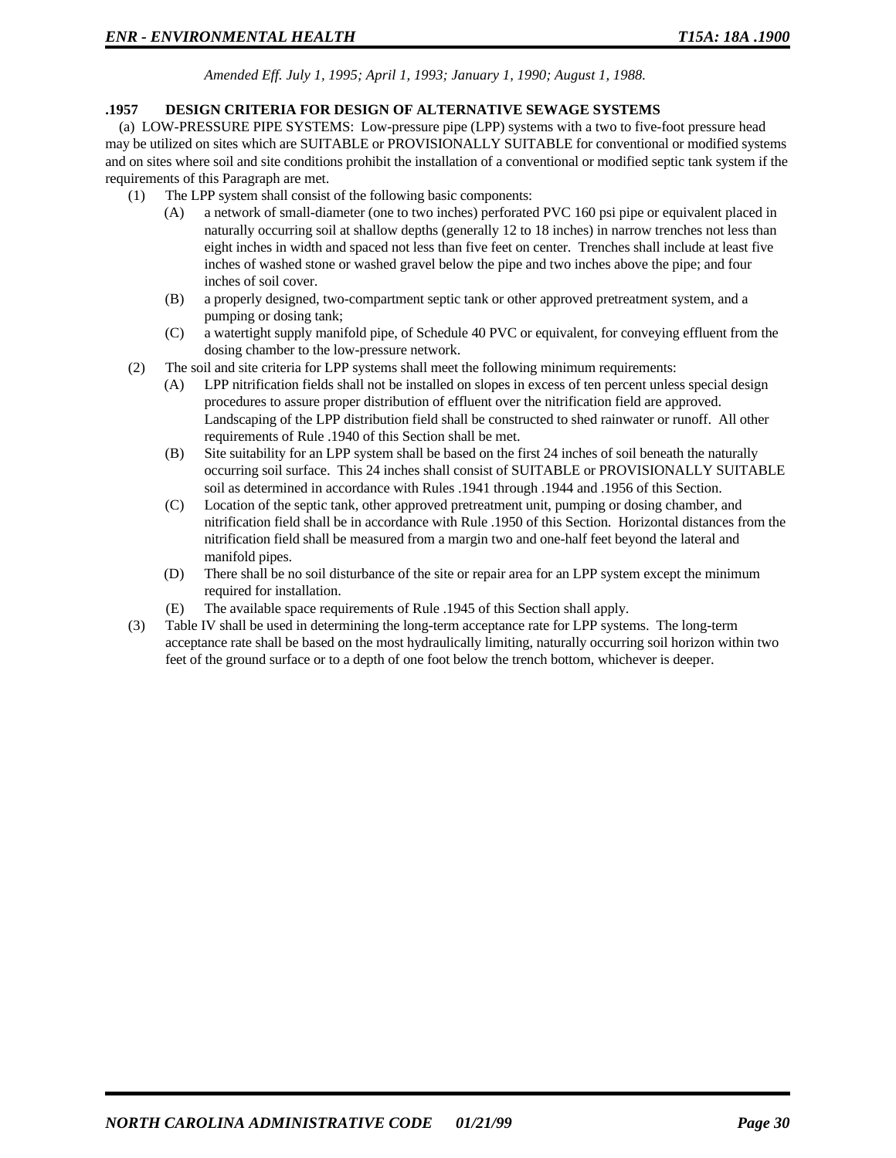*Amended Eff. July 1, 1995; April 1, 1993; January 1, 1990; August 1, 1988.*

#### **.1957 DESIGN CRITERIA FOR DESIGN OF ALTERNATIVE SEWAGE SYSTEMS**

(a) LOW-PRESSURE PIPE SYSTEMS: Low-pressure pipe (LPP) systems with a two to five-foot pressure head may be utilized on sites which are SUITABLE or PROVISIONALLY SUITABLE for conventional or modified systems and on sites where soil and site conditions prohibit the installation of a conventional or modified septic tank system if the requirements of this Paragraph are met.

- (1) The LPP system shall consist of the following basic components:
	- (A) a network of small-diameter (one to two inches) perforated PVC 160 psi pipe or equivalent placed in naturally occurring soil at shallow depths (generally 12 to 18 inches) in narrow trenches not less than eight inches in width and spaced not less than five feet on center. Trenches shall include at least five inches of washed stone or washed gravel below the pipe and two inches above the pipe; and four inches of soil cover.
	- (B) a properly designed, two-compartment septic tank or other approved pretreatment system, and a pumping or dosing tank;
	- (C) a watertight supply manifold pipe, of Schedule 40 PVC or equivalent, for conveying effluent from the dosing chamber to the low-pressure network.
- (2) The soil and site criteria for LPP systems shall meet the following minimum requirements:
	- (A) LPP nitrification fields shall not be installed on slopes in excess of ten percent unless special design procedures to assure proper distribution of effluent over the nitrification field are approved. Landscaping of the LPP distribution field shall be constructed to shed rainwater or runoff. All other requirements of Rule .1940 of this Section shall be met.
	- (B) Site suitability for an LPP system shall be based on the first 24 inches of soil beneath the naturally occurring soil surface. This 24 inches shall consist of SUITABLE or PROVISIONALLY SUITABLE soil as determined in accordance with Rules .1941 through .1944 and .1956 of this Section.
	- (C) Location of the septic tank, other approved pretreatment unit, pumping or dosing chamber, and nitrification field shall be in accordance with Rule .1950 of this Section. Horizontal distances from the nitrification field shall be measured from a margin two and one-half feet beyond the lateral and manifold pipes.
	- (D) There shall be no soil disturbance of the site or repair area for an LPP system except the minimum required for installation.
	- (E) The available space requirements of Rule .1945 of this Section shall apply.
- (3) Table IV shall be used in determining the long-term acceptance rate for LPP systems. The long-term acceptance rate shall be based on the most hydraulically limiting, naturally occurring soil horizon within two feet of the ground surface or to a depth of one foot below the trench bottom, whichever is deeper.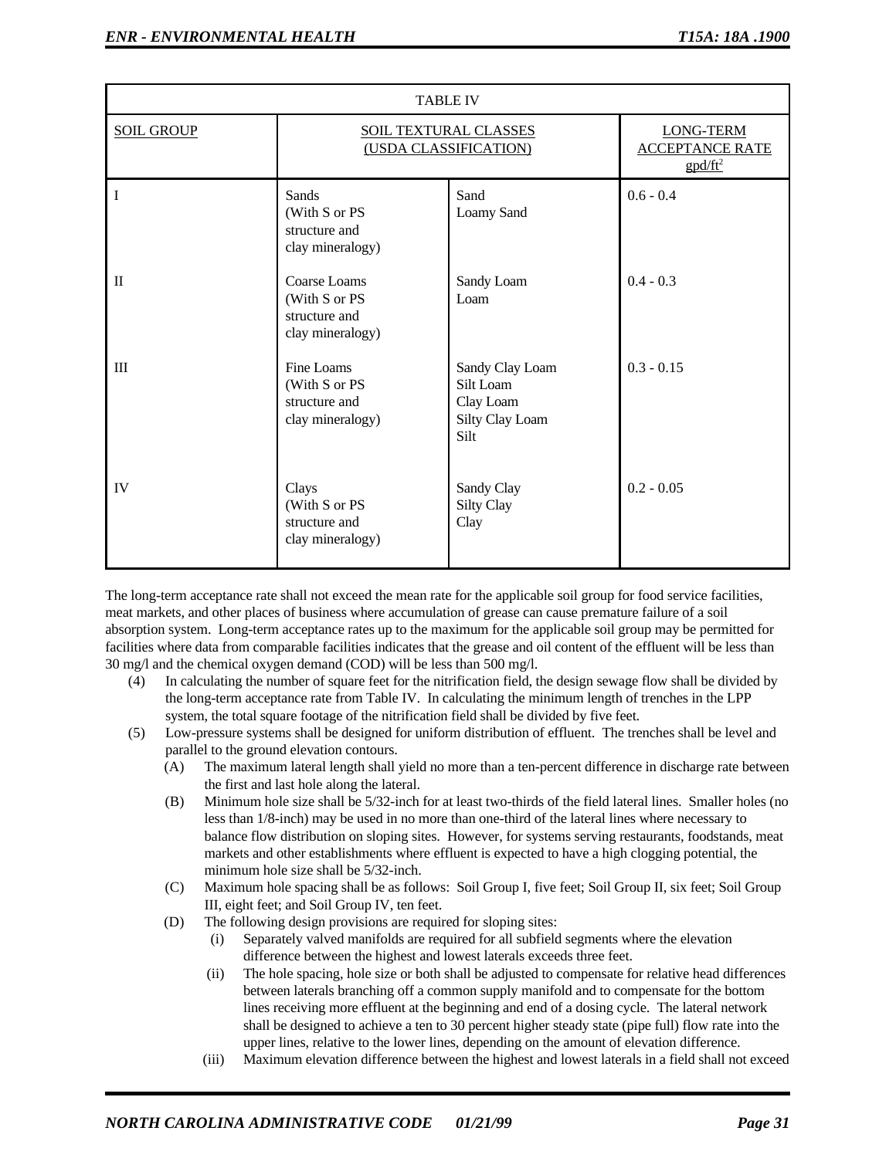| <b>TABLE IV</b>   |                                                                    |                                                                      |                                                                            |
|-------------------|--------------------------------------------------------------------|----------------------------------------------------------------------|----------------------------------------------------------------------------|
| <b>SOIL GROUP</b> | <b>SOIL TEXTURAL CLASSES</b><br>(USDA CLASSIFICATION)              |                                                                      | <b>LONG-TERM</b><br><b>ACCEPTANCE RATE</b><br>$\frac{g \frac{d}{dt}^2}{2}$ |
| I                 | Sands<br>(With S or PS<br>structure and<br>clay mineralogy)        | Sand<br>Loamy Sand                                                   | $0.6 - 0.4$                                                                |
| $\mathbf I$       | Coarse Loams<br>(With S or PS<br>structure and<br>clay mineralogy) | Sandy Loam<br>Loam                                                   | $0.4 - 0.3$                                                                |
| III               | Fine Loams<br>(With S or PS<br>structure and<br>clay mineralogy)   | Sandy Clay Loam<br>Silt Loam<br>Clay Loam<br>Silty Clay Loam<br>Silt | $0.3 - 0.15$                                                               |
| IV                | Clays<br>(With S or PS<br>structure and<br>clay mineralogy)        | Sandy Clay<br>Silty Clay<br>Clay                                     | $0.2 - 0.05$                                                               |

The long-term acceptance rate shall not exceed the mean rate for the applicable soil group for food service facilities, meat markets, and other places of business where accumulation of grease can cause premature failure of a soil absorption system. Long-term acceptance rates up to the maximum for the applicable soil group may be permitted for facilities where data from comparable facilities indicates that the grease and oil content of the effluent will be less than 30 mg/l and the chemical oxygen demand (COD) will be less than 500 mg/l.

- (4) In calculating the number of square feet for the nitrification field, the design sewage flow shall be divided by the long-term acceptance rate from Table IV. In calculating the minimum length of trenches in the LPP system, the total square footage of the nitrification field shall be divided by five feet.
- (5) Low-pressure systems shall be designed for uniform distribution of effluent. The trenches shall be level and parallel to the ground elevation contours.
	- (A) The maximum lateral length shall yield no more than a ten-percent difference in discharge rate between the first and last hole along the lateral.
	- (B) Minimum hole size shall be 5/32-inch for at least two-thirds of the field lateral lines. Smaller holes (no less than 1/8-inch) may be used in no more than one-third of the lateral lines where necessary to balance flow distribution on sloping sites. However, for systems serving restaurants, foodstands, meat markets and other establishments where effluent is expected to have a high clogging potential, the minimum hole size shall be 5/32-inch.
	- (C) Maximum hole spacing shall be as follows: Soil Group I, five feet; Soil Group II, six feet; Soil Group III, eight feet; and Soil Group IV, ten feet.
	- (D) The following design provisions are required for sloping sites:
		- (i) Separately valved manifolds are required for all subfield segments where the elevation difference between the highest and lowest laterals exceeds three feet.
		- (ii) The hole spacing, hole size or both shall be adjusted to compensate for relative head differences between laterals branching off a common supply manifold and to compensate for the bottom lines receiving more effluent at the beginning and end of a dosing cycle. The lateral network shall be designed to achieve a ten to 30 percent higher steady state (pipe full) flow rate into the upper lines, relative to the lower lines, depending on the amount of elevation difference.
		- (iii) Maximum elevation difference between the highest and lowest laterals in a field shall not exceed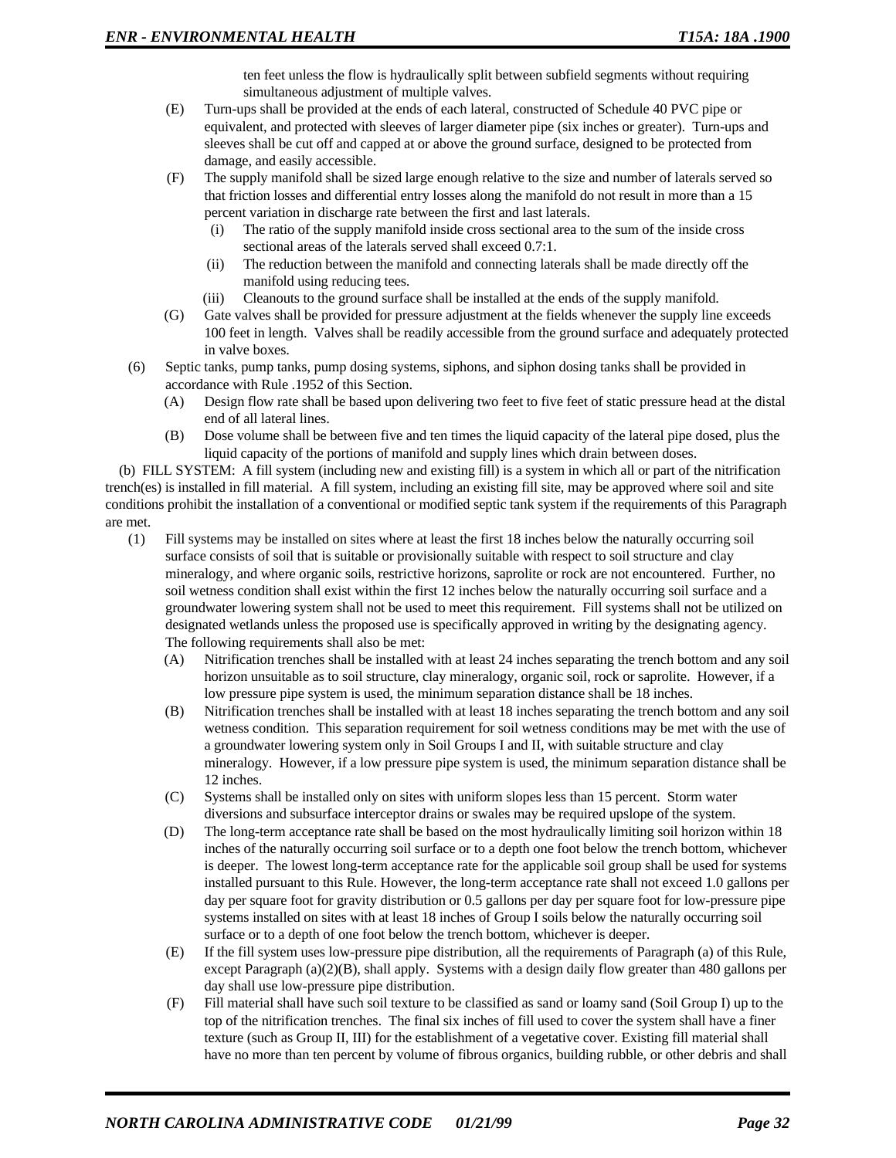ten feet unless the flow is hydraulically split between subfield segments without requiring simultaneous adjustment of multiple valves.

- (E) Turn-ups shall be provided at the ends of each lateral, constructed of Schedule 40 PVC pipe or equivalent, and protected with sleeves of larger diameter pipe (six inches or greater). Turn-ups and sleeves shall be cut off and capped at or above the ground surface, designed to be protected from damage, and easily accessible.
- (F) The supply manifold shall be sized large enough relative to the size and number of laterals served so that friction losses and differential entry losses along the manifold do not result in more than a 15 percent variation in discharge rate between the first and last laterals.
	- (i) The ratio of the supply manifold inside cross sectional area to the sum of the inside cross sectional areas of the laterals served shall exceed 0.7:1.
	- (ii) The reduction between the manifold and connecting laterals shall be made directly off the manifold using reducing tees.
	- (iii) Cleanouts to the ground surface shall be installed at the ends of the supply manifold.
- (G) Gate valves shall be provided for pressure adjustment at the fields whenever the supply line exceeds 100 feet in length. Valves shall be readily accessible from the ground surface and adequately protected in valve boxes.
- (6) Septic tanks, pump tanks, pump dosing systems, siphons, and siphon dosing tanks shall be provided in accordance with Rule .1952 of this Section.
	- (A) Design flow rate shall be based upon delivering two feet to five feet of static pressure head at the distal end of all lateral lines.
	- (B) Dose volume shall be between five and ten times the liquid capacity of the lateral pipe dosed, plus the liquid capacity of the portions of manifold and supply lines which drain between doses.

(b) FILL SYSTEM: A fill system (including new and existing fill) is a system in which all or part of the nitrification trench(es) is installed in fill material. A fill system, including an existing fill site, may be approved where soil and site conditions prohibit the installation of a conventional or modified septic tank system if the requirements of this Paragraph are met.

- (1) Fill systems may be installed on sites where at least the first 18 inches below the naturally occurring soil surface consists of soil that is suitable or provisionally suitable with respect to soil structure and clay mineralogy, and where organic soils, restrictive horizons, saprolite or rock are not encountered. Further, no soil wetness condition shall exist within the first 12 inches below the naturally occurring soil surface and a groundwater lowering system shall not be used to meet this requirement. Fill systems shall not be utilized on designated wetlands unless the proposed use is specifically approved in writing by the designating agency. The following requirements shall also be met:
	- (A) Nitrification trenches shall be installed with at least 24 inches separating the trench bottom and any soil horizon unsuitable as to soil structure, clay mineralogy, organic soil, rock or saprolite. However, if a low pressure pipe system is used, the minimum separation distance shall be 18 inches.
	- (B) Nitrification trenches shall be installed with at least 18 inches separating the trench bottom and any soil wetness condition. This separation requirement for soil wetness conditions may be met with the use of a groundwater lowering system only in Soil Groups I and II, with suitable structure and clay mineralogy. However, if a low pressure pipe system is used, the minimum separation distance shall be 12 inches.
	- (C) Systems shall be installed only on sites with uniform slopes less than 15 percent. Storm water diversions and subsurface interceptor drains or swales may be required upslope of the system.
	- (D) The long-term acceptance rate shall be based on the most hydraulically limiting soil horizon within 18 inches of the naturally occurring soil surface or to a depth one foot below the trench bottom, whichever is deeper. The lowest long-term acceptance rate for the applicable soil group shall be used for systems installed pursuant to this Rule. However, the long-term acceptance rate shall not exceed 1.0 gallons per day per square foot for gravity distribution or 0.5 gallons per day per square foot for low-pressure pipe systems installed on sites with at least 18 inches of Group I soils below the naturally occurring soil surface or to a depth of one foot below the trench bottom, whichever is deeper.
	- (E) If the fill system uses low-pressure pipe distribution, all the requirements of Paragraph (a) of this Rule, except Paragraph (a)(2)(B), shall apply. Systems with a design daily flow greater than 480 gallons per day shall use low-pressure pipe distribution.
	- (F) Fill material shall have such soil texture to be classified as sand or loamy sand (Soil Group I) up to the top of the nitrification trenches. The final six inches of fill used to cover the system shall have a finer texture (such as Group II, III) for the establishment of a vegetative cover. Existing fill material shall have no more than ten percent by volume of fibrous organics, building rubble, or other debris and shall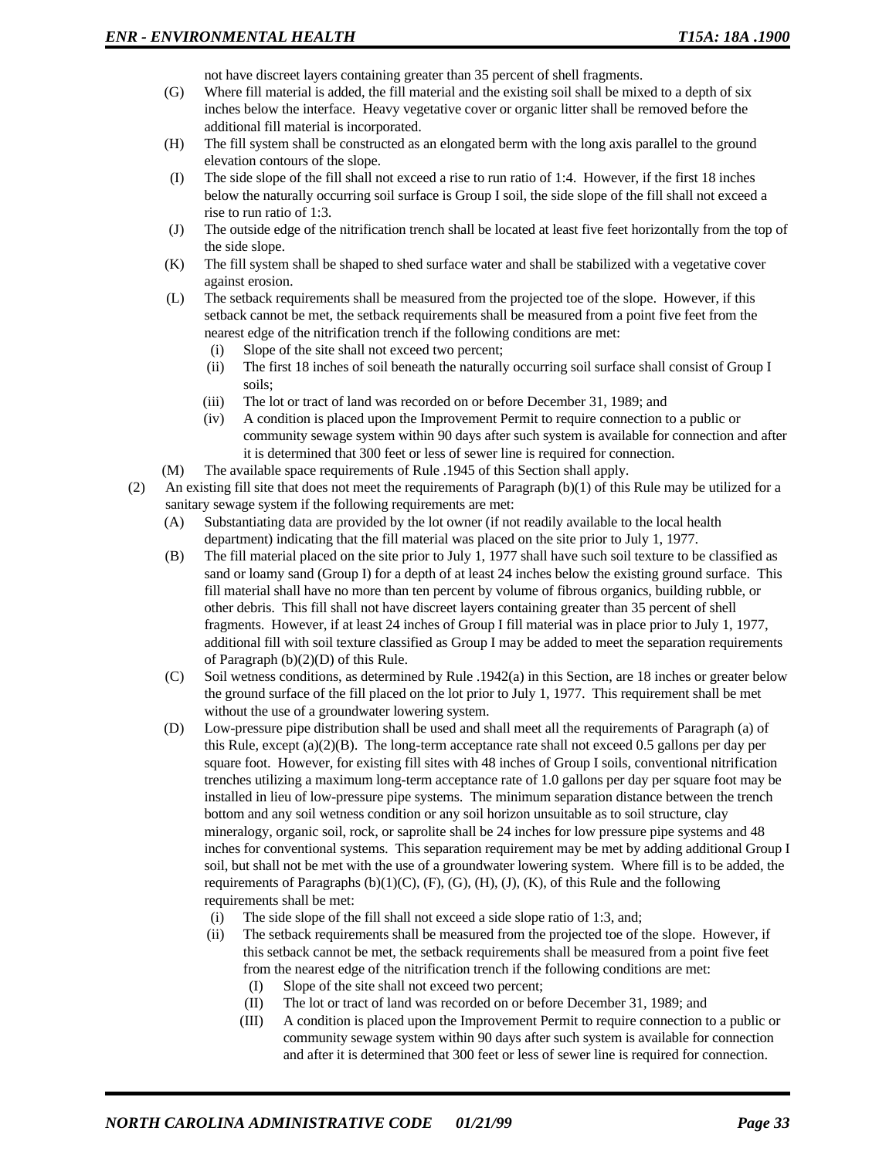not have discreet layers containing greater than 35 percent of shell fragments.

- (G) Where fill material is added, the fill material and the existing soil shall be mixed to a depth of six inches below the interface. Heavy vegetative cover or organic litter shall be removed before the additional fill material is incorporated.
- (H) The fill system shall be constructed as an elongated berm with the long axis parallel to the ground elevation contours of the slope.
- (I) The side slope of the fill shall not exceed a rise to run ratio of 1:4. However, if the first 18 inches below the naturally occurring soil surface is Group I soil, the side slope of the fill shall not exceed a rise to run ratio of 1:3.
- (J) The outside edge of the nitrification trench shall be located at least five feet horizontally from the top of the side slope.
- (K) The fill system shall be shaped to shed surface water and shall be stabilized with a vegetative cover against erosion.
- (L) The setback requirements shall be measured from the projected toe of the slope. However, if this setback cannot be met, the setback requirements shall be measured from a point five feet from the nearest edge of the nitrification trench if the following conditions are met:
	- (i) Slope of the site shall not exceed two percent;
	- (ii) The first 18 inches of soil beneath the naturally occurring soil surface shall consist of Group I soils;
	- (iii) The lot or tract of land was recorded on or before December 31, 1989; and
	- (iv) A condition is placed upon the Improvement Permit to require connection to a public or community sewage system within 90 days after such system is available for connection and after it is determined that 300 feet or less of sewer line is required for connection.
- (M) The available space requirements of Rule .1945 of this Section shall apply.
- (2) An existing fill site that does not meet the requirements of Paragraph (b)(1) of this Rule may be utilized for a sanitary sewage system if the following requirements are met:
	- (A) Substantiating data are provided by the lot owner (if not readily available to the local health department) indicating that the fill material was placed on the site prior to July 1, 1977.
	- (B) The fill material placed on the site prior to July 1, 1977 shall have such soil texture to be classified as sand or loamy sand (Group I) for a depth of at least 24 inches below the existing ground surface. This fill material shall have no more than ten percent by volume of fibrous organics, building rubble, or other debris. This fill shall not have discreet layers containing greater than 35 percent of shell fragments. However, if at least 24 inches of Group I fill material was in place prior to July 1, 1977, additional fill with soil texture classified as Group I may be added to meet the separation requirements of Paragraph (b)(2)(D) of this Rule.
	- (C) Soil wetness conditions, as determined by Rule .1942(a) in this Section, are 18 inches or greater below the ground surface of the fill placed on the lot prior to July 1, 1977. This requirement shall be met without the use of a groundwater lowering system.
	- (D) Low-pressure pipe distribution shall be used and shall meet all the requirements of Paragraph (a) of this Rule, except (a)(2)(B). The long-term acceptance rate shall not exceed 0.5 gallons per day per square foot. However, for existing fill sites with 48 inches of Group I soils, conventional nitrification trenches utilizing a maximum long-term acceptance rate of 1.0 gallons per day per square foot may be installed in lieu of low-pressure pipe systems. The minimum separation distance between the trench bottom and any soil wetness condition or any soil horizon unsuitable as to soil structure, clay mineralogy, organic soil, rock, or saprolite shall be 24 inches for low pressure pipe systems and 48 inches for conventional systems. This separation requirement may be met by adding additional Group I soil, but shall not be met with the use of a groundwater lowering system. Where fill is to be added, the requirements of Paragraphs  $(b)(1)(C)$ ,  $(F)$ ,  $(G)$ ,  $(H)$ ,  $(J)$ ,  $(K)$ , of this Rule and the following requirements shall be met:
		- (i) The side slope of the fill shall not exceed a side slope ratio of 1:3, and;
		- (ii) The setback requirements shall be measured from the projected toe of the slope. However, if this setback cannot be met, the setback requirements shall be measured from a point five feet from the nearest edge of the nitrification trench if the following conditions are met:
			- (I) Slope of the site shall not exceed two percent;
			- (II) The lot or tract of land was recorded on or before December 31, 1989; and
			- (III) A condition is placed upon the Improvement Permit to require connection to a public or community sewage system within 90 days after such system is available for connection and after it is determined that 300 feet or less of sewer line is required for connection.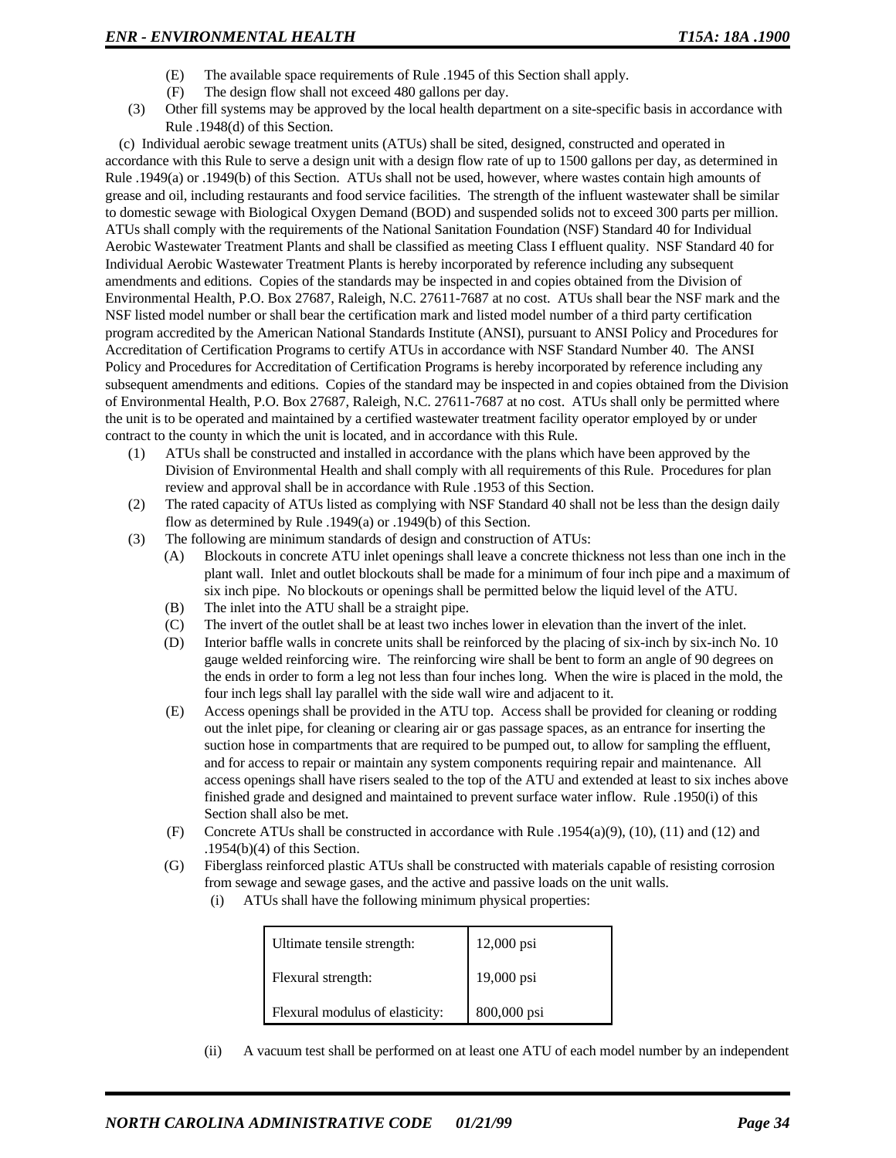- (E) The available space requirements of Rule .1945 of this Section shall apply.
- (F) The design flow shall not exceed 480 gallons per day.
- (3) Other fill systems may be approved by the local health department on a site-specific basis in accordance with Rule .1948(d) of this Section.

(c) Individual aerobic sewage treatment units (ATUs) shall be sited, designed, constructed and operated in accordance with this Rule to serve a design unit with a design flow rate of up to 1500 gallons per day, as determined in Rule .1949(a) or .1949(b) of this Section. ATUs shall not be used, however, where wastes contain high amounts of grease and oil, including restaurants and food service facilities. The strength of the influent wastewater shall be similar to domestic sewage with Biological Oxygen Demand (BOD) and suspended solids not to exceed 300 parts per million. ATUs shall comply with the requirements of the National Sanitation Foundation (NSF) Standard 40 for Individual Aerobic Wastewater Treatment Plants and shall be classified as meeting Class I effluent quality. NSF Standard 40 for Individual Aerobic Wastewater Treatment Plants is hereby incorporated by reference including any subsequent amendments and editions. Copies of the standards may be inspected in and copies obtained from the Division of Environmental Health, P.O. Box 27687, Raleigh, N.C. 27611-7687 at no cost. ATUs shall bear the NSF mark and the NSF listed model number or shall bear the certification mark and listed model number of a third party certification program accredited by the American National Standards Institute (ANSI), pursuant to ANSI Policy and Procedures for Accreditation of Certification Programs to certify ATUs in accordance with NSF Standard Number 40. The ANSI Policy and Procedures for Accreditation of Certification Programs is hereby incorporated by reference including any subsequent amendments and editions. Copies of the standard may be inspected in and copies obtained from the Division of Environmental Health, P.O. Box 27687, Raleigh, N.C. 27611-7687 at no cost. ATUs shall only be permitted where the unit is to be operated and maintained by a certified wastewater treatment facility operator employed by or under contract to the county in which the unit is located, and in accordance with this Rule.

- (1) ATUs shall be constructed and installed in accordance with the plans which have been approved by the Division of Environmental Health and shall comply with all requirements of this Rule. Procedures for plan review and approval shall be in accordance with Rule .1953 of this Section.
- (2) The rated capacity of ATUs listed as complying with NSF Standard 40 shall not be less than the design daily flow as determined by Rule .1949(a) or .1949(b) of this Section.
- (3) The following are minimum standards of design and construction of ATUs:
	- (A) Blockouts in concrete ATU inlet openings shall leave a concrete thickness not less than one inch in the plant wall. Inlet and outlet blockouts shall be made for a minimum of four inch pipe and a maximum of six inch pipe. No blockouts or openings shall be permitted below the liquid level of the ATU.
	- (B) The inlet into the ATU shall be a straight pipe.
	- (C) The invert of the outlet shall be at least two inches lower in elevation than the invert of the inlet.
	- (D) Interior baffle walls in concrete units shall be reinforced by the placing of six-inch by six-inch No. 10 gauge welded reinforcing wire. The reinforcing wire shall be bent to form an angle of 90 degrees on the ends in order to form a leg not less than four inches long. When the wire is placed in the mold, the four inch legs shall lay parallel with the side wall wire and adjacent to it.
	- (E) Access openings shall be provided in the ATU top. Access shall be provided for cleaning or rodding out the inlet pipe, for cleaning or clearing air or gas passage spaces, as an entrance for inserting the suction hose in compartments that are required to be pumped out, to allow for sampling the effluent, and for access to repair or maintain any system components requiring repair and maintenance. All access openings shall have risers sealed to the top of the ATU and extended at least to six inches above finished grade and designed and maintained to prevent surface water inflow. Rule .1950(i) of this Section shall also be met.
	- (F) Concrete ATUs shall be constructed in accordance with Rule .1954(a)(9), (10), (11) and (12) and .1954(b)(4) of this Section.
	- (G) Fiberglass reinforced plastic ATUs shall be constructed with materials capable of resisting corrosion from sewage and sewage gases, and the active and passive loads on the unit walls.
		- (i) ATUs shall have the following minimum physical properties:

| Ultimate tensile strength:      | 12,000 psi  |
|---------------------------------|-------------|
| Flexural strength:              | 19,000 psi  |
| Flexural modulus of elasticity: | 800,000 psi |

(ii) A vacuum test shall be performed on at least one ATU of each model number by an independent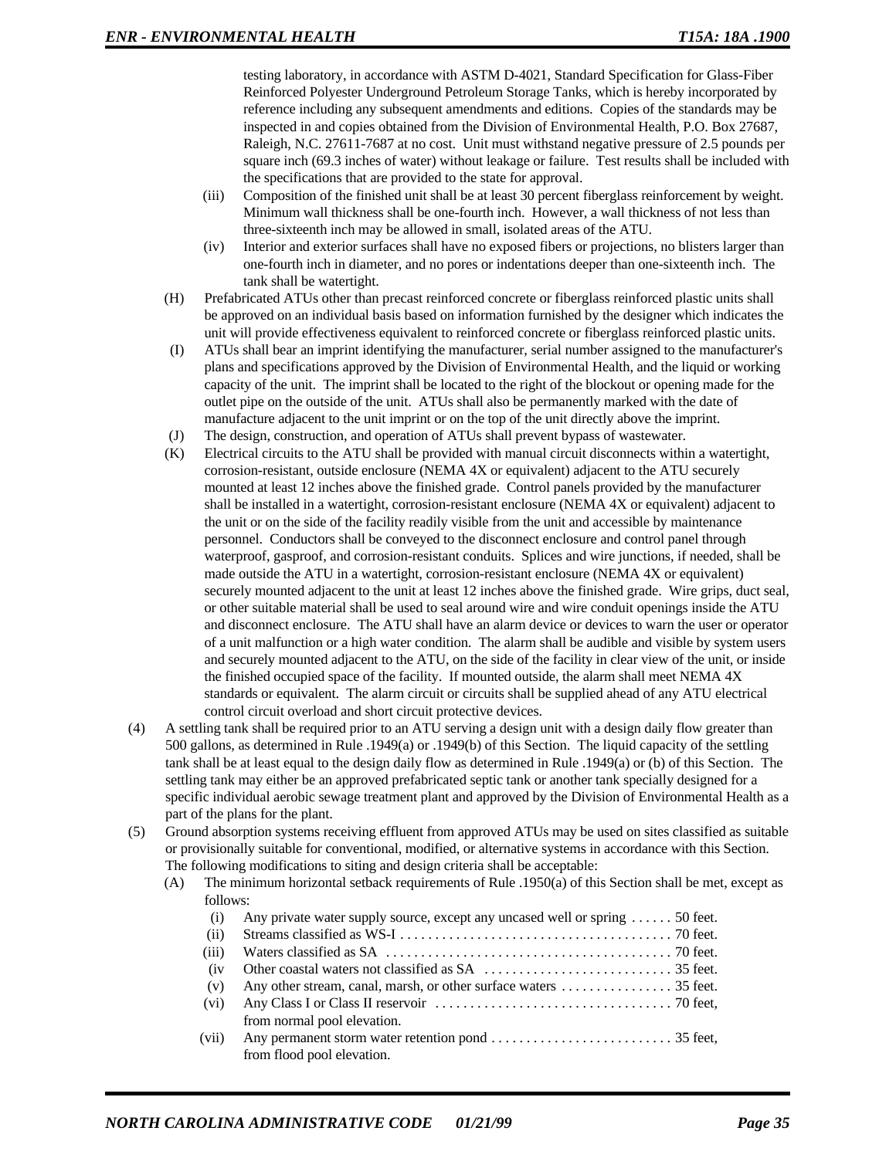testing laboratory, in accordance with ASTM D-4021, Standard Specification for Glass-Fiber Reinforced Polyester Underground Petroleum Storage Tanks, which is hereby incorporated by reference including any subsequent amendments and editions. Copies of the standards may be inspected in and copies obtained from the Division of Environmental Health, P.O. Box 27687, Raleigh, N.C. 27611-7687 at no cost. Unit must withstand negative pressure of 2.5 pounds per square inch (69.3 inches of water) without leakage or failure. Test results shall be included with the specifications that are provided to the state for approval.

- (iii) Composition of the finished unit shall be at least 30 percent fiberglass reinforcement by weight. Minimum wall thickness shall be one-fourth inch. However, a wall thickness of not less than three-sixteenth inch may be allowed in small, isolated areas of the ATU.
- (iv) Interior and exterior surfaces shall have no exposed fibers or projections, no blisters larger than one-fourth inch in diameter, and no pores or indentations deeper than one-sixteenth inch. The tank shall be watertight.
- (H) Prefabricated ATUs other than precast reinforced concrete or fiberglass reinforced plastic units shall be approved on an individual basis based on information furnished by the designer which indicates the unit will provide effectiveness equivalent to reinforced concrete or fiberglass reinforced plastic units.
- (I) ATUs shall bear an imprint identifying the manufacturer, serial number assigned to the manufacturer's plans and specifications approved by the Division of Environmental Health, and the liquid or working capacity of the unit. The imprint shall be located to the right of the blockout or opening made for the outlet pipe on the outside of the unit. ATUs shall also be permanently marked with the date of manufacture adjacent to the unit imprint or on the top of the unit directly above the imprint.
- (J) The design, construction, and operation of ATUs shall prevent bypass of wastewater.
- (K) Electrical circuits to the ATU shall be provided with manual circuit disconnects within a watertight, corrosion-resistant, outside enclosure (NEMA 4X or equivalent) adjacent to the ATU securely mounted at least 12 inches above the finished grade. Control panels provided by the manufacturer shall be installed in a watertight, corrosion-resistant enclosure (NEMA 4X or equivalent) adjacent to the unit or on the side of the facility readily visible from the unit and accessible by maintenance personnel. Conductors shall be conveyed to the disconnect enclosure and control panel through waterproof, gasproof, and corrosion-resistant conduits. Splices and wire junctions, if needed, shall be made outside the ATU in a watertight, corrosion-resistant enclosure (NEMA 4X or equivalent) securely mounted adjacent to the unit at least 12 inches above the finished grade. Wire grips, duct seal, or other suitable material shall be used to seal around wire and wire conduit openings inside the ATU and disconnect enclosure. The ATU shall have an alarm device or devices to warn the user or operator of a unit malfunction or a high water condition. The alarm shall be audible and visible by system users and securely mounted adjacent to the ATU, on the side of the facility in clear view of the unit, or inside the finished occupied space of the facility. If mounted outside, the alarm shall meet NEMA 4X standards or equivalent. The alarm circuit or circuits shall be supplied ahead of any ATU electrical control circuit overload and short circuit protective devices.
- (4) A settling tank shall be required prior to an ATU serving a design unit with a design daily flow greater than 500 gallons, as determined in Rule .1949(a) or .1949(b) of this Section. The liquid capacity of the settling tank shall be at least equal to the design daily flow as determined in Rule .1949(a) or (b) of this Section. The settling tank may either be an approved prefabricated septic tank or another tank specially designed for a specific individual aerobic sewage treatment plant and approved by the Division of Environmental Health as a part of the plans for the plant.
- (5) Ground absorption systems receiving effluent from approved ATUs may be used on sites classified as suitable or provisionally suitable for conventional, modified, or alternative systems in accordance with this Section. The following modifications to siting and design criteria shall be acceptable:
	- (A) The minimum horizontal setback requirements of Rule .1950(a) of this Section shall be met, except as follows:

| (i)   | Any private water supply source, except any uncased well or spring  50 feet. |
|-------|------------------------------------------------------------------------------|
| (ii)  |                                                                              |
| (iii) |                                                                              |
| (iv)  |                                                                              |
| (v)   |                                                                              |
| (vi)  |                                                                              |
|       | from normal pool elevation.                                                  |
| (vii) |                                                                              |
|       | from flood pool elevation.                                                   |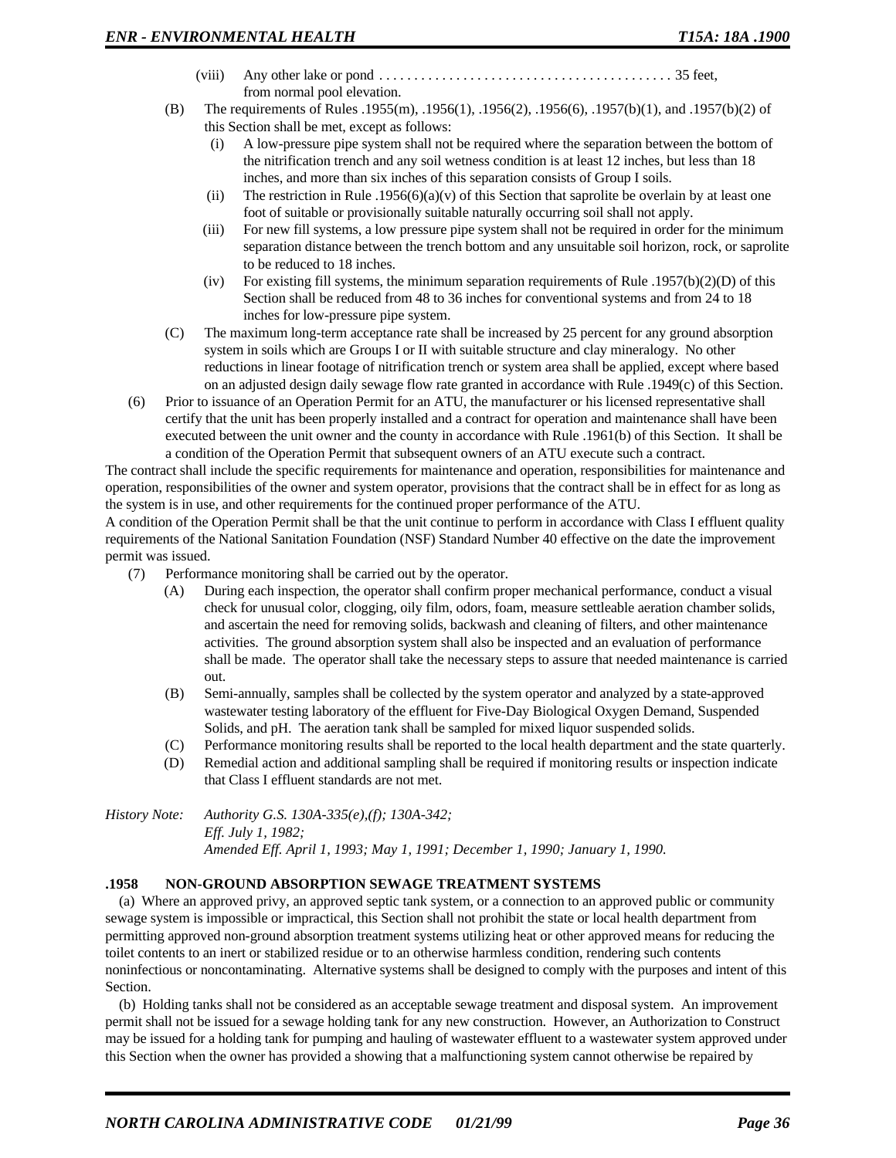- (viii) Any other lake or pond  $\dots \dots \dots \dots \dots \dots \dots \dots \dots \dots \dots \dots \dots$  35 feet, from normal pool elevation.
- (B) The requirements of Rules .1955(m), .1956(1), .1956(2), .1956(6), .1957(b)(1), and .1957(b)(2) of this Section shall be met, except as follows:
	- (i) A low-pressure pipe system shall not be required where the separation between the bottom of the nitrification trench and any soil wetness condition is at least 12 inches, but less than 18 inches, and more than six inches of this separation consists of Group I soils.
	- (ii) The restriction in Rule .1956(6)(a)(v) of this Section that saprolite be overlain by at least one foot of suitable or provisionally suitable naturally occurring soil shall not apply.
	- (iii) For new fill systems, a low pressure pipe system shall not be required in order for the minimum separation distance between the trench bottom and any unsuitable soil horizon, rock, or saprolite to be reduced to 18 inches.
	- (iv) For existing fill systems, the minimum separation requirements of Rule .1957(b)(2)(D) of this Section shall be reduced from 48 to 36 inches for conventional systems and from 24 to 18 inches for low-pressure pipe system.
- (C) The maximum long-term acceptance rate shall be increased by 25 percent for any ground absorption system in soils which are Groups I or II with suitable structure and clay mineralogy. No other reductions in linear footage of nitrification trench or system area shall be applied, except where based on an adjusted design daily sewage flow rate granted in accordance with Rule .1949(c) of this Section.
- (6) Prior to issuance of an Operation Permit for an ATU, the manufacturer or his licensed representative shall certify that the unit has been properly installed and a contract for operation and maintenance shall have been executed between the unit owner and the county in accordance with Rule .1961(b) of this Section. It shall be a condition of the Operation Permit that subsequent owners of an ATU execute such a contract.

The contract shall include the specific requirements for maintenance and operation, responsibilities for maintenance and operation, responsibilities of the owner and system operator, provisions that the contract shall be in effect for as long as the system is in use, and other requirements for the continued proper performance of the ATU.

A condition of the Operation Permit shall be that the unit continue to perform in accordance with Class I effluent quality requirements of the National Sanitation Foundation (NSF) Standard Number 40 effective on the date the improvement permit was issued.

- (7) Performance monitoring shall be carried out by the operator.
	- (A) During each inspection, the operator shall confirm proper mechanical performance, conduct a visual check for unusual color, clogging, oily film, odors, foam, measure settleable aeration chamber solids, and ascertain the need for removing solids, backwash and cleaning of filters, and other maintenance activities. The ground absorption system shall also be inspected and an evaluation of performance shall be made. The operator shall take the necessary steps to assure that needed maintenance is carried out.
	- (B) Semi-annually, samples shall be collected by the system operator and analyzed by a state-approved wastewater testing laboratory of the effluent for Five-Day Biological Oxygen Demand, Suspended Solids, and pH. The aeration tank shall be sampled for mixed liquor suspended solids.
	- (C) Performance monitoring results shall be reported to the local health department and the state quarterly.
	- (D) Remedial action and additional sampling shall be required if monitoring results or inspection indicate that Class I effluent standards are not met.

*History Note: Authority G.S. 130A-335(e),(f); 130A-342; Eff. July 1, 1982; Amended Eff. April 1, 1993; May 1, 1991; December 1, 1990; January 1, 1990.*

### **.1958 NON-GROUND ABSORPTION SEWAGE TREATMENT SYSTEMS**

(a) Where an approved privy, an approved septic tank system, or a connection to an approved public or community sewage system is impossible or impractical, this Section shall not prohibit the state or local health department from permitting approved non-ground absorption treatment systems utilizing heat or other approved means for reducing the toilet contents to an inert or stabilized residue or to an otherwise harmless condition, rendering such contents noninfectious or noncontaminating. Alternative systems shall be designed to comply with the purposes and intent of this Section.

(b) Holding tanks shall not be considered as an acceptable sewage treatment and disposal system. An improvement permit shall not be issued for a sewage holding tank for any new construction. However, an Authorization to Construct may be issued for a holding tank for pumping and hauling of wastewater effluent to a wastewater system approved under this Section when the owner has provided a showing that a malfunctioning system cannot otherwise be repaired by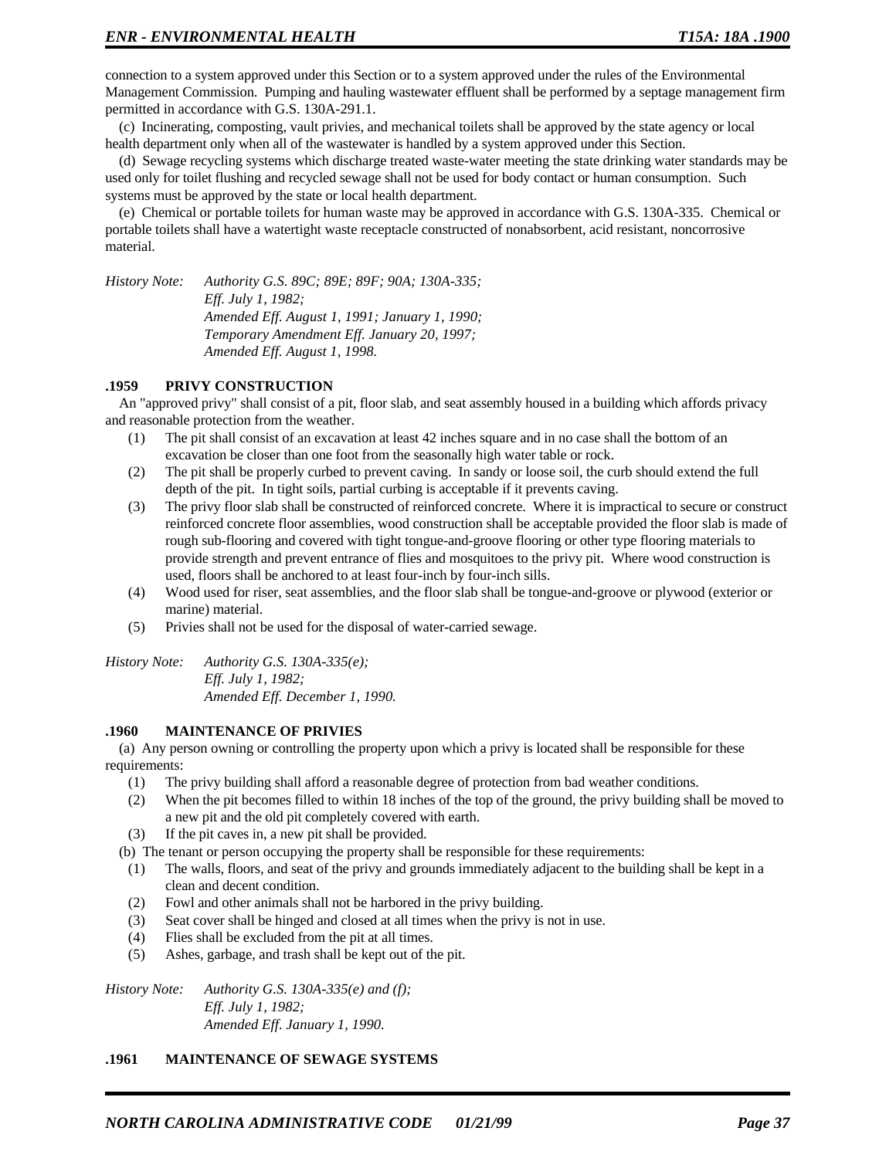connection to a system approved under this Section or to a system approved under the rules of the Environmental Management Commission. Pumping and hauling wastewater effluent shall be performed by a septage management firm permitted in accordance with G.S. 130A-291.1.

(c) Incinerating, composting, vault privies, and mechanical toilets shall be approved by the state agency or local health department only when all of the wastewater is handled by a system approved under this Section.

(d) Sewage recycling systems which discharge treated waste-water meeting the state drinking water standards may be used only for toilet flushing and recycled sewage shall not be used for body contact or human consumption. Such systems must be approved by the state or local health department.

(e) Chemical or portable toilets for human waste may be approved in accordance with G.S. 130A-335. Chemical or portable toilets shall have a watertight waste receptacle constructed of nonabsorbent, acid resistant, noncorrosive material.

*History Note: Authority G.S. 89C; 89E; 89F; 90A; 130A-335; Eff. July 1, 1982; Amended Eff. August 1, 1991; January 1, 1990; Temporary Amendment Eff. January 20, 1997; Amended Eff. August 1, 1998.*

### **.1959 PRIVY CONSTRUCTION**

An "approved privy" shall consist of a pit, floor slab, and seat assembly housed in a building which affords privacy and reasonable protection from the weather.

- (1) The pit shall consist of an excavation at least 42 inches square and in no case shall the bottom of an excavation be closer than one foot from the seasonally high water table or rock.
- (2) The pit shall be properly curbed to prevent caving. In sandy or loose soil, the curb should extend the full depth of the pit. In tight soils, partial curbing is acceptable if it prevents caving.
- (3) The privy floor slab shall be constructed of reinforced concrete. Where it is impractical to secure or construct reinforced concrete floor assemblies, wood construction shall be acceptable provided the floor slab is made of rough sub-flooring and covered with tight tongue-and-groove flooring or other type flooring materials to provide strength and prevent entrance of flies and mosquitoes to the privy pit. Where wood construction is used, floors shall be anchored to at least four-inch by four-inch sills.
- (4) Wood used for riser, seat assemblies, and the floor slab shall be tongue-and-groove or plywood (exterior or marine) material.
- (5) Privies shall not be used for the disposal of water-carried sewage.

*History Note: Authority G.S. 130A-335(e); Eff. July 1, 1982; Amended Eff. December 1, 1990.*

#### **.1960 MAINTENANCE OF PRIVIES**

(a) Any person owning or controlling the property upon which a privy is located shall be responsible for these requirements:

- (1) The privy building shall afford a reasonable degree of protection from bad weather conditions.
- (2) When the pit becomes filled to within 18 inches of the top of the ground, the privy building shall be moved to a new pit and the old pit completely covered with earth.
- (3) If the pit caves in, a new pit shall be provided.

(b) The tenant or person occupying the property shall be responsible for these requirements:

- (1) The walls, floors, and seat of the privy and grounds immediately adjacent to the building shall be kept in a clean and decent condition.
- (2) Fowl and other animals shall not be harbored in the privy building.
- (3) Seat cover shall be hinged and closed at all times when the privy is not in use.
- (4) Flies shall be excluded from the pit at all times.
- (5) Ashes, garbage, and trash shall be kept out of the pit.

*History Note: Authority G.S. 130A-335(e) and (f); Eff. July 1, 1982; Amended Eff. January 1, 1990.*

#### **.1961 MAINTENANCE OF SEWAGE SYSTEMS**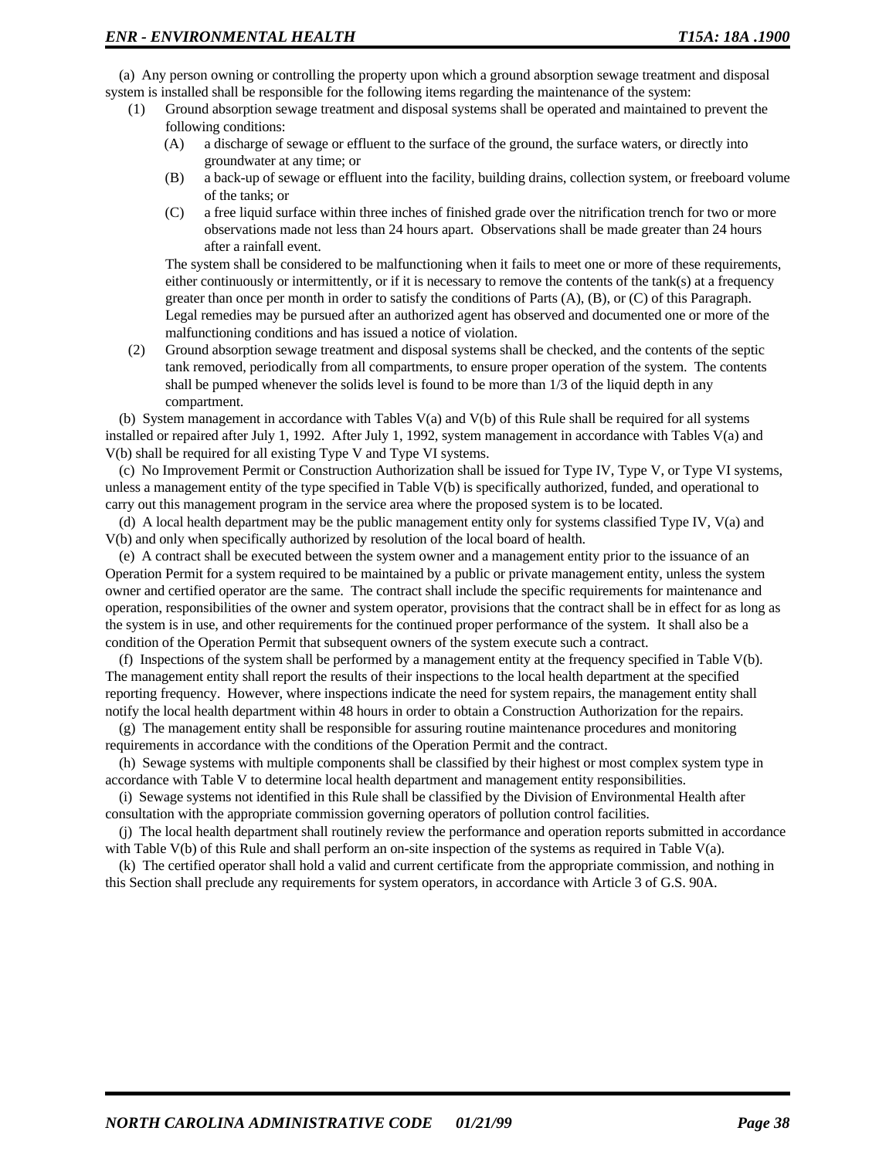(a) Any person owning or controlling the property upon which a ground absorption sewage treatment and disposal system is installed shall be responsible for the following items regarding the maintenance of the system:

- (1) Ground absorption sewage treatment and disposal systems shall be operated and maintained to prevent the following conditions:
	- (A) a discharge of sewage or effluent to the surface of the ground, the surface waters, or directly into groundwater at any time; or
	- (B) a back-up of sewage or effluent into the facility, building drains, collection system, or freeboard volume of the tanks; or
	- (C) a free liquid surface within three inches of finished grade over the nitrification trench for two or more observations made not less than 24 hours apart. Observations shall be made greater than 24 hours after a rainfall event.

The system shall be considered to be malfunctioning when it fails to meet one or more of these requirements, either continuously or intermittently, or if it is necessary to remove the contents of the tank(s) at a frequency greater than once per month in order to satisfy the conditions of Parts (A), (B), or (C) of this Paragraph. Legal remedies may be pursued after an authorized agent has observed and documented one or more of the malfunctioning conditions and has issued a notice of violation.

(2) Ground absorption sewage treatment and disposal systems shall be checked, and the contents of the septic tank removed, periodically from all compartments, to ensure proper operation of the system. The contents shall be pumped whenever the solids level is found to be more than 1/3 of the liquid depth in any compartment.

(b) System management in accordance with Tables V(a) and V(b) of this Rule shall be required for all systems installed or repaired after July 1, 1992. After July 1, 1992, system management in accordance with Tables V(a) and V(b) shall be required for all existing Type V and Type VI systems.

(c) No Improvement Permit or Construction Authorization shall be issued for Type IV, Type V, or Type VI systems, unless a management entity of the type specified in Table V(b) is specifically authorized, funded, and operational to carry out this management program in the service area where the proposed system is to be located.

(d) A local health department may be the public management entity only for systems classified Type IV, V(a) and V(b) and only when specifically authorized by resolution of the local board of health.

(e) A contract shall be executed between the system owner and a management entity prior to the issuance of an Operation Permit for a system required to be maintained by a public or private management entity, unless the system owner and certified operator are the same. The contract shall include the specific requirements for maintenance and operation, responsibilities of the owner and system operator, provisions that the contract shall be in effect for as long as the system is in use, and other requirements for the continued proper performance of the system. It shall also be a condition of the Operation Permit that subsequent owners of the system execute such a contract.

(f) Inspections of the system shall be performed by a management entity at the frequency specified in Table V(b). The management entity shall report the results of their inspections to the local health department at the specified reporting frequency. However, where inspections indicate the need for system repairs, the management entity shall notify the local health department within 48 hours in order to obtain a Construction Authorization for the repairs.

(g) The management entity shall be responsible for assuring routine maintenance procedures and monitoring requirements in accordance with the conditions of the Operation Permit and the contract.

(h) Sewage systems with multiple components shall be classified by their highest or most complex system type in accordance with Table V to determine local health department and management entity responsibilities.

(i) Sewage systems not identified in this Rule shall be classified by the Division of Environmental Health after consultation with the appropriate commission governing operators of pollution control facilities.

(j) The local health department shall routinely review the performance and operation reports submitted in accordance with Table V(b) of this Rule and shall perform an on-site inspection of the systems as required in Table V(a).

(k) The certified operator shall hold a valid and current certificate from the appropriate commission, and nothing in this Section shall preclude any requirements for system operators, in accordance with Article 3 of G.S. 90A.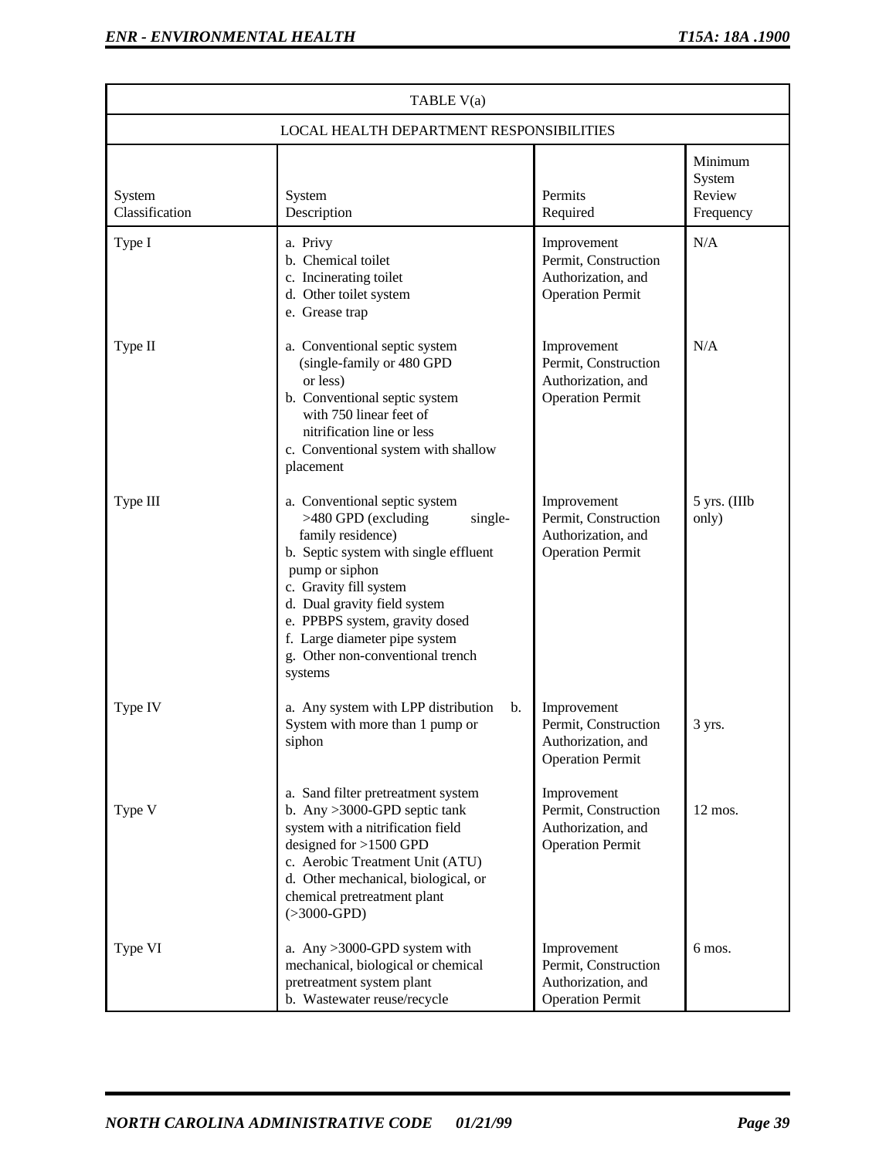| TABLE V(a)                               |                                                                                                                                                                                                                                                                                                                             |                                                                                      |                                          |  |  |
|------------------------------------------|-----------------------------------------------------------------------------------------------------------------------------------------------------------------------------------------------------------------------------------------------------------------------------------------------------------------------------|--------------------------------------------------------------------------------------|------------------------------------------|--|--|
| LOCAL HEALTH DEPARTMENT RESPONSIBILITIES |                                                                                                                                                                                                                                                                                                                             |                                                                                      |                                          |  |  |
| System<br>Classification                 | System<br>Description                                                                                                                                                                                                                                                                                                       | Permits<br>Required                                                                  | Minimum<br>System<br>Review<br>Frequency |  |  |
| Type I                                   | a. Privy<br>b. Chemical toilet<br>c. Incinerating toilet<br>d. Other toilet system<br>e. Grease trap                                                                                                                                                                                                                        | Improvement<br>Permit, Construction<br>Authorization, and<br><b>Operation Permit</b> | N/A                                      |  |  |
| Type II                                  | a. Conventional septic system<br>(single-family or 480 GPD<br>or less)<br>b. Conventional septic system<br>with 750 linear feet of<br>nitrification line or less<br>c. Conventional system with shallow<br>placement                                                                                                        | Improvement<br>Permit, Construction<br>Authorization, and<br><b>Operation Permit</b> | N/A                                      |  |  |
| Type III                                 | a. Conventional septic system<br>>480 GPD (excluding<br>single-<br>family residence)<br>b. Septic system with single effluent<br>pump or siphon<br>c. Gravity fill system<br>d. Dual gravity field system<br>e. PPBPS system, gravity dosed<br>f. Large diameter pipe system<br>g. Other non-conventional trench<br>systems | Improvement<br>Permit, Construction<br>Authorization, and<br><b>Operation Permit</b> | 5 yrs. (IIIb<br>only)                    |  |  |
| Type IV                                  | a. Any system with LPP distribution<br>b.<br>System with more than 1 pump or<br>siphon                                                                                                                                                                                                                                      | Improvement<br>Permit, Construction<br>Authorization, and<br><b>Operation Permit</b> | 3 yrs.                                   |  |  |
| Type V                                   | a. Sand filter pretreatment system<br>b. Any $>3000$ -GPD septic tank<br>system with a nitrification field<br>designed for $>1500$ GPD<br>c. Aerobic Treatment Unit (ATU)<br>d. Other mechanical, biological, or<br>chemical pretreatment plant<br>$(>3000$ -GPD)                                                           | Improvement<br>Permit, Construction<br>Authorization, and<br><b>Operation Permit</b> | $12 \text{ mos.}$                        |  |  |
| Type VI                                  | a. Any >3000-GPD system with<br>mechanical, biological or chemical<br>pretreatment system plant<br>b. Wastewater reuse/recycle                                                                                                                                                                                              | Improvement<br>Permit, Construction<br>Authorization, and<br><b>Operation Permit</b> | 6 mos.                                   |  |  |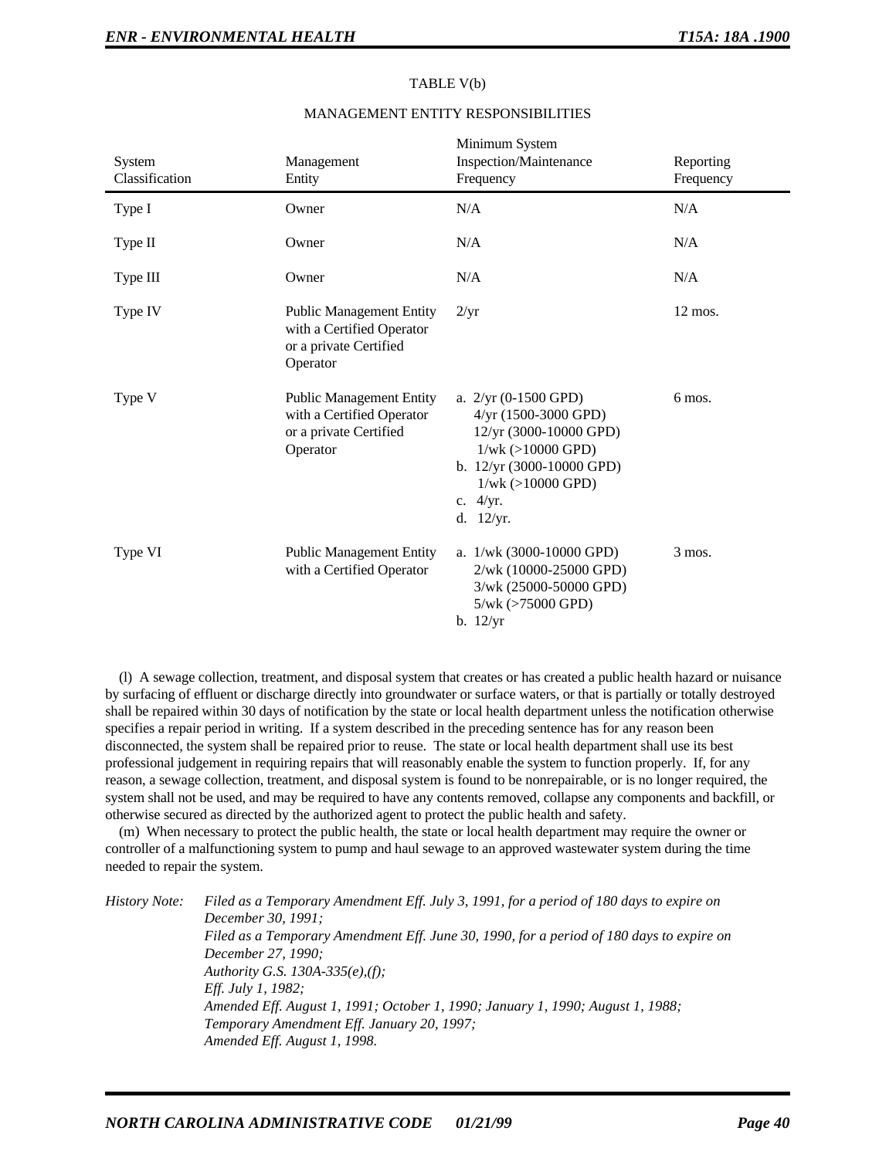| System<br>Classification | Management<br>Entity                                                                               | Minimum System<br>Inspection/Maintenance<br>Frequency                                                                                                                                     | Reporting<br>Frequency |
|--------------------------|----------------------------------------------------------------------------------------------------|-------------------------------------------------------------------------------------------------------------------------------------------------------------------------------------------|------------------------|
| Type I                   | Owner                                                                                              | N/A                                                                                                                                                                                       | N/A                    |
| Type II                  | Owner                                                                                              | N/A                                                                                                                                                                                       | N/A                    |
| Type III                 | Owner                                                                                              | N/A                                                                                                                                                                                       | N/A                    |
| Type IV                  | <b>Public Management Entity</b><br>with a Certified Operator<br>or a private Certified<br>Operator | $2/\mathrm{yr}$                                                                                                                                                                           | $12 \text{ mos.}$      |
| Type V                   | <b>Public Management Entity</b><br>with a Certified Operator<br>or a private Certified<br>Operator | a. $2/yr$ (0-1500 GPD)<br>$4/yr$ (1500-3000 GPD)<br>12/yr (3000-10000 GPD)<br>$1/wk$ ( $>10000$ GPD)<br>b. $12/yr$ (3000-10000 GPD)<br>$1/wk$ ( $>10000$ GPD)<br>c. $4/yr$ .<br>d. 12/yr. | 6 mos.                 |
| Type VI                  | <b>Public Management Entity</b><br>with a Certified Operator                                       | a. $1/wk$ (3000-10000 GPD)<br>2/wk (10000-25000 GPD)<br>3/wk (25000-50000 GPD)<br>5/wk (>75000 GPD)<br>b. 12/yr                                                                           | $3$ mos.               |

# TABLE V(b) MANAGEMENT ENTITY RESPONSIBILITIES

(l) A sewage collection, treatment, and disposal system that creates or has created a public health hazard or nuisance by surfacing of effluent or discharge directly into groundwater or surface waters, or that is partially or totally destroyed shall be repaired within 30 days of notification by the state or local health department unless the notification otherwise specifies a repair period in writing. If a system described in the preceding sentence has for any reason been disconnected, the system shall be repaired prior to reuse. The state or local health department shall use its best professional judgement in requiring repairs that will reasonably enable the system to function properly. If, for any reason, a sewage collection, treatment, and disposal system is found to be nonrepairable, or is no longer required, the system shall not be used, and may be required to have any contents removed, collapse any components and backfill, or otherwise secured as directed by the authorized agent to protect the public health and safety.

(m) When necessary to protect the public health, the state or local health department may require the owner or controller of a malfunctioning system to pump and haul sewage to an approved wastewater system during the time needed to repair the system.

*History Note: Filed as a Temporary Amendment Eff. July 3, 1991, for a period of 180 days to expire on December 30, 1991; Filed as a Temporary Amendment Eff. June 30, 1990, for a period of 180 days to expire on December 27, 1990; Authority G.S. 130A-335(e),(f); Eff. July 1, 1982; Amended Eff. August 1, 1991; October 1, 1990; January 1, 1990; August 1, 1988; Temporary Amendment Eff. January 20, 1997; Amended Eff. August 1, 1998.*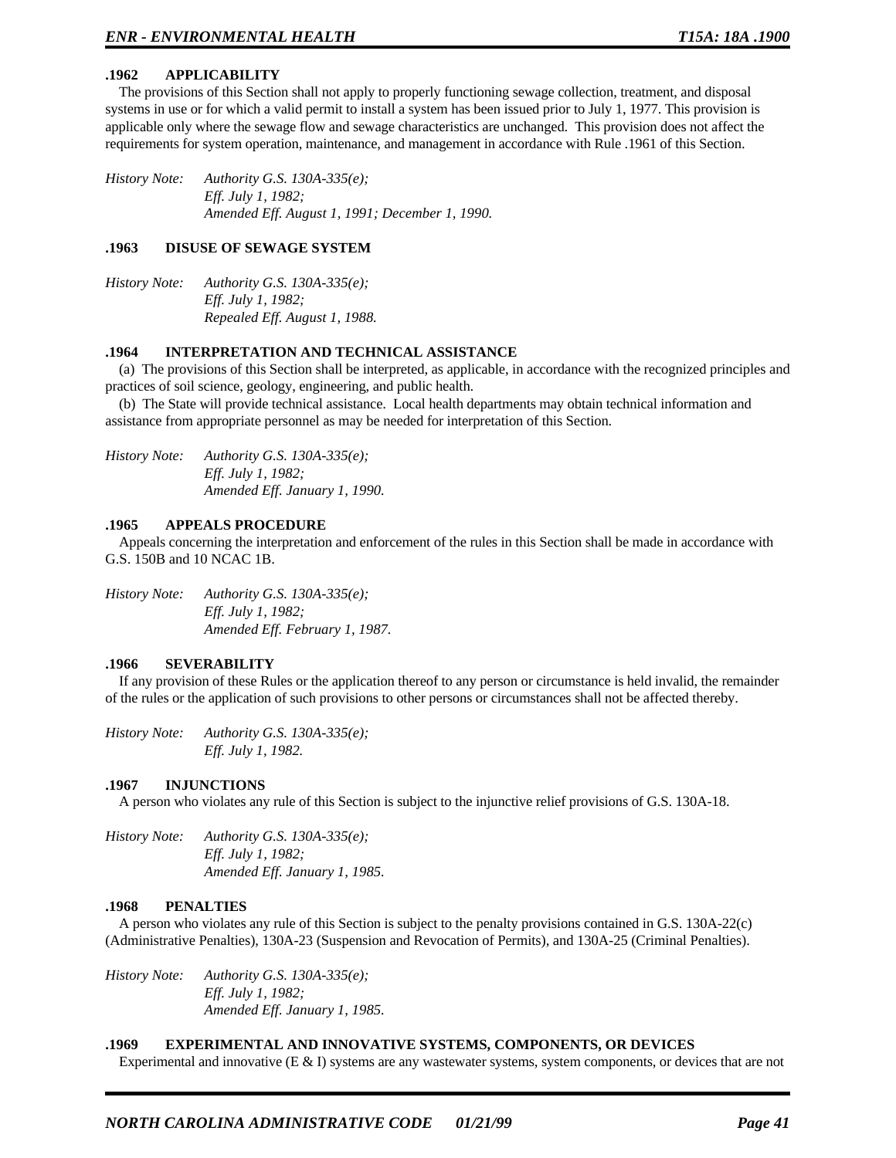# **.1962 APPLICABILITY**

The provisions of this Section shall not apply to properly functioning sewage collection, treatment, and disposal systems in use or for which a valid permit to install a system has been issued prior to July 1, 1977. This provision is applicable only where the sewage flow and sewage characteristics are unchanged. This provision does not affect the requirements for system operation, maintenance, and management in accordance with Rule .1961 of this Section.

*History Note: Authority G.S. 130A-335(e); Eff. July 1, 1982; Amended Eff. August 1, 1991; December 1, 1990.*

#### **.1963 DISUSE OF SEWAGE SYSTEM**

*History Note: Authority G.S. 130A-335(e); Eff. July 1, 1982; Repealed Eff. August 1, 1988.*

#### **.1964 INTERPRETATION AND TECHNICAL ASSISTANCE**

(a) The provisions of this Section shall be interpreted, as applicable, in accordance with the recognized principles and practices of soil science, geology, engineering, and public health.

(b) The State will provide technical assistance. Local health departments may obtain technical information and assistance from appropriate personnel as may be needed for interpretation of this Section.

*History Note: Authority G.S. 130A-335(e); Eff. July 1, 1982; Amended Eff. January 1, 1990.*

#### **.1965 APPEALS PROCEDURE**

Appeals concerning the interpretation and enforcement of the rules in this Section shall be made in accordance with G.S. 150B and 10 NCAC 1B.

*History Note: Authority G.S. 130A-335(e); Eff. July 1, 1982; Amended Eff. February 1, 1987.*

#### **.1966 SEVERABILITY**

If any provision of these Rules or the application thereof to any person or circumstance is held invalid, the remainder of the rules or the application of such provisions to other persons or circumstances shall not be affected thereby.

*History Note: Authority G.S. 130A-335(e); Eff. July 1, 1982.*

#### **.1967 INJUNCTIONS**

A person who violates any rule of this Section is subject to the injunctive relief provisions of G.S. 130A-18.

*History Note: Authority G.S. 130A-335(e); Eff. July 1, 1982; Amended Eff. January 1, 1985.*

#### **.1968 PENALTIES**

A person who violates any rule of this Section is subject to the penalty provisions contained in G.S. 130A-22(c) (Administrative Penalties), 130A-23 (Suspension and Revocation of Permits), and 130A-25 (Criminal Penalties).

*History Note: Authority G.S. 130A-335(e); Eff. July 1, 1982; Amended Eff. January 1, 1985.*

### **.1969 EXPERIMENTAL AND INNOVATIVE SYSTEMS, COMPONENTS, OR DEVICES**

Experimental and innovative (E & I) systems are any wastewater systems, system components, or devices that are not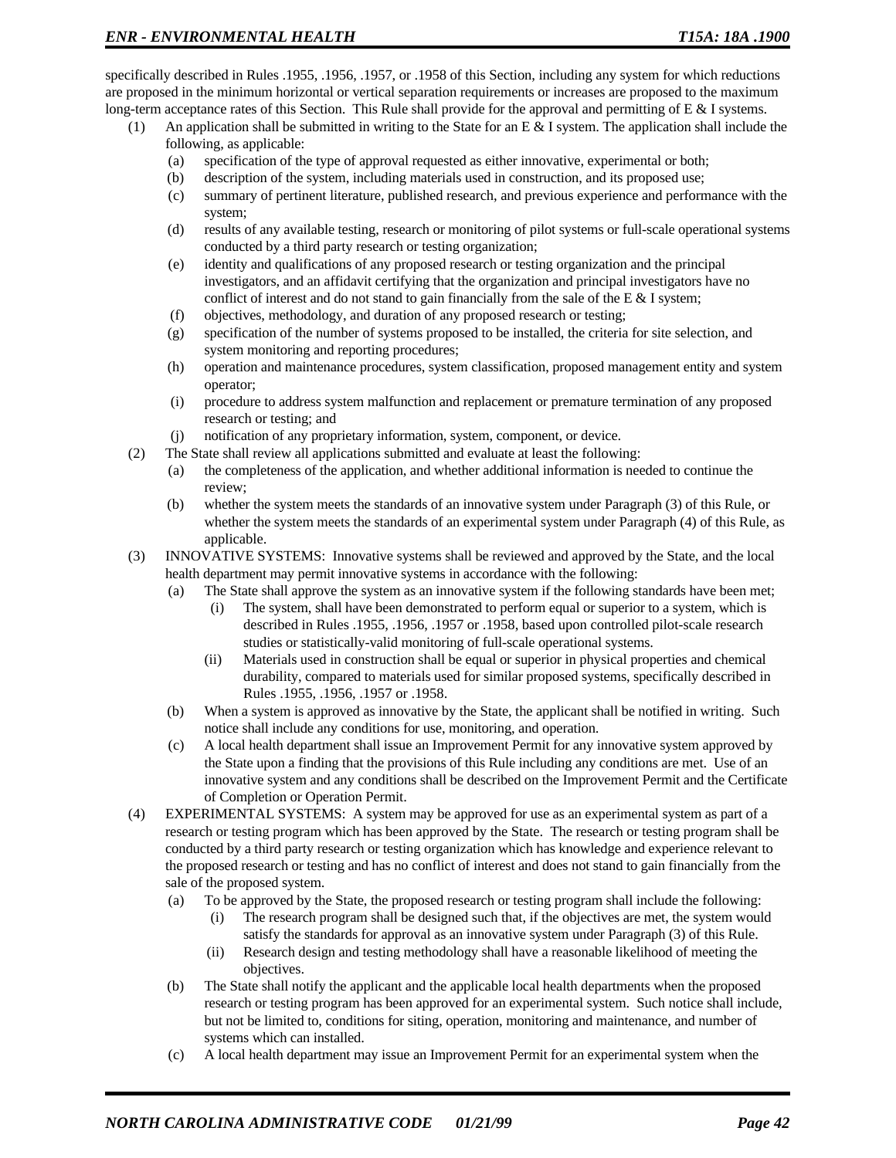specifically described in Rules .1955, .1956, .1957, or .1958 of this Section, including any system for which reductions are proposed in the minimum horizontal or vertical separation requirements or increases are proposed to the maximum long-term acceptance rates of this Section. This Rule shall provide for the approval and permitting of E & I systems.

- (1) An application shall be submitted in writing to the State for an E & I system. The application shall include the following, as applicable:
	- (a) specification of the type of approval requested as either innovative, experimental or both;
	- (b) description of the system, including materials used in construction, and its proposed use;
	- (c) summary of pertinent literature, published research, and previous experience and performance with the system;
	- (d) results of any available testing, research or monitoring of pilot systems or full-scale operational systems conducted by a third party research or testing organization;
	- (e) identity and qualifications of any proposed research or testing organization and the principal investigators, and an affidavit certifying that the organization and principal investigators have no conflict of interest and do not stand to gain financially from the sale of the E  $&$  I system;
	- (f) objectives, methodology, and duration of any proposed research or testing;
	- (g) specification of the number of systems proposed to be installed, the criteria for site selection, and system monitoring and reporting procedures;
	- (h) operation and maintenance procedures, system classification, proposed management entity and system operator;
	- (i) procedure to address system malfunction and replacement or premature termination of any proposed research or testing; and
	- (j) notification of any proprietary information, system, component, or device.
- (2) The State shall review all applications submitted and evaluate at least the following:
	- (a) the completeness of the application, and whether additional information is needed to continue the review;
	- (b) whether the system meets the standards of an innovative system under Paragraph (3) of this Rule, or whether the system meets the standards of an experimental system under Paragraph (4) of this Rule, as applicable.
- (3) INNOVATIVE SYSTEMS: Innovative systems shall be reviewed and approved by the State, and the local health department may permit innovative systems in accordance with the following:
	- (a) The State shall approve the system as an innovative system if the following standards have been met;
		- (i) The system, shall have been demonstrated to perform equal or superior to a system, which is described in Rules .1955, .1956, .1957 or .1958, based upon controlled pilot-scale research studies or statistically-valid monitoring of full-scale operational systems.
		- (ii) Materials used in construction shall be equal or superior in physical properties and chemical durability, compared to materials used for similar proposed systems, specifically described in Rules .1955, .1956, .1957 or .1958.
	- (b) When a system is approved as innovative by the State, the applicant shall be notified in writing. Such notice shall include any conditions for use, monitoring, and operation.
	- (c) A local health department shall issue an Improvement Permit for any innovative system approved by the State upon a finding that the provisions of this Rule including any conditions are met. Use of an innovative system and any conditions shall be described on the Improvement Permit and the Certificate of Completion or Operation Permit.
- (4) EXPERIMENTAL SYSTEMS: A system may be approved for use as an experimental system as part of a research or testing program which has been approved by the State. The research or testing program shall be conducted by a third party research or testing organization which has knowledge and experience relevant to the proposed research or testing and has no conflict of interest and does not stand to gain financially from the sale of the proposed system.
	- (a) To be approved by the State, the proposed research or testing program shall include the following:
		- (i) The research program shall be designed such that, if the objectives are met, the system would satisfy the standards for approval as an innovative system under Paragraph (3) of this Rule.
		- (ii) Research design and testing methodology shall have a reasonable likelihood of meeting the objectives.
	- (b) The State shall notify the applicant and the applicable local health departments when the proposed research or testing program has been approved for an experimental system. Such notice shall include, but not be limited to, conditions for siting, operation, monitoring and maintenance, and number of systems which can installed.
	- (c) A local health department may issue an Improvement Permit for an experimental system when the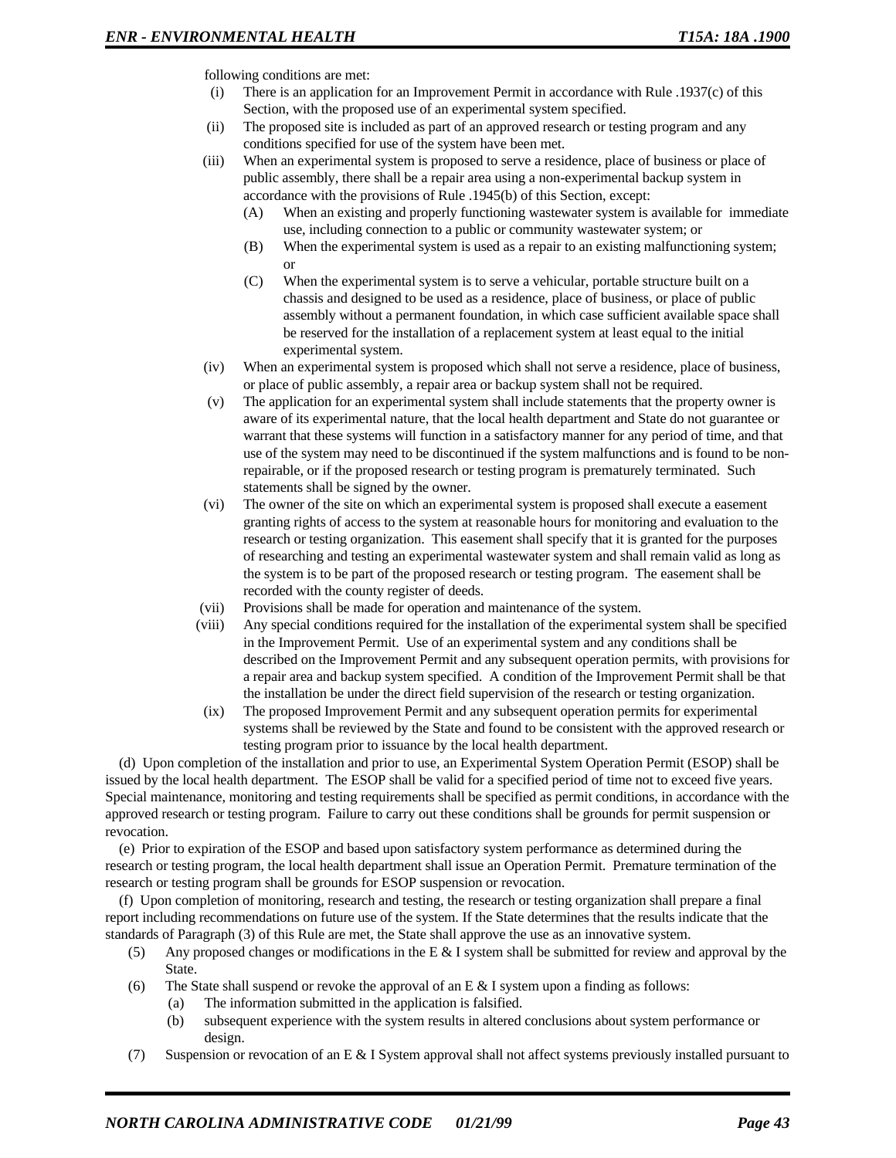following conditions are met:

- (i) There is an application for an Improvement Permit in accordance with Rule .1937(c) of this Section, with the proposed use of an experimental system specified.
- (ii) The proposed site is included as part of an approved research or testing program and any conditions specified for use of the system have been met.
- (iii) When an experimental system is proposed to serve a residence, place of business or place of public assembly, there shall be a repair area using a non-experimental backup system in accordance with the provisions of Rule .1945(b) of this Section, except:
	- (A) When an existing and properly functioning wastewater system is available for immediate use, including connection to a public or community wastewater system; or
	- (B) When the experimental system is used as a repair to an existing malfunctioning system; or
	- (C) When the experimental system is to serve a vehicular, portable structure built on a chassis and designed to be used as a residence, place of business, or place of public assembly without a permanent foundation, in which case sufficient available space shall be reserved for the installation of a replacement system at least equal to the initial experimental system.
- (iv) When an experimental system is proposed which shall not serve a residence, place of business, or place of public assembly, a repair area or backup system shall not be required.
- (v) The application for an experimental system shall include statements that the property owner is aware of its experimental nature, that the local health department and State do not guarantee or warrant that these systems will function in a satisfactory manner for any period of time, and that use of the system may need to be discontinued if the system malfunctions and is found to be nonrepairable, or if the proposed research or testing program is prematurely terminated. Such statements shall be signed by the owner.
- (vi) The owner of the site on which an experimental system is proposed shall execute a easement granting rights of access to the system at reasonable hours for monitoring and evaluation to the research or testing organization. This easement shall specify that it is granted for the purposes of researching and testing an experimental wastewater system and shall remain valid as long as the system is to be part of the proposed research or testing program. The easement shall be recorded with the county register of deeds.
- (vii) Provisions shall be made for operation and maintenance of the system.
- (viii) Any special conditions required for the installation of the experimental system shall be specified in the Improvement Permit. Use of an experimental system and any conditions shall be described on the Improvement Permit and any subsequent operation permits, with provisions for a repair area and backup system specified. A condition of the Improvement Permit shall be that the installation be under the direct field supervision of the research or testing organization.
- (ix) The proposed Improvement Permit and any subsequent operation permits for experimental systems shall be reviewed by the State and found to be consistent with the approved research or testing program prior to issuance by the local health department.

(d) Upon completion of the installation and prior to use, an Experimental System Operation Permit (ESOP) shall be issued by the local health department. The ESOP shall be valid for a specified period of time not to exceed five years. Special maintenance, monitoring and testing requirements shall be specified as permit conditions, in accordance with the approved research or testing program. Failure to carry out these conditions shall be grounds for permit suspension or revocation.

(e) Prior to expiration of the ESOP and based upon satisfactory system performance as determined during the research or testing program, the local health department shall issue an Operation Permit. Premature termination of the research or testing program shall be grounds for ESOP suspension or revocation.

(f) Upon completion of monitoring, research and testing, the research or testing organization shall prepare a final report including recommendations on future use of the system. If the State determines that the results indicate that the standards of Paragraph (3) of this Rule are met, the State shall approve the use as an innovative system.

- (5) Any proposed changes or modifications in the E & I system shall be submitted for review and approval by the State.
- (6) The State shall suspend or revoke the approval of an E  $\&$  I system upon a finding as follows:
	- (a) The information submitted in the application is falsified.
	- (b) subsequent experience with the system results in altered conclusions about system performance or design.
- (7) Suspension or revocation of an E & I System approval shall not affect systems previously installed pursuant to